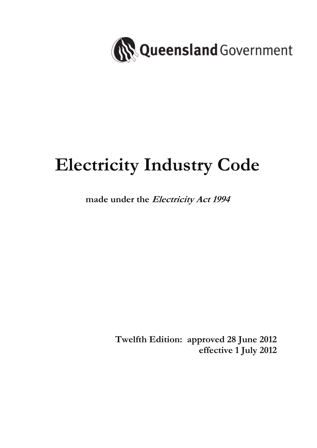

# **Electricity Industry Code**

# **made under the Electricity Act 1994**

 **Twelfth Edition: approved 28 June 2012 effective 1 July 2012**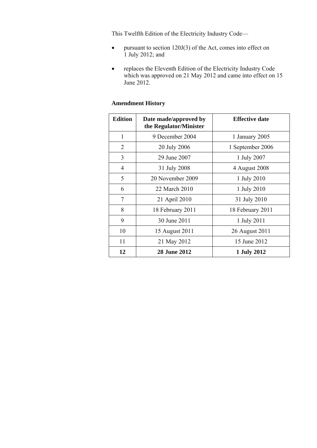This Twelfth Edition of the Electricity Industry Code—

- pursuant to section 120J(3) of the Act, comes into effect on 1 July 2012; and
- replaces the Eleventh Edition of the Electricity Industry Code which was approved on 21 May 2012 and came into effect on 15 June 2012.

# **Amendment History**

| <b>Edition</b> | Date made/approved by<br>the Regulator/Minister | <b>Effective date</b> |
|----------------|-------------------------------------------------|-----------------------|
| 1              | 9 December 2004                                 | 1 January 2005        |
| 2              | 20 July 2006                                    | 1 September 2006      |
| 3              | 29 June 2007                                    | 1 July 2007           |
| 4              | 31 July 2008                                    | 4 August 2008         |
| 5              | 20 November 2009                                | 1 July 2010           |
| 6              | 22 March 2010                                   | 1 July 2010           |
| $\tau$         | 21 April 2010                                   | 31 July 2010          |
| 8              | 18 February 2011                                | 18 February 2011      |
| 9              | 30 June 2011                                    | 1 July 2011           |
| 10             | 15 August 2011                                  | 26 August 2011        |
| 11             | 21 May 2012                                     | 15 June 2012          |
| 12             | <b>28 June 2012</b>                             | 1 July 2012           |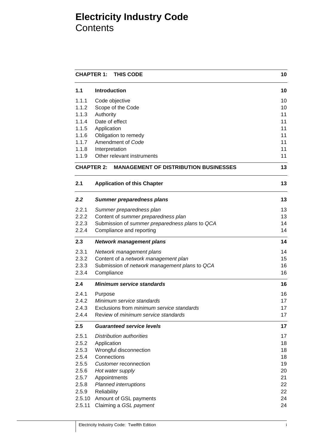# **Electricity Industry Code Contents**

|        | <b>CHAPTER 1:</b><br>THIS CODE<br>10                    |    |
|--------|---------------------------------------------------------|----|
| 1.1    | <b>Introduction</b>                                     | 10 |
| 1.1.1  | Code objective                                          | 10 |
| 1.1.2  | Scope of the Code                                       | 10 |
| 1.1.3  | Authority                                               | 11 |
| 1.1.4  | Date of effect                                          | 11 |
| 1.1.5  | Application                                             | 11 |
| 1.1.6  | Obligation to remedy                                    | 11 |
| 1.1.7  | Amendment of Code                                       | 11 |
| 1.1.8  | Interpretation                                          | 11 |
| 1.1.9  | Other relevant instruments                              | 11 |
|        | <b>CHAPTER 2: MANAGEMENT OF DISTRIBUTION BUSINESSES</b> | 13 |
| 2.1    | <b>Application of this Chapter</b>                      | 13 |
| 2.2    | <b>Summer preparedness plans</b>                        | 13 |
| 2.2.1  | Summer preparedness plan                                | 13 |
| 2.2.2  | Content of summer preparedness plan                     | 13 |
| 2.2.3  | Submission of summer preparedness plans to QCA          | 14 |
| 2.2.4  | Compliance and reporting                                | 14 |
| 2.3    | <b>Network management plans</b>                         | 14 |
| 2.3.1  | Network management plans                                | 14 |
| 2.3.2  | Content of a network management plan                    | 15 |
| 2.3.3  | Submission of network management plans to QCA           | 16 |
| 2.3.4  | Compliance                                              | 16 |
| 2.4    | <b>Minimum service standards</b>                        | 16 |
| 2.4.1  | Purpose                                                 | 16 |
| 2.4.2  | Minimum service standards                               | 17 |
| 2.4.3  | Exclusions from minimum service standards               | 17 |
| 2.4.4  | Review of minimum service standards                     | 17 |
| 2.5    | <b>Guaranteed service levels</b>                        | 17 |
| 2.5.1  | <b>Distribution authorities</b>                         | 17 |
| 2.5.2  | Application                                             | 18 |
| 2.5.3  | Wrongful disconnection                                  | 18 |
| 2.5.4  | Connections                                             | 18 |
| 2.5.5  | Customer reconnection                                   | 19 |
| 2.5.6  | Hot water supply                                        | 20 |
| 2.5.7  | Appointments                                            | 21 |
| 2.5.8  | <b>Planned interruptions</b>                            | 22 |
| 2.5.9  | Reliability                                             | 22 |
| 2.5.10 | Amount of GSL payments                                  | 24 |
| 2.5.11 | Claiming a GSL payment                                  | 24 |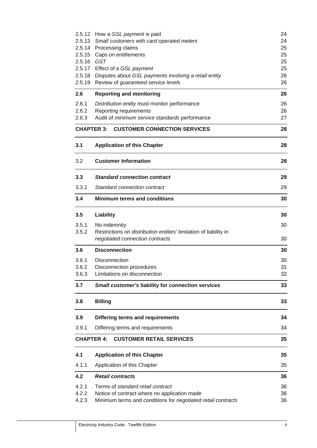|                   | 2.5.12 How a GSL payment is paid                                                               | 24       |
|-------------------|------------------------------------------------------------------------------------------------|----------|
|                   | 2.5.13 Small customers with card operated meters                                               | 24       |
|                   | 2.5.14 Processing claims                                                                       | 25       |
|                   | 2.5.15 Caps on entitlements                                                                    | 25       |
| 2.5.16 GST        |                                                                                                | 25       |
|                   | 2.5.17 Effect of a GSL payment<br>2.5.18 Disputes about GSL payments involving a retail entity | 25<br>26 |
|                   | 2.5.19 Review of guaranteed service levels                                                     | 26       |
|                   |                                                                                                |          |
| 2.6               | <b>Reporting and monitoring</b>                                                                | 26       |
| 2.6.1             | Distribution entity must monitor performance                                                   | 26       |
| 2.6.2             | Reporting requirements                                                                         | 26       |
| 2.6.3             | Audit of minimum service standards performance                                                 | 27       |
| <b>CHAPTER 3:</b> | <b>CUSTOMER CONNECTION SERVICES</b>                                                            | 28       |
| 3.1               | <b>Application of this Chapter</b>                                                             | 28       |
| 3.2               | <b>Customer Information</b>                                                                    | 28       |
| 3.3               | <b>Standard connection contract</b>                                                            | 29       |
| 3.3.1             | Standard connection contract                                                                   | 29       |
| 3.4               | <b>Minimum terms and conditions</b>                                                            | 30       |
| 3.5               | Liability                                                                                      | 30       |
| 3.5.1             | No indemnity                                                                                   | 30       |
| 3.5.2             | Restrictions on distribution entities' limitation of liability in                              |          |
|                   | negotiated connection contracts                                                                | 30       |
| 3.6               | <b>Disconnection</b>                                                                           | 30       |
| 3.6.1             | <b>Disconnection</b>                                                                           | 30       |
| 3.6.2             | Disconnection procedures                                                                       | 31       |
| 3.6.3             | Limitations on disconnection                                                                   | 32       |
| 3.7               | Small customer's liability for connection services                                             | 33       |
| 3.8               | <b>Billing</b>                                                                                 | 33       |
| 3.9               | Differing terms and requirements                                                               | 34       |
| 3.9.1             | Differing terms and requirements                                                               | 34       |
| <b>CHAPTER 4:</b> | <b>CUSTOMER RETAIL SERVICES</b>                                                                | 35       |
| 4.1               | <b>Application of this Chapter</b>                                                             | 35       |
| 4.1.1             | Application of this Chapter                                                                    | 35       |
| 4.2               | <b>Retail contracts</b>                                                                        | 36       |
| 4.2.1             | Terms of standard retail contract                                                              | 36       |
| 4.2.2             | Notice of contract where no application made                                                   | 36       |
| 4.2.3             | Minimum terms and conditions for negotiated retail contracts                                   | 36       |
|                   |                                                                                                |          |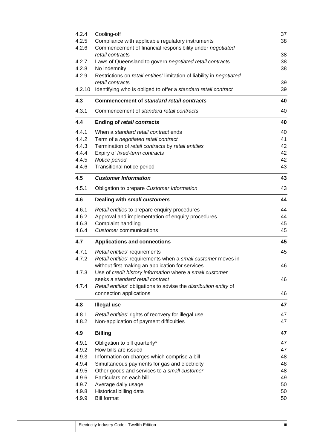| 4.2.4<br>4.2.5 | Cooling-off<br>Compliance with applicable regulatory instruments              | 37<br>38                                           |
|----------------|-------------------------------------------------------------------------------|----------------------------------------------------|
| 4.2.6          | Commencement of financial responsibility under negotiated<br>retail contracts | 38                                                 |
| 4.2.7          | Laws of Queensland to govern negotiated retail contracts                      | 38                                                 |
| 4.2.8          | No indemnity                                                                  | 38                                                 |
| 4.2.9          | Restrictions on retail entities' limitation of liability in negotiated        |                                                    |
|                | retail contracts                                                              | 39                                                 |
| 4.2.10         | Identifying who is obliged to offer a standard retail contract                | 39                                                 |
| 4.3            | <b>Commencement of standard retail contracts</b>                              | 40                                                 |
| 4.3.1          | Commencement of standard retail contracts                                     | 40                                                 |
| 4.4            | <b>Ending of retail contracts</b>                                             | 40                                                 |
| 4.4.1          | When a standard retail contract ends                                          | 40                                                 |
| 4.4.2          | Term of a negotiated retail contract                                          | 41                                                 |
| 4.4.3          | Termination of retail contracts by retail entities                            | 42                                                 |
| 4.4.4          | Expiry of fixed-term contracts                                                | 42                                                 |
| 4.4.5          | Notice period                                                                 | 42                                                 |
| 4.4.6          | Transitional notice period                                                    | 43                                                 |
| 4.5            | <b>Customer Information</b>                                                   | 43                                                 |
| 4.5.1          | Obligation to prepare Customer Information                                    | 43                                                 |
| 4.6            | Dealing with small customers                                                  | 44                                                 |
| 4.6.1          | Retail entities to prepare enquiry procedures                                 | 44                                                 |
| 4.6.2          | Approval and implementation of enquiry procedures                             | 44                                                 |
| 4.6.3          | Complaint handling                                                            | 45                                                 |
| 4.6.4          | Customer communications                                                       | 45                                                 |
| 4.7            | <b>Applications and connections</b>                                           | 45                                                 |
| 4.7.1          | Retail entities' requirements                                                 | 45                                                 |
| 4.7.2          | Retail entities' requirements when a small customer moves in                  |                                                    |
|                | without first making an application for services                              | 46                                                 |
| 4.7.3          | Use of credit history information where a small customer                      |                                                    |
|                | seeks a standard retail contract                                              | 46                                                 |
| 4.7.4          | Retail entities' obligations to advise the distribution entity of             |                                                    |
|                | connection applications                                                       | 46                                                 |
| 4.8            | <b>Illegal use</b>                                                            | 47                                                 |
| 4.8.1          | Retail entities' rights of recovery for illegal use                           | 47                                                 |
| 4.8.2          | Non-application of payment difficulties                                       | 47                                                 |
| 4.9            | <b>Billing</b>                                                                | 47                                                 |
| 4.9.1          |                                                                               |                                                    |
|                | Obligation to bill quarterly*                                                 |                                                    |
| 4.9.2          | How bills are issued                                                          |                                                    |
| 4.9.3          | Information on charges which comprise a bill                                  |                                                    |
| 4.9.4          | Simultaneous payments for gas and electricity                                 |                                                    |
| 4.9.5          | Other goods and services to a small customer                                  |                                                    |
| 4.9.6          | Particulars on each bill                                                      |                                                    |
| 4.9.7          | Average daily usage                                                           |                                                    |
| 4.9.8<br>4.9.9 | Historical billing data<br><b>Bill format</b>                                 | 47<br>47<br>48<br>48<br>48<br>49<br>50<br>50<br>50 |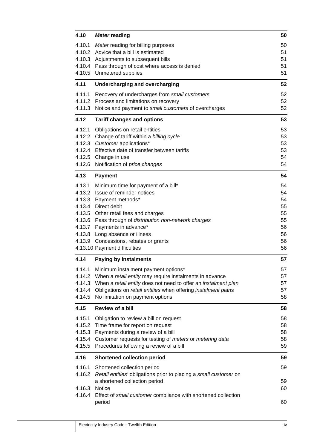| 4.10   | <b>Meter reading</b>                                              | 50 |
|--------|-------------------------------------------------------------------|----|
| 4.10.1 | Meter reading for billing purposes                                | 50 |
|        | 4.10.2 Advice that a bill is estimated                            | 51 |
|        | 4.10.3 Adjustments to subsequent bills                            | 51 |
|        | 4.10.4 Pass through of cost where access is denied                | 51 |
|        | 4.10.5 Unmetered supplies                                         | 51 |
| 4.11   | Undercharging and overcharging                                    | 52 |
| 4.11.1 | Recovery of undercharges from small customers                     | 52 |
| 4.11.2 | Process and limitations on recovery                               | 52 |
|        | 4.11.3 Notice and payment to small customers of overcharges       | 52 |
| 4.12   | <b>Tariff changes and options</b>                                 | 53 |
| 4.12.1 | Obligations on retail entities                                    | 53 |
|        | 4.12.2 Change of tariff within a billing cycle                    | 53 |
|        | 4.12.3 Customer applications*                                     | 53 |
|        | 4.12.4 Effective date of transfer between tariffs                 | 53 |
|        | 4.12.5 Change in use                                              | 54 |
|        | 4.12.6 Notification of price changes                              | 54 |
| 4.13   | <b>Payment</b>                                                    | 54 |
| 4.13.1 | Minimum time for payment of a bill*                               | 54 |
|        | 4.13.2 Issue of reminder notices                                  | 54 |
|        | 4.13.3 Payment methods*                                           | 54 |
|        | 4.13.4 Direct debit                                               | 55 |
|        | 4.13.5 Other retail fees and charges                              | 55 |
|        | 4.13.6 Pass through of distribution non-network charges           | 55 |
|        | 4.13.7 Payments in advance*                                       | 56 |
|        | 4.13.8 Long absence or illness                                    | 56 |
|        | 4.13.9 Concessions, rebates or grants                             | 56 |
|        | 4.13.10 Payment difficulties                                      | 56 |
| 4.14   | <b>Paying by instalments</b>                                      | 57 |
|        | 4.14.1 Minimum instalment payment options*                        | 57 |
| 4.14.2 | When a retail entity may require instalments in advance           | 57 |
| 4.14.3 | When a retail entity does not need to offer an instalment plan    | 57 |
| 4.14.4 | Obligations on retail entities when offering instalment plans     | 57 |
| 4.14.5 | No limitation on payment options                                  | 58 |
| 4.15   | Review of a bill                                                  | 58 |
| 4.15.1 | Obligation to review a bill on request                            | 58 |
| 4.15.2 | Time frame for report on request                                  | 58 |
| 4.15.3 | Payments during a review of a bill                                | 58 |
| 4.15.4 | Customer requests for testing of meters or metering data          | 58 |
| 4.15.5 | Procedures following a review of a bill                           | 59 |
| 4.16   | <b>Shortened collection period</b>                                | 59 |
| 4.16.1 | Shortened collection period                                       | 59 |
| 4.16.2 | Retail entities' obligations prior to placing a small customer on |    |
|        | a shortened collection period                                     | 59 |
| 4.16.3 | <b>Notice</b>                                                     | 60 |
| 4.16.4 | Effect of small customer compliance with shortened collection     |    |
|        | period                                                            | 60 |
|        |                                                                   |    |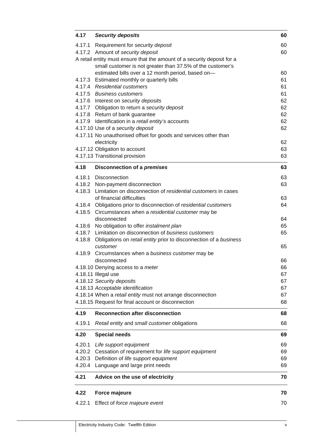| 4.17             | <b>Security deposits</b>                                                                                                      | 60       |
|------------------|-------------------------------------------------------------------------------------------------------------------------------|----------|
|                  | 4.17.1 Requirement for security deposit                                                                                       | 60       |
|                  | 4.17.2 Amount of security deposit                                                                                             | 60       |
|                  | A retail entity must ensure that the amount of a security deposit for a                                                       |          |
|                  | small customer is not greater than 37.5% of the customer's                                                                    |          |
|                  | estimated bills over a 12 month period, based on-                                                                             | 60       |
|                  | 4.17.3 Estimated monthly or quarterly bills                                                                                   | 61       |
|                  | 4.17.4 Residential customers                                                                                                  | 61       |
|                  | 4.17.5 Business customers                                                                                                     | 61       |
|                  | 4.17.6 Interest on security deposits                                                                                          | 62       |
|                  | 4.17.7 Obligation to return a security deposit                                                                                | 62       |
|                  | 4.17.8 Return of bank guarantee                                                                                               | 62<br>62 |
|                  | 4.17.9 Identification in a retail entity's accounts<br>4.17.10 Use of a security deposit                                      | 62       |
|                  | 4.17.11 No unauthorised offset for goods and services other than                                                              |          |
|                  | electricity                                                                                                                   | 62       |
|                  | 4.17.12 Obligation to account                                                                                                 | 63       |
|                  | 4.17.13 Transitional provision                                                                                                | 63       |
|                  |                                                                                                                               |          |
| 4.18             | Disconnection of a premises                                                                                                   | 63       |
|                  | 4.18.1 Disconnection                                                                                                          | 63       |
|                  | 4.18.2 Non-payment disconnection                                                                                              | 63       |
| 4.18.3           | Limitation on disconnection of residential customers in cases                                                                 |          |
|                  | of financial difficulties                                                                                                     | 63       |
|                  | 4.18.4 Obligations prior to disconnection of residential customers                                                            | 64       |
|                  | 4.18.5 Circumstances when a residential customer may be                                                                       |          |
|                  | disconnected                                                                                                                  | 64       |
|                  | 4.18.6 No obligation to offer instalment plan                                                                                 | 65       |
|                  | 4.18.7 Limitation on disconnection of business customers<br>Obligations on retail entity prior to disconnection of a business | 65       |
| 4.18.8           | customer                                                                                                                      | 65       |
|                  | 4.18.9 Circumstances when a business customer may be                                                                          |          |
|                  | disconnected                                                                                                                  | 66       |
|                  | 4.18.10 Denying access to a meter                                                                                             | 66       |
|                  | 4.18.11 Illegal use                                                                                                           | 67       |
|                  | 4.18.12 Security deposits                                                                                                     | 67       |
|                  | 4.18.13 Acceptable identification                                                                                             | 67       |
|                  | 4.18.14 When a retail entity must not arrange disconnection                                                                   | 67       |
|                  | 4.18.15 Request for final account or disconnection                                                                            | 68       |
| 4.19             | <b>Reconnection after disconnection</b>                                                                                       | 68       |
| 4.19.1           | Retail entity and small customer obligations                                                                                  | 68       |
| 4.20             | <b>Special needs</b>                                                                                                          | 69       |
|                  |                                                                                                                               |          |
| 4.20.1           | Life support equipment                                                                                                        | 69       |
| 4.20.2           | Cessation of requirement for life support equipment                                                                           | 69       |
| 4.20.3<br>4.20.4 | Definition of life support equipment<br>Language and large print needs                                                        | 69<br>69 |
|                  |                                                                                                                               |          |
| 4.21             | Advice on the use of electricity                                                                                              | 70       |
| 4.22             | Force majeure                                                                                                                 | 70       |
| 4.22.1           | Effect of force majeure event                                                                                                 | 70       |
|                  |                                                                                                                               |          |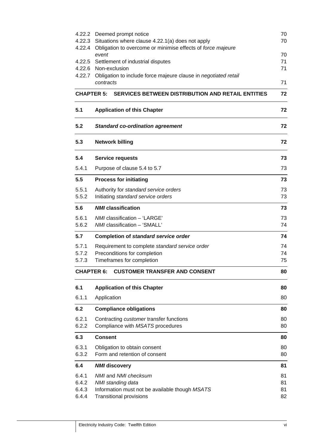|                   | 4.22.2 Deemed prompt notice                                                      | 70       |
|-------------------|----------------------------------------------------------------------------------|----------|
| 4.22.3            | Situations where clause 4.22.1(a) does not apply                                 | 70       |
| 4.22.4            | Obligation to overcome or minimise effects of force majeure                      |          |
|                   | event<br>4.22.5 Settlement of industrial disputes                                | 70<br>71 |
|                   | 4.22.6 Non-exclusion                                                             | 71       |
| 4.22.7            | Obligation to include force majeure clause in negotiated retail                  |          |
|                   | contracts                                                                        | 71       |
|                   | <b>CHAPTER 5:</b><br><b>SERVICES BETWEEN DISTRIBUTION AND RETAIL ENTITIES</b>    | 72       |
| 5.1               | <b>Application of this Chapter</b>                                               | 72       |
| 5.2               | <b>Standard co-ordination agreement</b>                                          | 72       |
| 5.3               | <b>Network billing</b>                                                           | 72       |
| 5.4               | <b>Service requests</b>                                                          | 73       |
| 5.4.1             | Purpose of clause 5.4 to 5.7                                                     | 73       |
| 5.5               | <b>Process for initiating</b>                                                    | 73       |
| 5.5.1             | Authority for standard service orders                                            | 73       |
| 5.5.2             | Initiating standard service orders                                               | 73       |
| 5.6               | <b>NMI</b> classification                                                        | 73       |
| 5.6.1             | NMI classification - 'LARGE'                                                     | 73       |
| 5.6.2             | NMI classification - 'SMALL'                                                     | 74       |
| 5.7               | Completion of standard service order                                             | 74       |
| 5.7.1             | Requirement to complete standard service order                                   | 74       |
| 5.7.2             | Preconditions for completion                                                     | 74       |
| 5.7.3             | Timeframes for completion                                                        | 75       |
| <b>CHAPTER 6:</b> | <b>CUSTOMER TRANSFER AND CONSENT</b>                                             | 80       |
| 6.1               | <b>Application of this Chapter</b>                                               | 80       |
| 6.1.1             | Application                                                                      | 80       |
| 6.2               | <b>Compliance obligations</b>                                                    | 80       |
| 6.2.1             | Contracting customer transfer functions                                          | 80       |
| 6.2.2             | Compliance with MSATS procedures                                                 | 80       |
| 6.3               | <b>Consent</b>                                                                   | 80       |
| 6.3.1             | Obligation to obtain consent                                                     | 80       |
| 6.3.2             | Form and retention of consent                                                    | 80       |
| 6.4               | <b>NMI</b> discovery                                                             | 81       |
| 6.4.1             | NMI and NMI checksum                                                             | 81       |
| 6.4.2             | NMI standing data                                                                | 81       |
| 6.4.3<br>6.4.4    | Information must not be available though MSATS<br><b>Transitional provisions</b> | 81<br>82 |
|                   |                                                                                  |          |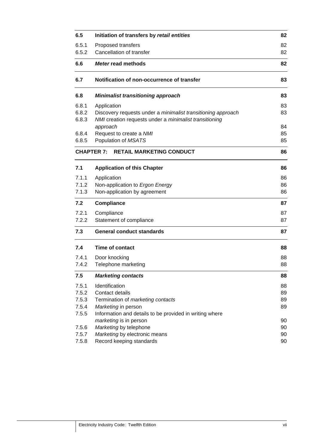| 6.5            | Initiation of transfers by retail entities                   | 82       |
|----------------|--------------------------------------------------------------|----------|
| 6.5.1<br>6.5.2 | Proposed transfers<br>Cancellation of transfer               | 82<br>82 |
|                |                                                              |          |
| 6.6            | Meter read methods                                           | 82       |
| 6.7            | Notification of non-occurrence of transfer                   | 83       |
| 6.8            | <b>Minimalist transitioning approach</b>                     | 83       |
| 6.8.1          | Application                                                  | 83       |
| 6.8.2          | Discovery requests under a minimalist transitioning approach | 83       |
| 6.8.3          | NMI creation requests under a minimalist transitioning       |          |
|                | approach                                                     | 84       |
| 6.8.4          | Request to create a NMI                                      | 85       |
| 6.8.5          | Population of MSATS                                          | 85       |
|                | <b>RETAIL MARKETING CONDUCT</b><br><b>CHAPTER 7:</b>         | 86       |
| 7.1            | <b>Application of this Chapter</b>                           | 86       |
| 7.1.1          | Application                                                  | 86       |
| 7.1.2          | Non-application to Ergon Energy                              | 86       |
| 7.1.3          | Non-application by agreement                                 | 86       |
| 7.2            | <b>Compliance</b>                                            | 87       |
| 7.2.1          | Compliance                                                   | 87       |
| 7.2.2          | Statement of compliance                                      | 87       |
| 7.3            | <b>General conduct standards</b>                             | 87       |
| 7.4            | <b>Time of contact</b>                                       | 88       |
| 7.4.1          | Door knocking                                                | 88       |
| 7.4.2          | Telephone marketing                                          | 88       |
| 7.5            | <b>Marketing contacts</b>                                    | 88       |
| 7.5.1          | Identification                                               | 88       |
| 7.5.2          | Contact details                                              | 89       |
| 7.5.3          | Termination of marketing contacts                            | 89       |
| 7.5.4          | Marketing in person                                          | 89       |
| 7.5.5          | Information and details to be provided in writing where      |          |
|                | marketing is in person                                       | 90       |
| 7.5.6          | Marketing by telephone                                       | 90       |
| 7.5.7          | Marketing by electronic means                                | 90       |
| 7.5.8          | Record keeping standards                                     | 90       |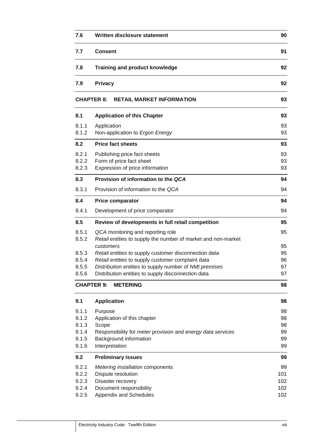| 7.6   | Written disclosure statement                                  | 90  |
|-------|---------------------------------------------------------------|-----|
| 7.7   | <b>Consent</b>                                                | 91  |
| 7.8   | <b>Training and product knowledge</b>                         | 92  |
| 7.9   | <b>Privacy</b>                                                | 92  |
|       | <b>RETAIL MARKET INFORMATION</b><br><b>CHAPTER 8:</b>         | 93  |
| 8.1   | <b>Application of this Chapter</b>                            | 93  |
| 8.1.1 | Application                                                   | 93  |
| 8.1.2 | Non-application to Ergon Energy                               | 93  |
| 8.2   | <b>Price fact sheets</b>                                      | 93  |
| 8.2.1 | Publishing price fact sheets                                  | 93  |
| 8.2.2 | Form of price fact sheet                                      | 93  |
| 8.2.3 | Expression of price information                               | 93  |
| 8.3   | Provision of information to the QCA                           | 94  |
| 8.3.1 | Provision of information to the QCA                           | 94  |
| 8.4   | <b>Price comparator</b>                                       | 94  |
| 8.4.1 | Development of price comparator                               | 94  |
| 8.5   | Review of developments in full retail competition             | 95  |
| 8.5.1 | QCA monitoring and reporting role                             | 95  |
| 8.5.2 | Retail entities to supply the number of market and non-market |     |
|       | customers                                                     | 95  |
| 8.5.3 | Retail entities to supply customer disconnection data         | 95  |
| 8.5.4 | Retail entities to supply customer complaint data             | 96  |
| 8.5.5 | Distribution entities to supply number of NMI premises        | 97  |
| 8.5.6 | Distribution entities to supply disconnection data            | 97  |
|       | <b>CHAPTER 9:</b><br><b>METERING</b>                          | 98  |
| 9.1   | <b>Application</b>                                            | 98  |
| 9.1.1 | Purpose                                                       | 98  |
| 9.1.2 | Application of this chapter                                   | 98  |
| 9.1.3 | Scope                                                         | 98  |
| 9.1.4 | Responsibility for meter provision and energy data services   | 99  |
| 9.1.5 | Background information                                        | 99  |
| 9.1.6 | Interpretation                                                | 99  |
| 9.2   | <b>Preliminary issues</b>                                     | 99  |
| 9.2.1 | Metering installation components                              | 99  |
| 9.2.2 | Dispute resolution                                            | 101 |
| 9.2.3 | Disaster recovery                                             | 102 |
| 9.2.4 | Document responsibility                                       | 102 |
| 9.2.5 | Appendix and Schedules                                        | 102 |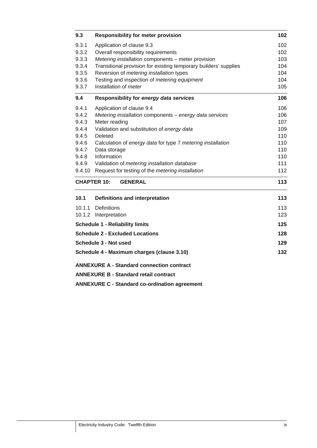| 9.3    | <b>Responsibility for meter provision</b>                        | 102 |
|--------|------------------------------------------------------------------|-----|
| 9.3.1  | Application of clause 9.3                                        | 102 |
| 9.3.2  | Overall responsibility requirements                              | 102 |
| 9.3.3  | Metering installation components - meter provision               | 103 |
| 9.3.4  | Transitional provision for existing temporary builders' supplies | 104 |
| 9.3.5  | Reversion of metering installation types                         | 104 |
| 9.3.6  | Testing and inspection of metering equipment                     | 104 |
| 9.3.7  | Installation of meter                                            | 105 |
| 9.4    | Responsibility for energy data services                          | 106 |
| 9.4.1  | Application of clause 9.4                                        | 106 |
| 9.4.2  | Metering installation components - energy data services          | 106 |
| 9.4.3  | Meter reading                                                    | 107 |
| 9.4.4  | Validation and substitution of energy data                       | 109 |
| 9.4.5  | Deleted                                                          | 110 |
| 9.4.6  | Calculation of energy data for type 7 metering installation      | 110 |
| 9.4.7  | Data storage                                                     | 110 |
| 9.4.8  | Information                                                      | 110 |
| 9.4.9  | Validation of metering installation database                     | 111 |
| 9.4.10 | Request for testing of the metering installation                 | 112 |
|        | <b>CHAPTER 10:</b><br><b>GENERAL</b>                             | 113 |
| 10.1   | Definitions and interpretation                                   | 113 |
| 10.1.1 | Definitions                                                      | 113 |
|        | 10.1.2 Interpretation                                            | 123 |
|        | <b>Schedule 1 - Reliability limits</b>                           | 125 |
|        | <b>Schedule 2 - Excluded Locations</b>                           | 128 |
|        | Schedule 3 - Not used                                            | 129 |
|        | Schedule 4 - Maximum charges (clause 3.10)                       | 132 |
|        | <b>ANNEXURE A - Standard connection contract</b>                 |     |
|        | <b>ANNEXURE B - Standard retail contract</b>                     |     |
|        | <b>ANNEXURE C - Standard co-ordination agreement</b>             |     |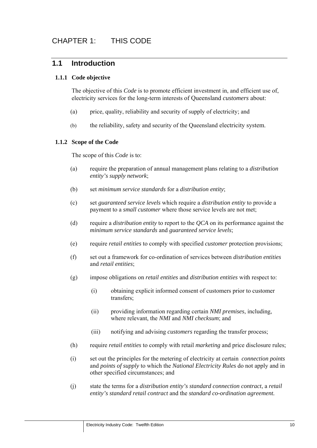# **1.1 Introduction**

#### **1.1.1 Code objective**

The objective of this *Code* is to promote efficient investment in, and efficient use of, electricity services for the long-term interests of Queensland *customers* about:

- (a) price, quality, reliability and security of supply of electricity; and
- (b) the reliability, safety and security of the Queensland electricity system.

#### **1.1.2 Scope of the Code**

The scope of this *Code* is to:

- (a) require the preparation of annual management plans relating to a *distribution entity's supply network*;
- (b) set *minimum service standards* for a *distribution entity*;
- (c) set *guaranteed service levels* which require a *distribution entity* to provide a payment to a *small customer* where those service levels are not met;
- (d) require a *distribution entity* to report to the *QCA* on its performance against the *minimum service standards* and *guaranteed service levels*;
- (e) require *retail entities* to comply with specified *customer* protection provisions;
- (f) set out a framework for co-ordination of services between *distribution entities*  and *retail entities*;
- (g) impose obligations on *retail entities* and *distribution entities* with respect to:
	- (i) obtaining explicit informed consent of customers prior to customer transfers;
	- (ii) providing information regarding certain *NMI premises*, including, where relevant, the *NMI* and *NMI checksum*; and
	- (iii) notifying and advising *customers* regarding the transfer process;
- (h) require *retail entities* to comply with retail *marketing* and price disclosure rules;
- (i) set out the principles for the metering of electricity at certain *connection points*  and *points of supply* to which the *National Electricity Rules* do not apply and in other specified circumstances; and
- (j) state the terms for a *distribution entity's standard connection contract*, a *retail entity's standard retail contract* and the *standard co-ordination agreement.*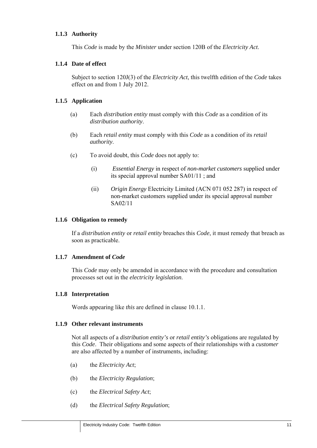#### **1.1.3 Authority**

This *Code* is made by the *Minister* under section 120B of the *Electricity Act*.

#### **1.1.4 Date of effect**

Subject to section 120J(3) of the *Electricity Act*, this twelfth edition of the *Code* takes effect on and from 1 July 2012.

#### **1.1.5 Application**

- (a) Each *distribution entity* must comply with this *Code* as a condition of its *distribution authority*.
- (b) Each *retail entity* must comply with this *Code* as a condition of its *retail authority*.
- (c) To avoid doubt, this *Code* does not apply to:
	- (i) *Essential Energy* in respect of *non-market customers* supplied under its special approval number SA01/11 ; and
	- (ii) *Origin Energy* Electricity Limited (ACN 071 052 287) in respect of non-market customers supplied under its special approval number SA02/11

#### **1.1.6 Obligation to remedy**

If a *distribution entity* or *retail entity* breaches this *Code*, it must remedy that breach as soon as practicable.

#### **1.1.7 Amendment of** *Code*

This *Code* may only be amended in accordance with the procedure and consultation processes set out in the *electricity legislation*.

#### **1.1.8 Interpretation**

Words appearing like *this* are defined in clause 10.1.1.

#### **1.1.9 Other relevant instruments**

Not all aspects of a *distribution entity's* or *retail entity's* obligations are regulated by this *Code*. Their obligations and some aspects of their relationships with a *customer* are also affected by a number of instruments, including:

- (a) the *Electricity Act*;
- (b) the *Electricity Regulation*;
- (c) the *Electrical Safety Act*;
- (d) the *Electrical Safety Regulation*;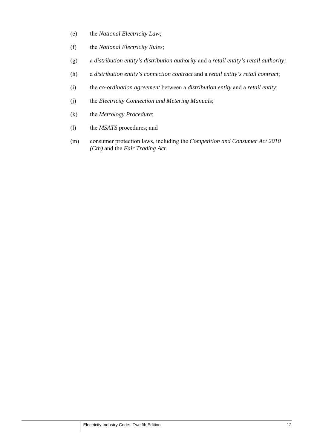- (e) the *National Electricity Law*;
- (f) the *National Electricity Rules*;
- (g) a *distribution entity's distribution authority* and a *retail entity's retail authority;*
- (h) a *distribution entity's connection contract* and a *retail entity's retail contract*;
- (i) the *co-ordination agreement* between a *distribution entity* and a *retail entity*;
- (j) the *Electricity Connection and Metering Manuals*;
- (k) the *Metrology Procedure*;
- (l) the *MSATS* procedures; and
- (m) consumer protection laws, including the *Competition and Consumer Act 2010 (Cth)* and the *Fair Trading Act*.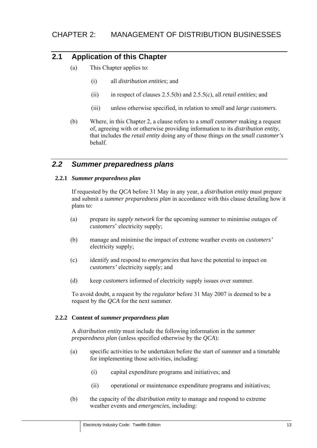# **2.1 Application of this Chapter**

- (a) This Chapter applies to:
	- (i) all *distribution entities*; and
	- (ii) in respect of clauses 2.5.5(b) and 2.5.5(c), all *retail entities*; and
	- (iii) unless otherwise specified, in relation to *small* and *large customers*.
- (b) Where, in this Chapter 2, a clause refers to a *small customer* making a request of, agreeing with or otherwise providing information to its *distribution entity*, that includes the *retail entity* doing any of those things on the *small customer's* behalf.

# *2.2 Summer preparedness plans*

#### **2.2.1** *Summer preparedness plan*

If requested by the *QCA* before 31 May in any year, a *distribution entity* must prepare and submit a *summer preparedness plan* in accordance with this clause detailing how it plans to:

- (a) prepare its *supply network* for the upcoming summer to minimise outages of *customers*' electricity supply;
- (b) manage and minimise the impact of extreme weather events on *customers'* electricity supply;
- (c) identify and respond to *emergencies* that have the potential to impact on *customers'* electricity supply; and
- (d) keep *customers* informed of electricity supply issues over summer.

To avoid doubt, a request by the *regulator* before 31 May 2007 is deemed to be a request by the *QCA* for the next summer.

#### **2.2.2 Content of** *summer preparedness plan*

A *distribution entity* must include the following information in the *summer preparedness plan* (unless specified otherwise by the *QCA*):

- (a) specific activities to be undertaken before the start of summer and a timetable for implementing those activities, including:
	- (i) capital expenditure programs and initiatives; and
	- (ii) operational or maintenance expenditure programs and initiatives;
- (b) the capacity of the *distribution entity* to manage and respond to extreme weather events and *emergencies*, including: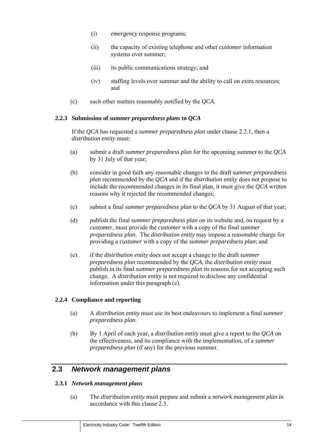- (i) *emergency* response programs;
- (ii) the capacity of existing telephone and other *customer* information systems over summer;
- (iii) its public communications strategy; and
- (iv) staffing levels over summer and the ability to call on extra resources; and
- (c) such other matters reasonably notified by the *QCA*.

#### **2.2.3 Submission of** *summer preparedness plans* **to** *QCA*

If the *QCA* has requested a *summer preparedness plan* under clause 2.2.1, then a *distribution entity* must:

- (a) submit a draft *summer preparedness plan* for the upcoming summer to the *QCA* by 31 July of that year;
- (b) consider in good faith any reasonable changes to the draft *summer preparedness plan* recommended by the *QCA* and if the *distribution entity* does not propose to include the recommended changes in its final plan, it must give the *QCA* written reasons why it rejected the recommended changes;
- (c) submit a final *summer preparedness plan* to the *QCA* by 31 August of that year;
- (d) publish the final *summer preparedness plan* on its website and, on request by a *customer*, must provide the *customer* with a copy of the final *summer preparedness plan*. The *distribution entity* may impose a reasonable charge for providing a *customer* with a copy of the *summer preparedness plan*; and
- (e) if the *distribution entity* does not accept a change to the draft *summer preparedness plan* recommended by the *QCA*, the *distribution entity* must publish in its final *summer preparedness plan* its reasons for not accepting such change. A *distribution entity* is not required to disclose any confidential information under this paragraph (e).

#### **2.2.4 Compliance and reporting**

- (a) A *distribution entity* must use its best endeavours to implement a final *summer preparedness plan*.
- (b) By 1 April of each year, a *distribution entity* must give a report to the *QCA* on the effectiveness, and its compliance with the implementation, of a *summer preparedness plan* (if any) for the previous summer.

# **2.3** *Network management plans*

#### **2.3.1** *Network management plans*

(a) The *distribution entity* must prepare and submit a *network management plan* in accordance with this clause 2.3.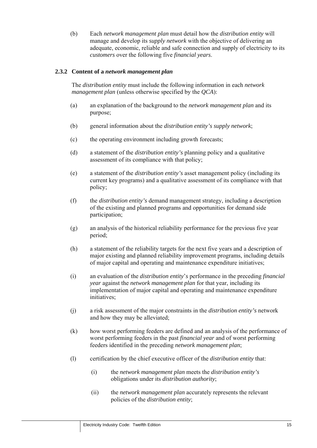(b) Each *network management plan* must detail how the *distribution entity* will manage and develop its *supply network* with the objective of delivering an adequate, economic, reliable and safe connection and supply of electricity to its *customers* over the following five *financial years*.

#### **2.3.2 Content of a** *network management plan*

The *distribution entity* must include the following information in each *network management plan* (unless otherwise specified by the *QCA*):

- (a) an explanation of the background to the *network management plan* and its purpose;
- (b) general information about the *distribution entity's supply network*;
- (c) the operating environment including growth forecasts;
- (d) a statement of the *distribution entity's* planning policy and a qualitative assessment of its compliance with that policy;
- (e) a statement of the *distribution entity's* asset management policy (including its current key programs) and a qualitative assessment of its compliance with that policy;
- (f) the *distribution entity's* demand management strategy, including a description of the existing and planned programs and opportunities for demand side participation;
- (g) an analysis of the historical reliability performance for the previous five year period;
- (h) a statement of the reliability targets for the next five years and a description of major existing and planned reliability improvement programs, including details of major capital and operating and maintenance expenditure initiatives;
- (i) an evaluation of the *distribution entity*'*s* performance in the preceding *financial year* against the *network management plan* for that year, including its implementation of major capital and operating and maintenance expenditure initiatives;
- (j) a risk assessment of the major constraints in the *distribution entity's* network and how they may be alleviated;
- (k) how worst performing feeders are defined and an analysis of the performance of worst performing feeders in the past *financial year* and of worst performing feeders identified in the preceding *network management plan*;
- (l) certification by the chief executive officer of the *distribution entity* that:
	- (i) the *network management plan* meets the *distribution entity's* obligations under its *distribution authority*;
	- (ii) the *network management plan* accurately represents the relevant policies of the *distribution entity*;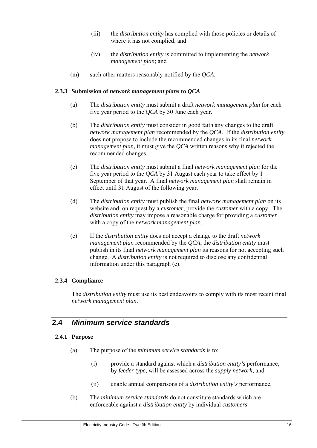- (iii) the *distribution entity* has complied with those policies or details of where it has not complied; and
- (iv) the *distribution entity* is committed to implementing the *network management plan*; and
- (m) such other matters reasonably notified by the *QCA*.

#### **2.3.3 Submission of** *network management plans* **to** *QCA*

- (a) The *distribution entity* must submit a draft *network management plan* for each five year period to the *QCA* by 30 June each year.
- (b) The *distribution entity* must consider in good faith any changes to the draft *network management plan* recommended by the *QCA*. If the *distribution entity* does not propose to include the recommended changes in its final *network management plan*, it must give the *QCA* written reasons why it rejected the recommended changes.
- (c) The *distribution entity* must submit a final *network management plan* for the five year period to the *QCA* by 31 August each year to take effect by 1 September of that year. A final *network management plan* shall remain in effect until 31 August of the following year.
- (d) The *distribution entity* must publish the final *network management plan* on its website and, on request by a *customer*, provide the *customer* with a copy. The *distribution entity* may impose a reasonable charge for providing a *customer* with a copy of the *network management plan*.
- (e) If the *distribution entity* does not accept a change to the draft *network management plan* recommended by the *QCA*, the *distribution entity* must publish in its final *network management plan* its reasons for not accepting such change. A *distribution entity* is not required to disclose any confidential information under this paragraph (e).

#### **2.3.4 Compliance**

The *distribution entity* must use its best endeavours to comply with its most recent final *network management plan*.

# **2.4** *Minimum service standards*

#### **2.4.1 Purpose**

- (a) The purpose of the *minimum service standards* is to:
	- (i) provide a standard against which a *distribution entity's* performance, by *feeder type*, will be assessed across the *supply network*; and
	- (ii) enable annual comparisons of a *distribution entity's* performance.
- (b) The *minimum service standards* do not constitute standards which are enforceable against a *distribution entity* by individual *customers*.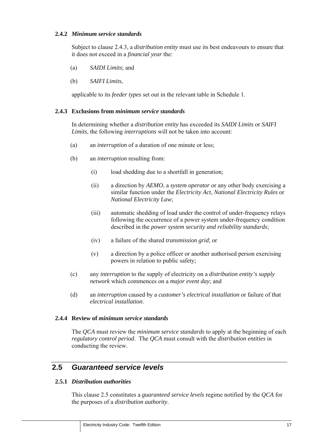#### **2.4.2** *Minimum service standards*

Subject to clause 2.4.3, a *distribution entity* must use its best endeavours to ensure that it does not exceed in a *financial year* the:

- (a) *SAIDI Limits*; and
- (b) *SAIFI Limits*,

applicable to its *feeder types* set out in the relevant table in Schedule 1.

#### **2.4.3 Exclusions from** *minimum service standards*

In determining whether a *distribution entity* has exceeded its *SAIDI Limits* or *SAIFI Limits*, the following *interruptions* will not be taken into account:

- (a) an *interruption* of a duration of one minute or less;
- (b) an *interruption* resulting from:
	- (i) load shedding due to a shortfall in generation;
	- (ii) a direction by *AEMO*, a *system operator* or any other body exercising a similar function under the *Electricity Act*, *National Electricity Rules* or *National Electricity Law*;
	- (iii) automatic shedding of load under the control of under-frequency relays following the occurrence of a power system under-frequency condition described in the *power system security and reliability standards*;
	- (iv) a failure of the shared *transmission grid*; or
	- (v) a direction by a police officer or another authorised person exercising powers in relation to public safety;
- (c) any *interruption* to the supply of electricity on a *distribution entity's supply network* which commences on a *major event day*; and
- (d) an *interruption* caused by a *customer's electrical installation* or failure of that *electrical installation*.

#### **2.4.4 Review of** *minimum service standards*

The *QCA* must review the *minimum service standards* to apply at the beginning of each *regulatory control period*. The *QCA* must consult with the *distribution entities* in conducting the review.

# **2.5** *Guaranteed service levels*

#### **2.5.1** *Distribution authorities*

This clause 2.5 constitutes a *guaranteed service levels* regime notified by the *QCA* for the purposes of a *distribution authority*.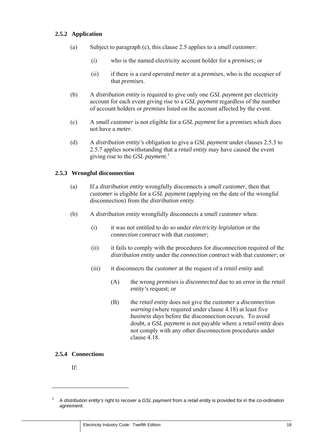#### **2.5.2 Application**

- (a) Subject to paragraph (c), this clause 2.5 applies to a *small customer*:
	- (i) who is the named electricity account holder for a *premises*; or
	- (ii) if there is a *card operated meter* at a *premises*, who is the occupier of that *premises*.
- (b) A *distribution entity* is required to give only one *GSL payment* per electricity account for each event giving rise to a *GSL payment* regardless of the number of account holders or *premises* listed on the account affected by the event.
- (c) A *small customer* is not eligible for a *GSL payment* for a *premises* which does not have a *meter*.
- (d) A *distribution entity's* obligation to give a *GSL payment* under clauses 2.5.3 to 2.5.7 applies notwithstanding that a *retail entity* may have caused the event giving rise to the *GSL payment*. 1

#### **2.5.3 Wrongful disconnection**

- (a) If a *distribution entity* wrongfully disconnects a *small customer*, then that *customer* is eligible for a *GSL payment* (applying on the date of the wrongful disconnection) from the *distribution entity*.
- (b) A *distribution entity* wrongfully disconnects a *small customer* when:
	- (i) it was not entitled to do so under *electricity legislation* or the *connection contract* with that *customer*;
	- (ii) it fails to comply with the procedures for disconnection required of the *distribution entity* under the *connection contract* with that *customer*; or
	- (iii) it disconnects the *customer* at the request of a *retail entity* and:
		- (A) the wrong *premises* is *disconnected* due to an error in the *retail entity's* request; or
		- (B) the *retail entity* does not give the *customer* a *disconnection warning* (where required under clause 4.18) at least five *business days* before the disconnection occurs. To avoid doubt, a *GSL payment* is not payable where a *retail entity* does not comply with any other disconnection procedures under clause 4.18.

#### **2.5.4 Connections**

If:

<sup>1</sup> A *distribution entity's* right to recover a *GSL payment* from a *retail entity* is provided for in the c*o-ordination agreement*.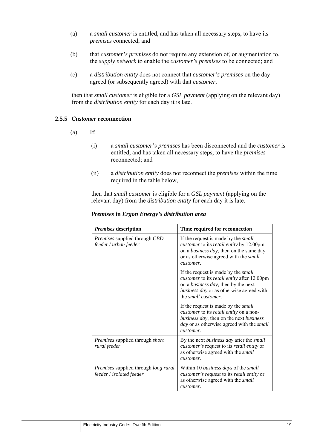- (a) a *small customer* is entitled, and has taken all necessary steps, to have its *premises* connected; and
- (b) that *customer's premises* do not require any extension of, or augmentation to, the *supply network* to enable the *customer's premises* to be connected; and
- (c) a *distribution entity* does not connect that *customer's premises* on the day agreed (or subsequently agreed) with that *customer*,

then that *small customer* is eligible for a *GSL payment* (applying on the relevant day) from the *distribution entity* for each day it is late.

#### **2.5.5** *Customer* **reconnection**

- $(a)$  If:
	- (i) a *small customer*'s *premises* has been disconnected and the *customer* is entitled, and has taken all necessary steps, to have the *premises* reconnected; and
	- (ii) a *distribution entity* does not reconnect the *premises* within the time required in the table below,

then that *small customer* is eligible for a *GSL payment* (applying on the relevant day) from the *distribution entity* for each day it is late.

| Premises description                                                           | Time required for reconnection                                                                                                                                                                                       |
|--------------------------------------------------------------------------------|----------------------------------------------------------------------------------------------------------------------------------------------------------------------------------------------------------------------|
| <i>Premises</i> supplied through CBD<br>feeder / urban feeder                  | If the request is made by the <i>small</i><br><i>customer</i> to its <i>retail entity</i> by 12.00pm<br>on a <i>business day</i> , then on the same day<br>or as otherwise agreed with the <i>small</i><br>customer. |
|                                                                                | If the request is made by the <i>small</i><br>customer to its retail entity after 12.00pm<br>on a <i>business day</i> , then by the next<br>business day or as otherwise agreed with<br>the <i>small</i> customer.   |
|                                                                                | If the request is made by the <i>small</i><br>customer to its retail entity on a non-<br>business day, then on the next business<br><i>day</i> or as otherwise agreed with the <i>small</i><br>customer.             |
| Premises supplied through short<br>rural feeder                                | By the next business day after the small<br><i>customer's</i> request to its <i>retail entity</i> or<br>as otherwise agreed with the small<br>customer.                                                              |
| <i>Premises</i> supplied through <i>long rural</i><br>feeder / isolated feeder | Within 10 business days of the small<br>customer's request to its retail entity or<br>as otherwise agreed with the small<br>customer.                                                                                |

#### *Premises* **in** *Ergon Energy's distribution area*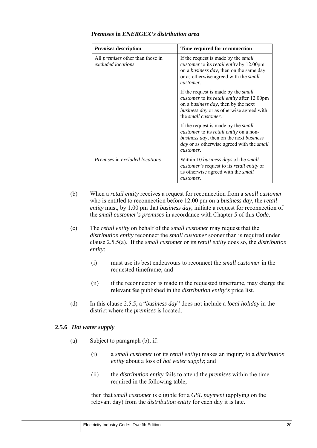| <b>Premises description</b>                                   | Time required for reconnection                                                                                                                                                                                                    |
|---------------------------------------------------------------|-----------------------------------------------------------------------------------------------------------------------------------------------------------------------------------------------------------------------------------|
| All <i>premises</i> other than those in<br>excluded locations | If the request is made by the <i>small</i><br>customer to its retail entity by 12.00pm<br>on a <i>business day</i> , then on the same day<br>or as otherwise agreed with the <i>small</i><br>customer.                            |
|                                                               | If the request is made by the <i>small</i><br><i>customer</i> to its <i>retail entity</i> after 12.00pm<br>on a <i>business day</i> , then by the next<br>business day or as otherwise agreed with<br>the <i>small customer</i> . |
|                                                               | If the request is made by the <i>small</i><br>customer to its retail entity on a non-<br>business day, then on the next business<br><i>day</i> or as otherwise agreed with the <i>small</i><br>customer.                          |
| <i>Premises</i> in <i>excluded locations</i>                  | Within 10 business days of the small<br><i>customer's</i> request to its <i>retail entity</i> or<br>as otherwise agreed with the small<br>customer.                                                                               |

#### *Premises* **in** *ENERGEX's distribution area*

- (b) When a *retail entity* receives a request for reconnection from a *small customer* who is entitled to reconnection before 12.00 pm on a *business day*, the *retail entity* must, by 1.00 pm that *business day*, initiate a request for reconnection of the *small customer's premises* in accordance with Chapter 5 of this *Code*.
- (c) The *retail entity* on behalf of the *small customer* may request that the *distribution entity* reconnect the *small customer* sooner than is required under clause 2.5.5(a). If the *small customer* or its *retail entity* does so, the *distribution entity*:
	- (i) must use its best endeavours to reconnect the *small customer* in the requested timeframe; and
	- (ii) if the reconnection is made in the requested timeframe, may charge the relevant fee published in the *distribution entity's* price list.
- (d) In this clause 2.5.5, a "*business day*" does not include a *local holiday* in the district where the *premises* is located.

#### **2.5.6** *Hot water supply*

- (a) Subject to paragraph (b), if:
	- (i) a *small customer* (or its *retail entity*) makes an inquiry to a *distribution entity* about a loss of *hot water supply*; and
	- (ii) the *distribution entity* fails to attend the *premises* within the time required in the following table,

then that *small customer* is eligible for a *GSL payment* (applying on the relevant day) from the *distribution entity* for each day it is late.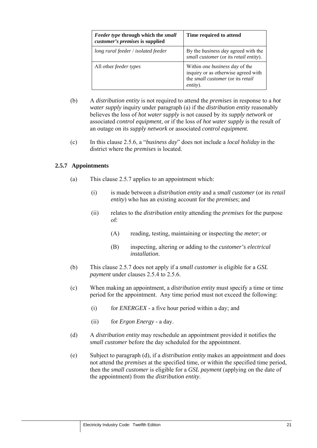| Feeder type through which the small<br>customer's premises is supplied | Time required to attend                                                                                                               |
|------------------------------------------------------------------------|---------------------------------------------------------------------------------------------------------------------------------------|
| long rural feeder / isolated feeder                                    | By the <i>business day</i> agreed with the<br>small customer (or its retail entity).                                                  |
| All other <i>feeder types</i>                                          | Within one <i>business day</i> of the<br>inquiry or as otherwise agreed with<br>the small customer (or its retail<br><i>entity</i> ). |

- (b) A *distribution entity* is not required to attend the *premises* in response to a *hot water supply* inquiry under paragraph (a) if the *distribution entity* reasonably believes the loss of *hot water supply* is not caused by its *supply network* or associated *control equipment*, or if the loss of *hot water supply* is the result of an outage on its *supply network* or associated *control equipment*.
- (c) In this clause 2.5.6, a "*business day*" does not include a *local holiday* in the district where the *premises* is located.

#### **2.5.7 Appointments**

- (a) This clause 2.5.7 applies to an appointment which:
	- (i) is made between a *distribution entity* and a *small customer* (or its *retail entity*) who has an existing account for the *premises*; and
	- (ii) relates to the *distribution entity* attending the *premises* for the purpose of:
		- (A) reading, testing, maintaining or inspecting the *meter*; or
		- (B) inspecting, altering or adding to the *customer's electrical installation*.
- (b) This clause 2.5.7 does not apply if a *small customer* is eligible for a *GSL payment* under clauses 2.5.4 to 2.5.6.
- (c) When making an appointment, a *distribution entity* must specify a time or time period for the appointment. Any time period must not exceed the following:
	- (i) for *ENERGEX* a five hour period within a day; and
	- (ii) for *Ergon Energy* a day.
- (d) A *distribution entity* may reschedule an appointment provided it notifies the *small customer* before the day scheduled for the appointment.
- (e) Subject to paragraph (d), if a *distribution entity* makes an appointment and does not attend the *premises* at the specified time, or within the specified time period, then the *small customer* is eligible for a *GSL payment* (applying on the date of the appointment) from the *distribution entity*.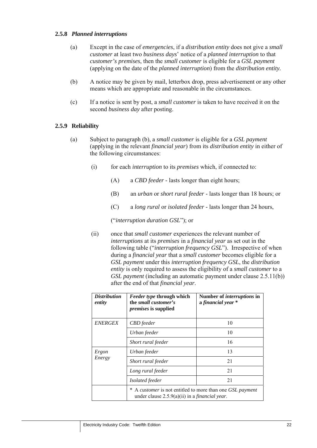#### **2.5.8** *Planned interruptions*

- (a) Except in the case of *emergencies*, if a *distribution entity* does not give a *small customer* at least two *business days*' notice of a *planned interruption* to that *customer's premises*, then the *small customer* is eligible for a *GSL payment* (applying on the date of the *planned interruption*) from the *distribution entity.*
- (b) A notice may be given by mail, letterbox drop, press advertisement or any other means which are appropriate and reasonable in the circumstances.
- (c) If a notice is sent by post, a *small customer* is taken to have received it on the second *business day* after posting.

#### **2.5.9 Reliability**

- (a) Subject to paragraph (b), a *small customer* is eligible for a *GSL payment* (applying in the relevant *financial year*) from its *distribution entity* in either of the following circumstances:
	- (i) for each *interruption* to its *premises* which, if connected to:
		- (A) a *CBD feeder*  lasts longer than eight hours;
		- (B) an *urban* or *short rural feeder*  lasts longer than 18 hours; or
		- (C) a *long rural* or *isolated feeder*  lasts longer than 24 hours,

("*interruption duration GSL*"); or

(ii) once that *small customer* experiences the relevant number of *interruptions* at its *premises* in a *financial year* as set out in the following table ("*interruption frequency GSL*"). Irrespective of when during a *financial year* that a *small customer* becomes eligible for a *GSL payment* under this *interruption frequency GSL*, the *distribution entity* is only required to assess the eligibility of a *small customer* to a *GSL payment* (including an automatic payment under clause 2.5.11(b)) after the end of that *financial year*.

| <b>Distribution</b><br>entity | <i>Feeder type</i> through which<br>the <i>small customer's</i><br><i>premises</i> is supplied                      | Number of <i>interruptions</i> in<br>a financial year * |
|-------------------------------|---------------------------------------------------------------------------------------------------------------------|---------------------------------------------------------|
| <b>ENERGEX</b>                | CBD feeder                                                                                                          | 10                                                      |
|                               | Urban feeder                                                                                                        | 10                                                      |
|                               | Short rural feeder                                                                                                  | 16                                                      |
| Ergon<br>Energy               | Urban feeder                                                                                                        | 13                                                      |
|                               | Short rural feeder                                                                                                  | 21                                                      |
|                               | Long rural feeder                                                                                                   | 21                                                      |
|                               | Isolated feeder                                                                                                     | 21                                                      |
|                               | A customer is not entitled to more than one GSL payment<br>under clause $2.5.9(a)(ii)$ in a <i>financial year</i> . |                                                         |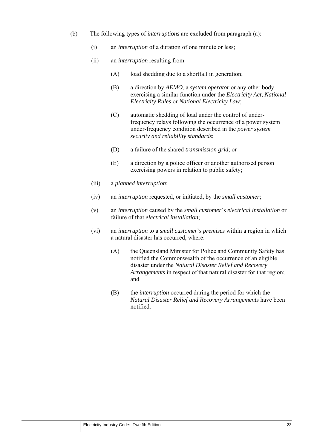- (b) The following types of *interruptions* are excluded from paragraph (a):
	- (i) an *interruption* of a duration of one minute or less;
	- (ii) an *interruption* resulting from:
		- (A) load shedding due to a shortfall in generation;
		- (B) a direction by *AEMO*, a *system operator* or any other body exercising a similar function under the *Electricity Act*, *National Electricity Rules* or *National Electricity Law*;
		- (C) automatic shedding of load under the control of underfrequency relays following the occurrence of a power system under-frequency condition described in the *power system security and reliability standards*;
		- (D) a failure of the shared *transmission grid*; or
		- (E) a direction by a police officer or another authorised person exercising powers in relation to public safety;
	- (iii) a *planned interruption*;
	- (iv) an *interruption* requested, or initiated, by the *small customer*;
	- (v) an *interruption* caused by the *small customer*'s *electrical installation* or failure of that *electrical installation*;
	- (vi) an *interruption* to a *small customer*'s *premises* within a region in which a natural disaster has occurred, where:
		- (A) the Queensland Minister for Police and Community Safety has notified the Commonwealth of the occurrence of an eligible disaster under the *Natural Disaster Relief and Recovery Arrangements* in respect of that natural disaster for that region; and
		- (B) the *interruption* occurred during the period for which the *Natural Disaster Relief and Recovery Arrangements* have been notified.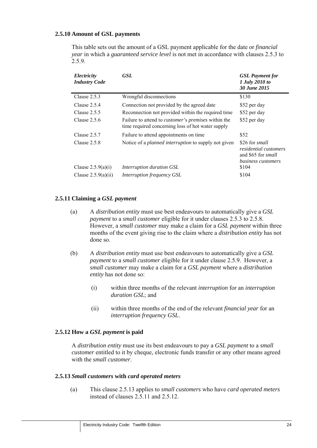#### **2.5.10 Amount of GSL payments**

This table sets out the amount of a GSL payment applicable for the date or *financial year* in which a *guaranteed service level* is not met in accordance with clauses 2.5.3 to 2.5.9.

| Electricity<br><b>Industry Code</b> | <b>GSL</b>                                                                                                      | <b>GSL</b> Payment for<br>1 July 2010 to<br>30 June 2015                                          |
|-------------------------------------|-----------------------------------------------------------------------------------------------------------------|---------------------------------------------------------------------------------------------------|
| Clause $2.5.3$                      | Wrongful disconnections                                                                                         | \$130                                                                                             |
| Clause $2.5.4$                      | Connection not provided by the agreed date                                                                      | \$52 per day                                                                                      |
| Clause $2.5.5$                      | Reconnection not provided within the required time                                                              | \$52 per day                                                                                      |
| Clause $2.5.6$                      | Failure to attend to <i>customer's premises</i> within the<br>time required concerning loss of hot water supply | \$52 per day                                                                                      |
| Clause $2.5.7$                      | Failure to attend appointments on time                                                                          | \$52                                                                                              |
| Clause $2.5.8$                      | Notice of a <i>planned interruption</i> to supply not given                                                     | \$26 for small<br><i>residential customers</i><br>and \$65 for <i>small</i><br>business customers |
| Clause $2.5.9(a)(i)$                | Interruption duration GSL                                                                                       | \$104                                                                                             |
| Clause $2.5.9(a)(ii)$               | Interruption frequency GSL                                                                                      | \$104                                                                                             |

#### **2.5.11 Claiming a** *GSL payment*

- (a) A *distribution entity* must use best endeavours to automatically give a *GSL payment* to a *small customer* eligible for it under clauses 2.5.3 to 2.5.8. However, a *small customer* may make a claim for a *GSL payment* within three months of the event giving rise to the claim where a *distribution entity* has not done so.
- (b) A *distribution entity* must use best endeavours to automatically give a *GSL payment* to a *small customer* eligible for it under clause 2.5.9. However, a *small customer* may make a claim for a *GSL payment* where a *distribution entity* has not done so:
	- (i) within three months of the relevant *interruption* for an *interruption duration GSL*; and
	- (ii) within three months of the end of the relevant *financial year* for an *interruption frequency GSL*.

#### **2.5.12 How a** *GSL payment* **is paid**

A *distribution entity* must use its best endeavours to pay a *GSL payment* to a *small customer* entitled to it by cheque, electronic funds transfer or any other means agreed with the *small customer*.

#### **2.5.13** *Small customers* **with** *card operated meters*

(a) This clause 2.5.13 applies to *small customers* who have *card operated meters* instead of clauses 2.5.11 and 2.5.12.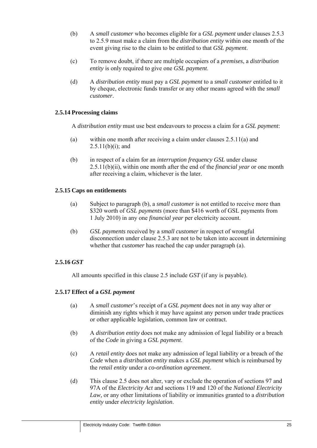- (b) A *small customer* who becomes eligible for a *GSL payment* under clauses 2.5.3 to 2.5.9 must make a claim from the *distribution entity* within one month of the event giving rise to the claim to be entitled to that *GSL payment*.
- (c) To remove doubt, if there are multiple occupiers of a *premises*, a *distribution entity* is only required to give one *GSL payment*.
- (d) A *distribution entity* must pay a *GSL payment* to a *small customer* entitled to it by cheque, electronic funds transfer or any other means agreed with the *small customer*.

#### **2.5.14 Processing claims**

A *distribution entity* must use best endeavours to process a claim for a *GSL payment*:

- (a) within one month after receiving a claim under clauses 2.5.11(a) and  $2.5.11(b)(i)$ ; and
- (b) in respect of a claim for an *interruption frequency GSL* under clause 2.5.11(b)(ii), within one month after the end of the *financial year* or one month after receiving a claim, whichever is the later.

#### **2.5.15 Caps on entitlements**

- (a) Subject to paragraph (b), a *small customer* is not entitled to receive more than \$320 worth of *GSL payments* (more than \$416 worth of GSL payments from 1 July 2010) in any one *financial year* per electricity account.
- (b) *GSL payments* received by a *small customer* in respect of wrongful disconnection under clause 2.5.3 are not to be taken into account in determining whether that *customer* has reached the cap under paragraph (a).

#### **2.5.16** *GST*

All amounts specified in this clause 2.5 include *GST* (if any is payable).

#### **2.5.17 Effect of a** *GSL payment*

- (a) A *small customer*'s receipt of a *GSL payment* does not in any way alter or diminish any rights which it may have against any person under trade practices or other applicable legislation, common law or contract.
- (b) A *distribution entity* does not make any admission of legal liability or a breach of the *Code* in giving a *GSL payment*.
- (c) A *retail entity* does not make any admission of legal liability or a breach of the *Code* when a *distribution entity* makes a *GSL payment* which is reimbursed by the *retail entity* under a *co-ordination agreement*.
- (d) This clause 2.5 does not alter, vary or exclude the operation of sections 97 and 97A of the *Electricity Act* and sections 119 and 120 of the *National Electricity Law,* or any other limitations of liability or immunities granted to a *distribution entity* under *electricity legislation*.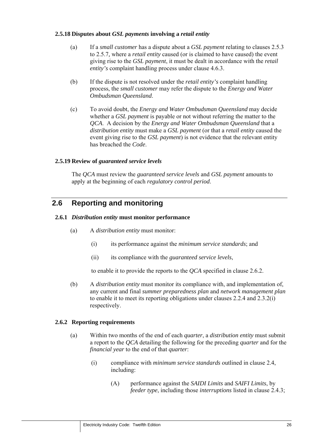#### **2.5.18 Disputes about** *GSL payments* **involving a** *retail entity*

- (a) If a *small customer* has a dispute about a *GSL payment* relating to clauses 2.5.3 to 2.5.7*,* where a *retail entity* caused (or is claimed to have caused) the event giving rise to the *GSL payment*, it must be dealt in accordance with the *retail entity's* complaint handling process under clause 4.6.3.
- (b) If the dispute is not resolved under the *retail entity's* complaint handling process, the *small customer* may refer the dispute to the *Energy and Water Ombudsman Queensland*.
- (c) To avoid doubt, the *Energy and Water Ombudsman Queensland* may decide whether a *GSL payment* is payable or not without referring the matter to the *QCA*. A decision by the *Energy and Water Ombudsman Queensland* that a *distribution entity* must make a *GSL payment* (or that a *retail entity* caused the event giving rise to the *GSL payment*) is not evidence that the relevant entity has breached the *Code*.

#### **2.5.19 Review of** *guaranteed service levels*

The *QCA* must review the *guaranteed service levels* and *GSL payment* amounts to apply at the beginning of each *regulatory control period*.

# **2.6 Reporting and monitoring**

#### **2.6.1** *Distribution entity* **must monitor performance**

- (a) A *distribution entity* must monitor:
	- (i) its performance against the *minimum service standards*; and
	- (ii) its compliance with the *guaranteed service levels*,

to enable it to provide the reports to the *QCA* specified in clause 2.6.2.

(b) A *distribution entity* must monitor its compliance with, and implementation of, any current and final *summer preparedness plan* and *network management plan* to enable it to meet its reporting obligations under clauses 2.2.4 and 2.3.2(i) respectively.

#### **2.6.2 Reporting requirements**

- (a) Within two months of the end of each *quarter*, a *distribution entity* must submit a report to the *QCA* detailing the following for the preceding *quarter* and for the *financial year* to the end of that *quarter*:
	- (i) compliance with *minimum service standards* outlined in clause 2.4, including:
		- (A) performance against the *SAIDI Limits* and *SAIFI Limits*, by *feeder type*, including those *interruptions* listed in clause 2.4.3;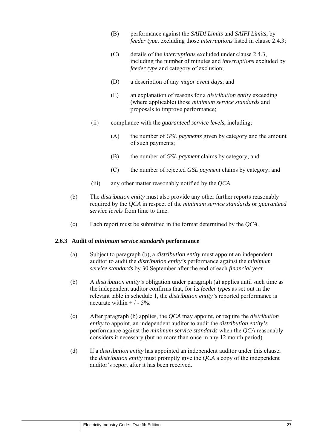- (B) performance against the *SAIDI Limits* and *SAIFI Limits*, by *feeder type*, excluding those *interruptions* listed in clause 2.4.3;
- (C) details of the *interruptions* excluded under clause 2.4.3, including the number of minutes and *interruptions* excluded by *feeder type* and category of exclusion;
- (D) a description of any *major event days*; and
- (E) an explanation of reasons for a *distribution entity* exceeding (where applicable) those *minimum service standards* and proposals to improve performance;
- (ii) compliance with the *guaranteed service levels*, including;
	- (A) the number of *GSL payments* given by category and the amount of such payments;
	- (B) the number of *GSL payment* claims by category; and
	- (C) the number of rejected *GSL payment* claims by category; and
- (iii) any other matter reasonably notified by the *QCA*.
- (b) The *distribution entity* must also provide any other further reports reasonably required by the *QCA* in respect of the *minimum service standards* or *guaranteed service levels* from time to time.
- (c) Each report must be submitted in the format determined by the *QCA*.

#### **2.6.3 Audit of** *minimum service standards* **performance**

- (a) Subject to paragraph (b), a *distribution entity* must appoint an independent auditor to audit the *distribution entity's* performance against the *minimum service standards* by 30 September after the end of each *financial year*.
- (b) A *distribution entity's* obligation under paragraph (a) applies until such time as the independent auditor confirms that, for its *feeder types* as set out in the relevant table in schedule 1, the *distribution entity's* reported performance is accurate within  $+/-5%$ .
- (c) After paragraph (b) applies, the *QCA* may appoint, or require the *distribution entity* to appoint, an independent auditor to audit the *distribution entity's* performance against the *minimum service standards* when the *QCA* reasonably considers it necessary (but no more than once in any 12 month period).
- (d) If a *distribution entity* has appointed an independent auditor under this clause, the *distribution entity* must promptly give the *QCA* a copy of the independent auditor's report after it has been received.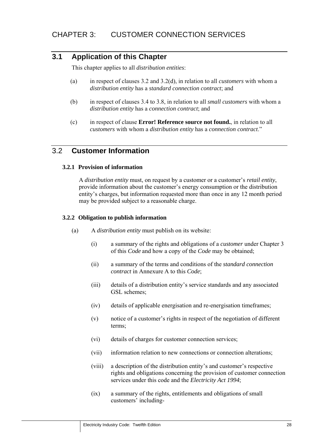# **3.1 Application of this Chapter**

This chapter applies to all *distribution entities*:

- (a) in respect of clauses 3.2 and 3.2(d), in relation to all *customers* with whom a *distribution entity* has a *standard connection contract*; and
- (b) in respect of clauses 3.4 to 3.8, in relation to all *small customers* with whom a *distribution entity* has a *connection contract*; and
- (c) in respect of clause **Error! Reference source not found.**, in relation to all *customers* with whom a *distribution entity* has a *connection contract*."

# 3.2 **Customer Information**

#### **3.2.1 Provision of information**

A *distribution entity* must, on request by a customer or a customer's *retail entity*, provide information about the customer's energy consumption or the distribution entity's charges, but information requested more than once in any 12 month period may be provided subject to a reasonable charge.

#### **3.2.2 Obligation to publish information**

- (a) A *distribution entity* must publish on its website:
	- (i) a summary of the rights and obligations of a *customer* under Chapter 3 of this *Code* and how a copy of the *Code* may be obtained;
	- (ii) a summary of the terms and conditions of the *standard connection contract* in Annexure A to this *Code*;
	- (iii) details of a distribution entity's service standards and any associated GSL schemes;
	- (iv) details of applicable energisation and re-energisation timeframes;
	- (v) notice of a customer's rights in respect of the negotiation of different terms;
	- (vi) details of charges for customer connection services;
	- (vii) information relation to new connections or connection alterations;
	- (viii) a description of the distribution entity's and customer's respective rights and obligations concerning the provision of customer connection services under this code and the *Electricity Act 1994*;
	- (ix) a summary of the rights, entitlements and obligations of small customers' including-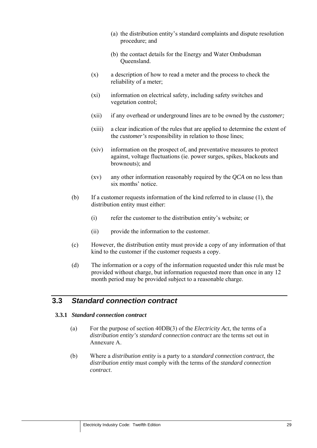- (a) the distribution entity's standard complaints and dispute resolution procedure; and
- (b) the contact details for the Energy and Water Ombudsman Queensland.
- (x) a description of how to read a meter and the process to check the reliability of a meter;
- (xi) information on electrical safety, including safety switches and vegetation control;
- (xii) if any overhead or underground lines are to be owned by the *customer;*
- (xiii) a clear indication of the rules that are applied to determine the extent of the *customer's* responsibility in relation to those lines;
- (xiv) information on the prospect of, and preventative measures to protect against, voltage fluctuations (ie. power surges, spikes, blackouts and brownouts); and
- (xv) any other information reasonably required by the *QCA* on no less than six months' notice.
- (b) If a customer requests information of the kind referred to in clause (1), the distribution entity must either:
	- (i) refer the customer to the distribution entity's website; or
	- (ii) provide the information to the customer.
- (c) However, the distribution entity must provide a copy of any information of that kind to the customer if the customer requests a copy.
- (d) The information or a copy of the information requested under this rule must be provided without charge, but information requested more than once in any 12 month period may be provided subject to a reasonable charge.

# **3.3** *Standard connection contract*

#### **3.3.1** *Standard connection contract*

- (a) For the purpose of section 40DB(3) of the *Electricity Act*, the terms of a *distribution entity's standard connection contract* are the terms set out in Annexure A.
- (b) Where a *distribution entity* is a party to a *standard connection contract*, the *distribution entity* must comply with the terms of the *standard connection contract*.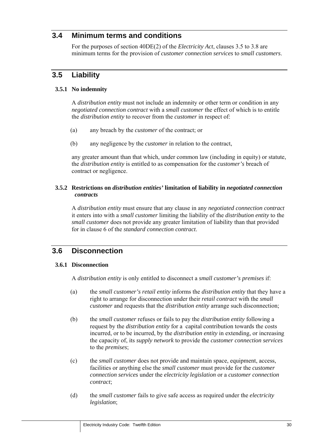# **3.4 Minimum terms and conditions**

For the purposes of section 40DE(2) of the *Electricity Act*, clauses 3.5 to 3.8 are minimum terms for the provision of *customer connection services* to *small customers*.

# **3.5 Liability**

#### **3.5.1 No indemnity**

A *distribution entity* must not include an indemnity or other term or condition in any *negotiated connection contract* with a *small customer* the effect of which is to entitle the *distribution entity* to recover from the *customer* in respect of:

- (a) any breach by the *customer* of the contract; or
- (b) any negligence by the *customer* in relation to the contract,

any greater amount than that which, under common law (including in equity) or statute, the *distribution entity* is entitled to as compensation for the *customer's* breach of contract or negligence.

#### **3.5.2 Restrictions on** *distribution entities'* **limitation of liability in** *negotiated connection contracts*

A *distribution entity* must ensure that any clause in any *negotiated connection contract* it enters into with a *small customer* limiting the liability of the *distribution entity* to the *small customer* does not provide any greater limitation of liability than that provided for in clause 6 of the *standard connection contract*.

# **3.6 Disconnection**

#### **3.6.1 Disconnection**

A *distribution entity* is only entitled to disconnect a *small customer's premises* if:

- (a) the *small customer's retail entity* informs the *distribution entity* that they have a right to arrange for disconnection under their *retail contract* with the *small customer* and requests that the *distribution entity* arrange such disconnection;
- (b) the *small customer* refuses or fails to pay the *distribution entity* following a request by the *distribution entity* for a capital contribution towards the costs incurred, or to be incurred, by the *distribution entity* in extending, or increasing the capacity of, its *supply network* to provide the *customer connection services* to the *premises*;
- (c) the *small customer* does not provide and maintain space, equipment, access, facilities or anything else the *small customer* must provide for the *customer connection services* under the *electricity legislation* or a *customer connection contract*;
- (d) the *small customer* fails to give safe access as required under the *electricity legislation*;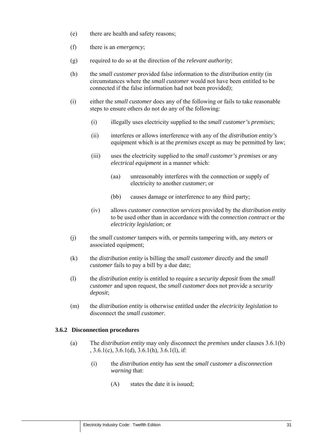- (e) there are health and safety reasons;
- (f) there is an *emergency*;
- (g) required to do so at the direction of the *relevant authority*;
- (h) the *small customer* provided false information to the *distribution entity* (in circumstances where the *small customer* would not have been entitled to be connected if the false information had not been provided);
- (i) either the *small customer* does any of the following or fails to take reasonable steps to ensure others do not do any of the following:
	- (i) illegally uses electricity supplied to the *small customer's premises*;
	- (ii) interferes or allows interference with any of the *distribution entity's* equipment which is at the *premises* except as may be permitted by law;
	- (iii) uses the electricity supplied to the *small customer's premises* or any *electrical equipment* in a manner which:
		- (aa) unreasonably interferes with the connection or supply of electricity to another *customer*; or
		- (bb) causes damage or interference to any third party;
	- (iv) allows *customer connection services* provided by the *distribution entity* to be used other than in accordance with the *connection contract* or the *electricity legislation*; or
- (j) the *small customer* tampers with, or permits tampering with, any *meters* or associated equipment;
- (k) the *distribution entity* is billing the *small customer* directly and the *small customer* fails to pay a bill by a due date;
- (l) the *distribution entity* is entitled to require a *security deposit* from the *small customer* and upon request, the *small customer* does not provide a *security deposit*;
- (m) the *distribution entity* is otherwise entitled under the *electricity legislation* to disconnect the *small customer*.

#### **3.6.2 Disconnection procedures**

- (a) The *distribution entity* may only disconnect the *premises* under clauses 3.6.1(b)  $, 3.6.1(c), 3.6.1(d), 3.6.1(h), 3.6.1(l),$  if:
	- (i) the *distribution entity* has sent the *small customer* a *disconnection warning* that:
		- (A) states the date it is issued;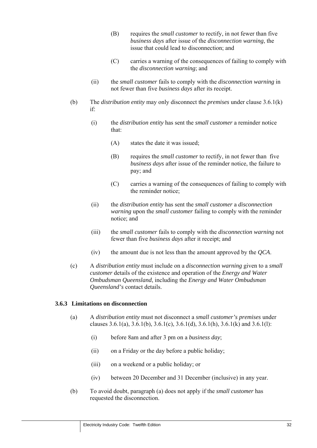- (B) requires the *small customer* to rectify, in not fewer than five *business days* after issue of the *disconnection warning*, the issue that could lead to disconnection; and
- (C) carries a warning of the consequences of failing to comply with the *disconnection warning*; and
- (ii) the *small customer* fails to comply with the *disconnection warning* in not fewer than five *business days* after its receipt.
- (b) The *distribution entity* may only disconnect the *premises* under clause 3.6.1(k) if:
	- (i) the *distribution entity* has sent the *small customer* a reminder notice that:
		- (A) states the date it was issued;
		- (B) requires the *small customer* to rectify, in not fewer than five *business days* after issue of the reminder notice, the failure to pay; and
		- (C) carries a warning of the consequences of failing to comply with the reminder notice;
	- (ii) the *distribution entity* has sent the *small customer* a *disconnection warning* upon the *small customer* failing to comply with the reminder notice; and
	- (iii) the *small customer* fails to comply with the *disconnection warning* not fewer than five *business days* after it receipt; and
	- (iv) the amount due is not less than the amount approved by the *QCA*.
- (c) A *distribution entity* must include on a *disconnection warning* given to a *small customer* details of the existence and operation of the *Energy and Water Ombudsman Queensland*, including the *Energy and Water Ombudsman Queensland's* contact details.

#### **3.6.3 Limitations on disconnection**

- (a) A *distribution entity* must not disconnect a *small customer's premises* under clauses 3.6.1(a), 3.6.1(b), 3.6.1(c), 3.6.1(d), 3.6.1(h), 3.6.1(k) and 3.6.1(l):
	- (i) before 8am and after 3 pm on a *business day*;
	- (ii) on a Friday or the day before a public holiday;
	- (iii) on a weekend or a public holiday; or
	- (iv) between 20 December and 31 December (inclusive) in any year.
- (b) To avoid doubt, paragraph (a) does not apply if the *small customer* has requested the disconnection.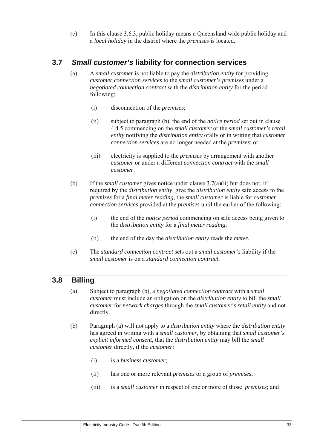(c) In this clause 3.6.3, public holiday means a Queensland wide public holiday and a *local holiday* in the district where the *premises* is located.

# **3.7** *Small customer's* **liability for connection services**

- (a) A *small customer* is not liable to pay the *distribution entity* for providing *customer connection services* to the *small customer's premises* under a *negotiated connection contract* with the *distribution entity* for the period following:
	- (i) disconnection of the *premises*;
	- (ii) subject to paragraph (b), the end of the *notice period* set out in clause 4.4.5 commencing on the *small customer* or the *small customer's retail entity* notifying the *distribution entity* orally or in writing that *customer connection services* are no longer needed at the *premises*; or
	- (iii) electricity is supplied to the *premises* by arrangement with another *customer* or under a different *connection contract* with the *small customer*.
- (b) If the *small customer* gives notice under clause 3.7(a)(ii) but does not, if required by the *distribution entity*, give the *distribution entity* safe access to the *premises* for a *final meter reading*, the *small customer* is liable for *customer connection services* provided at the *premises* until the earlier of the following:
	- (i) the end of the *notice period* commencing on safe access being given to the *distribution entity* for a *final meter reading*;
	- (ii) the end of the day the *distribution entity* reads the *meter*.
- (c) The *standard connection contract* sets out a *small customer's* liability if the *small customer* is on a *standard connection contract*.

# **3.8 Billing**

- (a) Subject to paragraph (b), a *negotiated connection contract* with a *small customer* must include an obligation on the *distribution entity* to bill the *small customer* for *network charges* through the *small customer's retail entity* and not directly.
- (b) Paragraph (a) will not apply to a *distribution entity* where the *distribution entity* has agreed in writing with a *small customer*, by obtaining that *small customer's explicit informed consent*, that the *distribution entity* may bill the *small customer* directly, if the *customer*:
	- (i) is a *business customer*;
	- (ii) has one or more relevant *premises* or a group of *premises*;
	- (iii) is a *small customer* in respect of one or more of those *premises*; and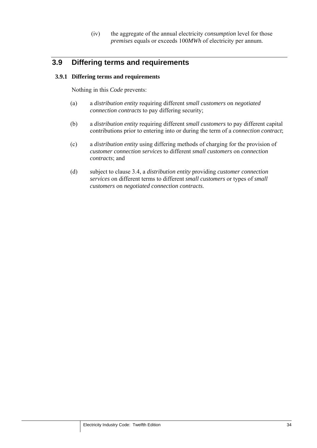(iv) the aggregate of the annual electricity *consumption* level for those *premises* equals or exceeds 100*MWh* of electricity per annum.

# **3.9 Differing terms and requirements**

#### **3.9.1 Differing terms and requirements**

Nothing in this *Code* prevents:

- (a) a *distribution entity* requiring different *small customers* on *negotiated connection contracts* to pay differing security;
- (b) a *distribution entity* requiring different *small customers* to pay different capital contributions prior to entering into or during the term of a *connection contract*;
- (c) a *distribution entity* using differing methods of charging for the provision of *customer connection services* to different *small customers* on *connection contracts*; and
- (d) subject to clause 3.4, a *distribution entity* providing *customer connection services* on different terms to different *small customers* or types of *small customers* on *negotiated connection contracts*.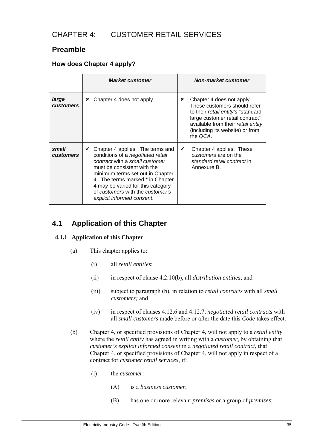# CHAPTER 4: CUSTOMER RETAIL SERVICES

# **Preamble**

## **How does Chapter 4 apply?**

|                           | <b>Market customer</b>                                                                                                                                                                                                                                                                                                             | <b>Non-market customer</b>                                                                                                                                                                                                   |
|---------------------------|------------------------------------------------------------------------------------------------------------------------------------------------------------------------------------------------------------------------------------------------------------------------------------------------------------------------------------|------------------------------------------------------------------------------------------------------------------------------------------------------------------------------------------------------------------------------|
| large<br><b>customers</b> | Chapter 4 does not apply.<br>×                                                                                                                                                                                                                                                                                                     | Chapter 4 does not apply.<br>×<br>These customers should refer<br>to their retail entity's "standard<br>large customer retail contract"<br>available from their retail entity<br>(including its website) or from<br>the QCA. |
| small<br><b>customers</b> | $\checkmark$ Chapter 4 applies. The terms and<br>conditions of a negotiated retail<br>contract with a small customer<br>must be consistent with the<br>minimum terms set out in Chapter<br>4. The terms marked * in Chapter<br>4 may be varied for this category<br>of customers with the customer's<br>explicit informed consent. | $\checkmark$<br>Chapter 4 applies. These<br>customers are on the<br>standard retail contract in<br>Annexure B.                                                                                                               |

# **4.1 Application of this Chapter**

## **4.1.1 Application of this Chapter**

- (a) This chapter applies to:
	- (i) all *retail entities*;
	- (ii) in respect of clause 4.2.10(b), all *distribution entities*; and
	- (iii) subject to paragraph (b), in relation to *retail contracts* with all *small customers;* and
	- (iv) in respect of clauses 4.12.6 and 4.12.7, *negotiated retail contracts* with all *small customers* made before or after the date this *Code* takes effect.
- (b) Chapter 4, or specified provisions of Chapter 4, will not apply to a *retail entity* where the *retail entity* has agreed in writing with a *customer*, by obtaining that *customer's explicit informed consent* in a *negotiated retail contract*, that Chapter 4, or specified provisions of Chapter 4, will not apply in respect of a contract for *customer retail services*, if:
	- (i) the *customer*:
		- (A) is a *business customer*;
		- (B) has one or more relevant *premises* or a group of *premises*;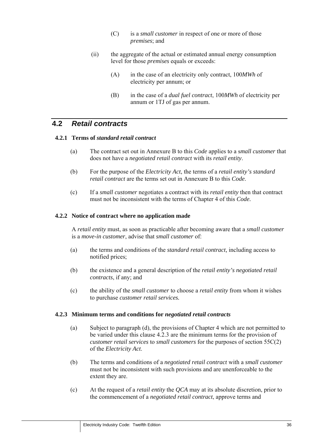- (C) is a *small customer* in respect of one or more of those *premises*; and
- (ii) the aggregate of the actual or estimated annual energy consumption level for those *premises* equals or exceeds:
	- (A) in the case of an electricity only contract, 100*MWh* of electricity per annum; or
	- (B) in the case of a *dual fuel contract*, 100*MWh* of electricity per annum or 1TJ of gas per annum.

## **4.2** *Retail contracts*

#### **4.2.1 Terms of** *standard retail contract*

- (a) The contract set out in Annexure B to this *Code* applies to a s*mall customer* that does not have a *negotiated retail contract* with its *retail entity*.
- (b) For the purpose of the *Electricity Act*, the terms of a *retail entity's standard retail contract* are the terms set out in Annexure B to this *Code*.
- (c) If a *small customer* negotiates a contract with its *retail entity* then that contract must not be inconsistent with the terms of Chapter 4 of this *Code.*

#### **4.2.2 Notice of contract where no application made**

A *retail entity* must, as soon as practicable after becoming aware that a *small customer*  is a *move-in customer*, advise that *small customer* of:

- (a) the terms and conditions of the *standard retail contract,* including access to notified prices;
- (b) the existence and a general description of the *retail entity's negotiated retail contracts*, if any; and
- (c) the ability of the *small customer* to choose a *retail entity* from whom it wishes to purchase *customer retail services.*

#### **4.2.3 Minimum terms and conditions for** *negotiated retail contracts*

- (a) Subject to paragraph (d), the provisions of Chapter 4 which are not permitted to be varied under this clause 4.2.3 are the minimum terms for the provision of *customer retail services* to *small customers* for the purposes of section 55C(2) of the *Electricity Act*.
- (b) The terms and conditions of a *negotiated retail contract* with a *small customer* must not be inconsistent with such provisions and are unenforceable to the extent they are.
- (c) At the request of a *retail entity* the *QCA* may at its absolute discretion, prior to the commencement of a *negotiated retail contract*, approve terms and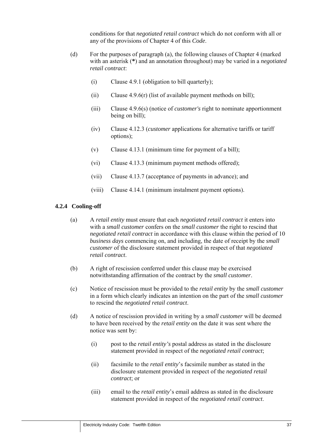conditions for that *negotiated retail contract* which do not conform with all or any of the provisions of Chapter 4 of this *Code*.

- (d) For the purposes of paragraph (a), the following clauses of Chapter 4 (marked with an asterisk (**\***) and an annotation throughout) may be varied in a *negotiated retail contract*:
	- (i) Clause 4.9.1 (obligation to bill quarterly);
	- (ii) Clause 4.9.6(r) (list of available payment methods on bill);
	- (iii) Clause 4.9.6(s) (notice of *customer's* right to nominate apportionment being on bill);
	- (iv) Clause 4.12.3 (*customer* applications for alternative tariffs or tariff options);
	- (v) Clause 4.13.1 (minimum time for payment of a bill);
	- (vi) Clause 4.13.3 (minimum payment methods offered);
	- (vii) Clause 4.13.7 (acceptance of payments in advance); and
	- (viii) Clause 4.14.1 (minimum instalment payment options).

## **4.2.4 Cooling-off**

- (a) A *retail entity* must ensure that each *negotiated retail contract* it enters into with a *small customer* confers on the *small customer* the right to rescind that *negotiated retail contract* in accordance with this clause within the period of 10 *business days* commencing on, and including, the date of receipt by the *small customer* of the disclosure statement provided in respect of that *negotiated retail contract*.
- (b) A right of rescission conferred under this clause may be exercised notwithstanding affirmation of the contract by the *small customer*.
- (c) Notice of rescission must be provided to the *retail entity* by the *small customer* in a form which clearly indicates an intention on the part of the *small customer* to rescind the *negotiated retail contract*.
- (d) A notice of rescission provided in writing by a *small customer* will be deemed to have been received by the *retail entity* on the date it was sent where the notice was sent by:
	- (i) post to the *retail entity's* postal address as stated in the disclosure statement provided in respect of the *negotiated retail contract*;
	- (ii) facsimile to the *retail entity*'s facsimile number as stated in the disclosure statement provided in respect of the *negotiated retail contract*; or
	- (iii) email to the *retail entity*'s email address as stated in the disclosure statement provided in respect of the *negotiated retail contract*.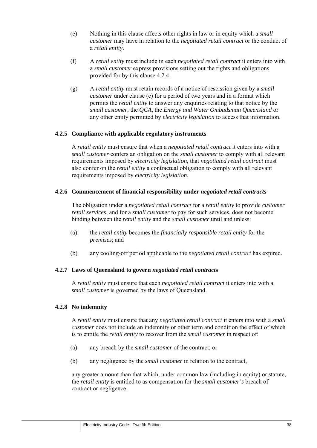- (e) Nothing in this clause affects other rights in law or in equity which a *small customer* may have in relation to the *negotiated retail contract* or the conduct of a *retail entity*.
- (f) A *retail entity* must include in each *negotiated retail contract* it enters into with a *small customer* express provisions setting out the rights and obligations provided for by this clause 4.2.4.
- (g) A *retail entity* must retain records of a notice of rescission given by a *small customer* under clause (c) for a period of two years and in a format which permits the *retail entity* to answer any enquiries relating to that notice by the *small customer*, the *QCA*, the *Energy and Water Ombudsman Queensland* or any other entity permitted by *electricity legislation* to access that information.

## **4.2.5 Compliance with applicable regulatory instruments**

A *retail entity* must ensure that when a *negotiated retail contract* it enters into with a *small customer* confers an obligation on the *small customer* to comply with all relevant requirements imposed by *electricity legislation*, that *negotiated retail contract* must also confer on the *retail entity* a contractual obligation to comply with all relevant requirements imposed by *electricity legislation*.

#### **4.2.6 Commencement of financial responsibility under** *negotiated retail contract***s**

The obligation under a *negotiated retail contract* for a *retail entity* to provide *customer retail services*, and for a *small customer* to pay for such services, does not become binding between the *retail entity* and the *small customer* until and unless:

- (a) the *retail entity* becomes the *financially responsible retail entity* for the *premises*; and
- (b) any cooling-off period applicable to the *negotiated retail contract* has expired.

#### **4.2.7 Laws of Queensland to govern** *negotiated retail contract***s**

A *retail entity* must ensure that each *negotiated retail contract* it enters into with a *small customer* is governed by the laws of Oueensland.

#### **4.2.8 No indemnity**

A *retail entity* must ensure that any *negotiated retail contract* it enters into with a *small customer* does not include an indemnity or other term and condition the effect of which is to entitle the *retail entity* to recover from the *small customer* in respect of:

- (a) any breach by the *small customer* of the contract; or
- (b) any negligence by the *small customer* in relation to the contract,

any greater amount than that which, under common law (including in equity) or statute, the *retail entity* is entitled to as compensation for the *small customer's* breach of contract or negligence.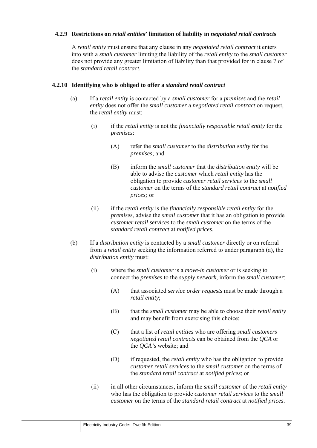### **4.2.9 Restrictions on** *retail entitie***s' limitation of liability in** *negotiated retail contract***s**

A *retail entity* must ensure that any clause in any *negotiated retail contract* it enters into with a *small customer* limiting the liability of the *retail entity* to the *small customer* does not provide any greater limitation of liability than that provided for in clause 7 of the *standard retail contract*.

#### **4.2.10 Identifying who is obliged to offer a** *standard retail contract*

- (a) If a *retail entity* is contacted by a *small customer* for a *premises* and the *retail entity* does not offer the *small customer* a *negotiated retail contract* on request, the *retail entity* must:
	- (i) if the *retail entity* is not the *financially responsible retail entity* for the *premises*:
		- (A) refer the *small customer* to the *distribution entity* for the *premises*; and
		- (B) inform the *small customer* that the *distribution entity* will be able to advise the *customer* which *retail entity* has the obligation to provide *customer retail services* to the *small customer* on the terms of the *standard retail contract* at *notified prices;* or
	- (ii) if the *retail entity* is the *financially responsible retail entity* for the *premises*, advise the *small customer* that it has an obligation to provide *customer retail services* to the *small customer* on the terms of the *standard retail contract* at *notified prices*.
- (b) If a *distribution entity* is contacted by a *small customer* directly or on referral from a *retail entity* seeking the information referred to under paragraph (a), the *distribution entity* must:
	- (i) where the *small customer* is a *move-in customer* or is seeking to connect the *premises* to the *supply network*, inform the *small customer*:
		- (A) that associated *service order requests* must be made through a *retail entity*;
		- (B) that the *small customer* may be able to choose their *retail entity* and may benefit from exercising this choice;
		- (C) that a list of *retail entities* who are offering *small customers negotiated retail contracts* can be obtained from the *QCA* or the *QCA's* website; and
		- (D) if requested, the *retail entity* who has the obligation to provide *customer retail services* to the *small customer* on the terms of the *standard retail contract* at *notified prices*; or
	- (ii) in all other circumstances, inform the *small customer* of the *retail entity* who has the obligation to provide *customer retail services* to the *small customer* on the terms of the *standard retail contract* at *notified prices*.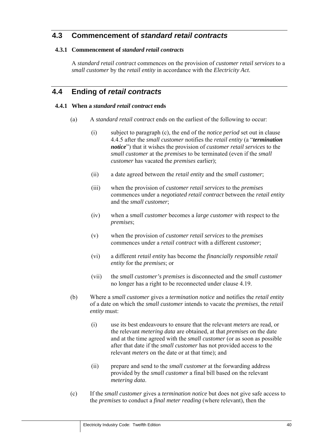# **4.3 Commencement of** *standard retail contracts*

## **4.3.1 Commencement of** *standard retail contracts*

A *standard retail contract* commences on the provision of *customer retail services* to a *small customer* by the *retail entity* in accordance with the *Electricity Act*.

## **4.4 Ending of** *retail contracts*

### **4.4.1 When a** *standard retail contract* **ends**

- (a) A *standard retail contract* ends on the earliest of the following to occur:
	- (i) subject to paragraph (c), the end of the *notice period* set out in clause 4.4.5 after the *small customer* notifies the *retail entity* (a "*termination notice*") that it wishes the provision of *customer retail services* to the *small customer* at the *premises* to be terminated (even if the *small customer* has vacated the *premises* earlier);
	- (ii) a date agreed between the *retail entity* and the *small customer*;
	- (iii) when the provision of *customer retail services* to the *premises* commences under a *negotiated retail contract* between the *retail entity*  and the *small customer*;
	- (iv) when a *small customer* becomes a *large customer* with respect to the *premises*;
	- (v) when the provision of *customer retail services* to the *premises* commences under a *retail contract* with a different *customer*;
	- (vi) a different *retail entity* has become the *financially responsible retail entity* for the *premises*; or
	- (vii) the *small customer's premises* is disconnected and the *small customer*  no longer has a right to be reconnected under clause 4.19.
- (b) Where a *small customer* gives a *termination notice* and notifies the *retail entity*  of a date on which the *small customer* intends to vacate the *premises*, the *retail entity* must:
	- (i) use its best endeavours to ensure that the relevant *meters* are read, or the relevant *metering data* are obtained, at that *premises* on the date and at the time agreed with the *small customer* (or as soon as possible after that date if the *small customer* has not provided access to the relevant *meters* on the date or at that time); and
	- (ii) prepare and send to the *small customer* at the forwarding address provided by the *small customer* a final bill based on the relevant *metering data*.
- (c) If the *small customer* gives a *termination notice* but does not give safe access to the *premises* to conduct a *final meter reading* (where relevant), then the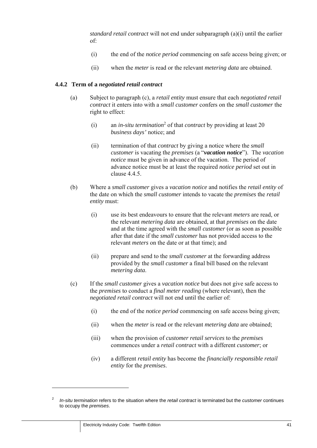*standard retail contract* will not end under subparagraph (a)(i) until the earlier of:

- (i) the end of the *notice period* commencing on safe access being given; or
- (ii) when the *meter* is read or the relevant *metering data* are obtained.

#### **4.4.2 Term of a** *negotiated retail contract*

- (a) Subject to paragraph (c), a *retail entity* must ensure that each *negotiated retail contract* it enters into with a *small customer* confers on the *small customer* the right to effect:
	- (i) an *in-situ termination*<sup>2</sup> of that *contract* by providing at least 20 *business days'* notice; and
	- (ii) termination of that *contract* by giving a notice where the *small customer* is vacating the *premises* (a "*vacation notice*"). The *vacation notice* must be given in advance of the vacation. The period of advance notice must be at least the required *notice period* set out in clause 4.4.5
- (b) Where a *small customer* gives a *vacation notice* and notifies the *retail entity* of the date on which the *small customer* intends to vacate the *premises* the *retail entity* must:
	- (i) use its best endeavours to ensure that the relevant *meters* are read, or the relevant *metering data* are obtained, at that *premises* on the date and at the time agreed with the *small customer* (or as soon as possible after that date if the *small customer* has not provided access to the relevant *meters* on the date or at that time); and
	- (ii) prepare and send to the *small customer* at the forwarding address provided by the *small customer* a final bill based on the relevant *metering data*.
- (c) If the *small customer* gives a *vacation notice* but does not give safe access to the *premises* to conduct a *final meter reading* (where relevant), then the *negotiated retail contract* will not end until the earlier of:
	- (i) the end of the *notice period* commencing on safe access being given;
	- (ii) when the *meter* is read or the relevant *metering data* are obtained;
	- (iii) when the provision of *customer retail services* to the *premises* commences under a *retail contract* with a different *customer*; or
	- (iv) a different *retail entity* has become the *financially responsible retail entity* for the *premises*.

<sup>2</sup> *In-situ termination* refers to the situation where the *retail contract* is terminated but the *customer* continues to occupy the *premises*.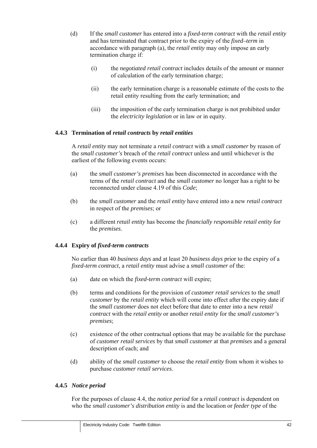- (d) If the *small customer* has entered into a *fixed-term contract* with the *retail entity*  and has terminated that contract prior to the expiry of the *fixed–term* in accordance with paragraph (a), the *retail entity* may only impose an early termination charge if:
	- (i) the *negotiated retail contract* includes details of the amount or manner of calculation of the early termination charge;
	- (ii) the early termination charge is a reasonable estimate of the costs to the retail entity resulting from the early termination; and
	- (iii) the imposition of the early termination charge is not prohibited under the *electricity legislation* or in law or in equity.

#### **4.4.3 Termination of** *retail contracts* **by** *retail entities*

A *retail entity* may not terminate a *retail contract* with a *small customer* by reason of the *small customer's* breach of the *retail contract* unless and until whichever is the earliest of the following events occurs:

- (a) the *small customer's premises* has been disconnected in accordance with the terms of the *retail contract* and the *small customer* no longer has a right to be reconnected under clause 4.19 of this *Code*;
- (b) the *small customer* and the *retail entity* have entered into a new *retail contract* in respect of the *premises*; or
- (c) a different *retail entity* has become the *financially responsible retail entity* for the *premises*.

#### **4.4.4 Expiry of** *fixed-term contracts*

No earlier than 40 *business days* and at least 20 *business days* prior to the expiry of a *fixed-term contract*, a *retail entity* must advise a *small customer* of the:

- (a) date on which the *fixed-term contract* will expire;
- (b) terms and conditions for the provision of *customer retail services* to the *small customer* by the *retail entity* which will come into effect after the expiry date if the *small customer* does not elect before that date to enter into a new *retail contract* with the *retail entity* or another *retail entity* for the *small customer's premises*;
- (c) existence of the other contractual options that may be available for the purchase of *customer retail services* by that *small customer* at that *premises* and a general description of each; and
- (d) ability of the *small customer* to choose the *retail entity* from whom it wishes to purchase *customer retail services*.

#### **4.4.5** *Notice period*

For the purposes of clause 4.4, the *notice period* for a *retail contract* is dependent on who the *small customer's distribution entity* is and the location or *feeder type* of the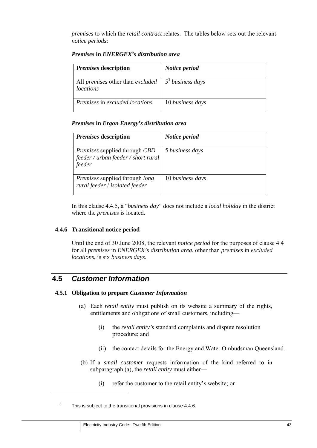*premises* to which the *retail contract* relates. The tables below sets out the relevant *notice periods*:

| <i>Premises</i> description                                   | Notice period      |
|---------------------------------------------------------------|--------------------|
| All <i>premises</i> other than <i>excluded</i>  <br>locations | $53$ business days |
| Premises in excluded locations                                | 10 business days   |

#### *Premises* **in** *ENERGEX's distribution area*

## *Premises* **in** *Ergon Energy's distribution area*

| <i>Premises</i> description                                                           | Notice period    |
|---------------------------------------------------------------------------------------|------------------|
| <i>Premises</i> supplied through CBD<br>feeder / urban feeder / short rural<br>feeder | 5 business days  |
| <i>Premises</i> supplied through <i>long</i><br>rural feeder / isolated feeder        | 10 business days |

In this clause 4.4.5, a "*business day*" does not include a *local holiday* in the district where the *premises* is located.

#### **4.4.6 Transitional notice period**

Until the end of 30 June 2008, the relevant *notice period* for the purposes of clause 4.4 for all *premises* in *ENERGEX's distribution area*, other than *premises* in *excluded locations*, is six *business days*.

## **4.5** *Customer Information*

 $\overline{a}$ 

#### **4.5.1 Obligation to prepare** *Customer Information*

- (a) Each *retail entity* must publish on its website a summary of the rights, entitlements and obligations of small customers, including—
	- (i) the *retail entity's* standard complaints and dispute resolution procedure; and
	- (ii) the contact details for the Energy and Water Ombudsman Queensland.
- (b) If a *small customer* requests information of the kind referred to in subparagraph (a), the *retail entity* must either—
	- (i) refer the customer to the retail entity's website; or

<sup>3</sup> This is subject to the transitional provisions in clause 4.4.6.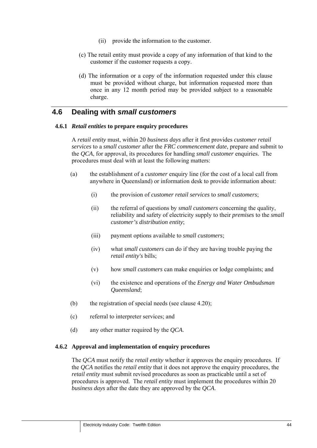- (ii) provide the information to the customer.
- (c) The retail entity must provide a copy of any information of that kind to the customer if the customer requests a copy.
- (d) The information or a copy of the information requested under this clause must be provided without charge, but information requested more than once in any 12 month period may be provided subject to a reasonable charge.

## **4.6 Dealing with** *small customers*

#### **4.6.1** *Retail entities* **to prepare enquiry procedures**

A *retail entity* must, within 20 *business days* after it first provides *customer retail services* to a *small customer* after the *FRC commencement date*, prepare and submit to the *QCA*, for approval, its procedures for handling *small customer* enquiries. The procedures must deal with at least the following matters:

- (a) the establishment of a *customer* enquiry line (for the cost of a local call from anywhere in Queensland) or information desk to provide information about:
	- (i) the provision of *customer retail services* to *small customers*;
	- (ii) the referral of questions by *small customers* concerning the quality, reliability and safety of electricity supply to their *premises* to the *small customer's distribution entity*;
	- (iii) payment options available to *small customers*;
	- (iv) what *small customers* can do if they are having trouble paying the *retail entity's* bills;
	- (v) how *small customers* can make enquiries or lodge complaints; and
	- (vi) the existence and operations of the *Energy and Water Ombudsman Queensland*;
- (b) the registration of special needs (see clause 4.20);
- (c) referral to interpreter services; and
- (d) any other matter required by the *QCA*.

#### **4.6.2 Approval and implementation of enquiry procedures**

The *QCA* must notify the *retail entity* whether it approves the enquiry procedures. If the *QCA* notifies the *retail entity* that it does not approve the enquiry procedures, the *retail entity* must submit revised procedures as soon as practicable until a set of procedures is approved. The *retail entity* must implement the procedures within 20 *business days* after the date they are approved by the *QCA*.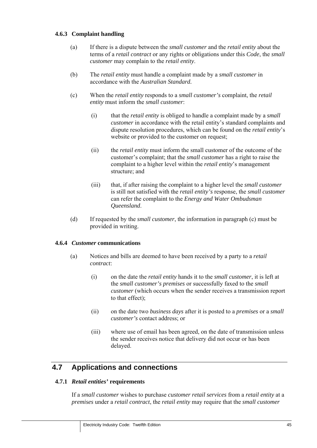## **4.6.3 Complaint handling**

- (a) If there is a dispute between the *small customer* and the *retail entity* about the terms of a *retail contract* or any rights or obligations under this *Code*, the *small customer* may complain to the *retail entity*.
- (b) The *retail entity* must handle a complaint made by a *small customer* in accordance with the *Australian Standard.*
- (c) When the *retail entity* responds to a *small customer's* complaint, the *retail entity* must inform the *small customer*:
	- (i) that the *retail entity* is obliged to handle a complaint made by a *small customer* in accordance with the retail entity's standard complaints and dispute resolution procedures, which can be found on the *retail entity*'s website or provided to the customer on request;
	- (ii) the *retail entity* must inform the small customer of the outcome of the customer's complaint; that the *small customer* has a right to raise the complaint to a higher level within the *retail entity*'s management structure; and
	- (iii) that, if after raising the complaint to a higher level the *small customer*  is still not satisfied with the *retail entity's* response, the *small customer*  can refer the complaint to the *Energy and Water Ombudsman Queensland*.
- (d) If requested by the *small customer*, the information in paragraph (c) must be provided in writing.

#### **4.6.4** *Customer* **communications**

- (a) Notices and bills are deemed to have been received by a party to a *retail contract*:
	- (i) on the date the *retail entity* hands it to the *small customer*, it is left at the *small customer's premises* or successfully faxed to the *small customer* (which occurs when the sender receives a transmission report to that effect);
	- (ii) on the date two *business days* after it is posted to a *premises* or a *small customer's* contact address; or
	- (iii) where use of email has been agreed, on the date of transmission unless the sender receives notice that delivery did not occur or has been delayed.

## **4.7 Applications and connections**

#### **4.7.1** *Retail entities'* **requirements**

If a *small customer* wishes to purchase *customer retail services* from a *retail entity* at a *premises* under a *retail contract*, the *retail entity* may require that the *small customer*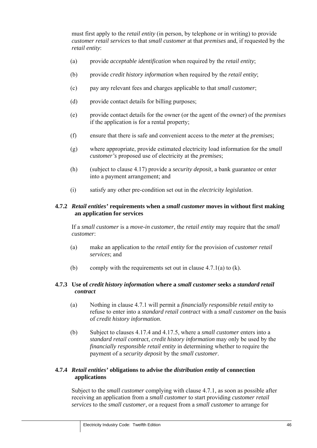must first apply to the *retail entity* (in person, by telephone or in writing) to provide *customer retail services* to that *small customer* at that *premises* and, if requested by the *retail entity*:

- (a) provide *acceptable identification* when required by the *retail entity*;
- (b) provide *credit history information* when required by the *retail entity*;
- (c) pay any relevant fees and charges applicable to that *small customer*;
- (d) provide contact details for billing purposes;
- (e) provide contact details for the owner (or the agent of the owner) of the *premises* if the application is for a rental property;
- (f) ensure that there is safe and convenient access to the *meter* at the *premises*;
- (g) where appropriate, provide estimated electricity load information for the *small customer's* proposed use of electricity at the *premises*;
- (h) (subject to clause 4.17) provide a *security deposit*, a bank guarantee or enter into a payment arrangement; and
- (i) satisfy any other pre-condition set out in the *electricity legislation*.

### **4.7.2** *Retail entities'* **requirements when a** *small customer* **moves in without first making an application for services**

If a *small customer* is a *move-in customer*, the *retail entity* may require that the *small customer*:

- (a) make an application to the *retail entity* for the provision of *customer retail services*; and
- (b) comply with the requirements set out in clause  $4.7.1(a)$  to  $(k)$ .

## **4.7.3 Use of** *credit history information* **where a** *small customer* **seeks a** *standard retail contract*

- (a) Nothing in clause 4.7.1 will permit a *financially responsible retail entity* to refuse to enter into a *standard retail contract* with a *small customer* on the basis of *credit history information*.
- (b) Subject to clauses 4.17.4 and 4.17.5, where a *small customer* enters into a *standard retail contract*, *credit history information* may only be used by the *financially responsible retail entity* in determining whether to require the payment of a *security deposit* by the *small customer*.

## **4.7.4** *Retail entities'* **obligations to advise the** *distribution entity* **of connection applications**

Subject to the *small customer* complying with clause 4.7.1, as soon as possible after receiving an application from a *small customer* to start providing *customer retail services* to the *small customer*, or a request from a *small customer* to arrange for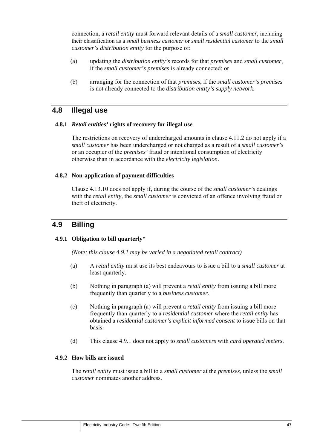connection, a *retail entity* must forward relevant details of a *small customer,* including their classification as a *small business customer* or *small residential customer* to the *small customer's distribution entity* for the purpose of:

- (a) updating the *distribution entity's* records for that *premises* and *small customer*, if the *small customer's premises* is already connected; or
- (b) arranging for the connection of that *premises*, if the *small customer's premises* is not already connected to the *distribution entity's supply network*.

## **4.8 Illegal use**

#### **4.8.1** *Retail entities'* **rights of recovery for illegal use**

The restrictions on recovery of undercharged amounts in clause 4.11.2 do not apply if a *small customer* has been undercharged or not charged as a result of a *small customer's* or an occupier of the *premises'* fraud or intentional consumption of electricity otherwise than in accordance with the *electricity legislation*.

#### **4.8.2 Non-application of payment difficulties**

Clause 4.13.10 does not apply if, during the course of the *small customer's* dealings with the *retail entity,* the *small customer* is convicted of an offence involving fraud or theft of electricity.

## **4.9 Billing**

#### **4.9.1 Obligation to bill quarterly\***

*(Note: this clause 4.9.1 may be varied in a negotiated retail contract)* 

- (a) A *retail entity* must use its best endeavours to issue a bill to a *small customer* at least quarterly.
- (b) Nothing in paragraph (a) will prevent a *retail entity* from issuing a bill more frequently than quarterly to a *business customer*.
- (c) Nothing in paragraph (a) will prevent a *retail entity* from issuing a bill more frequently than quarterly to a *residential customer* where the *retail entity* has obtained a *residential customer's explicit informed consent* to issue bills on that basis.
- (d) This clause 4.9.1 does not apply to *small customers* with *card operated meters*.

### **4.9.2 How bills are issued**

The *retail entity* must issue a bill to a *small customer* at the *premises*, unless the *small customer* nominates another address.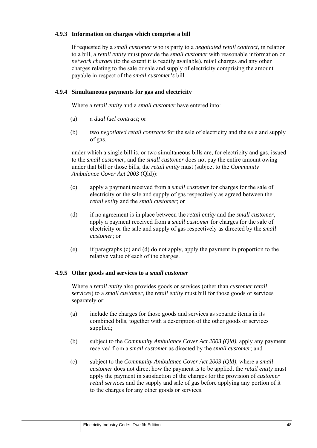## **4.9.3 Information on charges which comprise a bill**

If requested by a *small customer* who is party to a *negotiated retail contract*, in relation to a bill, a *retail entity* must provide the *small customer* with reasonable information on *network charges* (to the extent it is readily available), retail charges and any other charges relating to the sale or sale and supply of electricity comprising the amount payable in respect of the *small customer's* bill.

### **4.9.4 Simultaneous payments for gas and electricity**

Where a *retail entity* and a *small customer* have entered into:

- (a) a *dual fuel contract*; or
- (b) two *negotiated retail contracts* for the sale of electricity and the sale and supply of gas,

under which a single bill is, or two simultaneous bills are, for electricity and gas, issued to the *small customer*, and the *small customer* does not pay the entire amount owing under that bill or those bills, the *retail entity* must (subject to the *Community Ambulance Cover Act 2003* (Qld)):

- (c) apply a payment received from a *small customer* for charges for the sale of electricity or the sale and supply of gas respectively as agreed between the *retail entity* and the *small customer*; or
- (d) if no agreement is in place between the *retail entity* and the *small customer*, apply a payment received from a *small customer* for charges for the sale of electricity or the sale and supply of gas respectively as directed by the *small customer*; or
- (e) if paragraphs (c) and (d) do not apply, apply the payment in proportion to the relative value of each of the charges.

#### **4.9.5 Other goods and services to a** *small customer*

Where a *retail entity* also provides goods or services (other than *customer retail services*) to a *small customer*, the *retail entity* must bill for those goods or services separately or:

- (a) include the charges for those goods and services as separate items in its combined bills, together with a description of the other goods or services supplied;
- (b) subject to the *Community Ambulance Cover Act 2003 (Qld),* apply any payment received from a *small customer* as directed by the *small customer*; and
- (c) subject to the *Community Ambulance Cover Act 2003 (Qld),* where a *small customer* does not direct how the payment is to be applied, the *retail entity* must apply the payment in satisfaction of the charges for the provision of *customer retail services* and the supply and sale of gas before applying any portion of it to the charges for any other goods or services.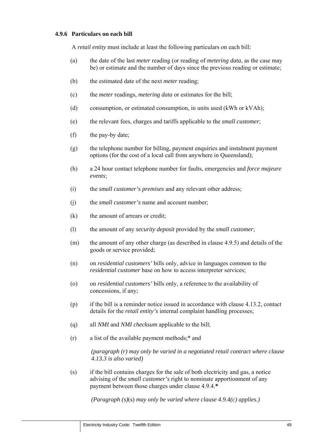### **4.9.6 Particulars on each bill**

A *retail entity* must include at least the following particulars on each bill:

- (a) the date of the last *meter* reading (or reading of *metering data*, as the case may be) or estimate and the number of days since the previous reading or estimate;
- (b) the estimated date of the next *meter* reading;
- (c) the *meter* readings, *metering data* or estimates for the bill;
- (d) consumption, or estimated consumption, in units used (kWh or kVAh);
- (e) the relevant fees, charges and tariffs applicable to the *small customer*;
- (f) the pay-by date;
- (g) the telephone number for billing, payment enquiries and instalment payment options (for the cost of a local call from anywhere in Queensland);
- (h) a 24 hour contact telephone number for faults, emergencies and *force majeure events*;
- (i) the *small customer's premises* and any relevant other address;
- (j) the *small customer's* name and account number;
- (k) the amount of arrears or credit;
- (l) the amount of any *security deposit* provided by the *small customer*;
- (m) the amount of any other charge (as described in clause 4.9.5) and details of the goods or service provided;
- (n) on *residential customers'* bills only, advice in languages common to the *residential customer* base on how to access interpreter services;
- (o) on *residential customers'* bills only, a reference to the availability of concessions, if any;
- (p) if the bill is a reminder notice issued in accordance with clause 4.13.2, contact details for the *retail entity's* internal complaint handling processes;
- (q) all *NMI* and *NMI checksum* applicable to the bill;
- (r) a list of the available payment methods;\* and

*(paragraph (r) may only be varied in a negotiated retail contract where clause 4.13.3 is also varied)* 

(s) if the bill contains charges for the sale of both electricity and gas, a notice advising of the *small customer's* right to nominate apportionment of any payment between those charges under clause 4.9.4.**\***

*(Paragraph (s)*(s) *may only be varied where clause 4.9.4(c) applies.)*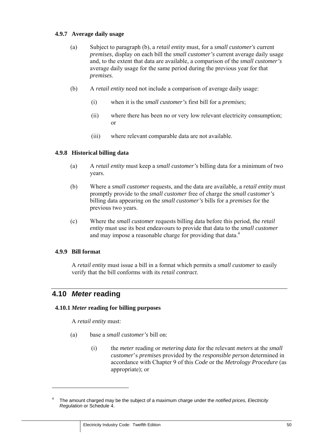### **4.9.7 Average daily usage**

- (a) Subject to paragraph (b), a *retail entity* must, for a *small customer's* current *premises*, display on each bill the *small customer's* current average daily usage and, to the extent that data are available, a comparison of the *small customer's* average daily usage for the same period during the previous year for that *premises*.
- (b) A *retail entity* need not include a comparison of average daily usage:
	- (i) when it is the *small customer's* first bill for a *premises*;
	- (ii) where there has been no or very low relevant electricity consumption; or
	- (iii) where relevant comparable data are not available.

## **4.9.8 Historical billing data**

- (a) A *retail entity* must keep a *small customer's* billing data for a minimum of two years.
- (b) Where a *small customer* requests, and the data are available, a *retail entity* must promptly provide to the *small customer* free of charge the *small customer's*  billing data appearing on the *small customer's* bills for a *premises* for the previous two years.
- (c) Where the *small customer* requests billing data before this period, the *retail entity* must use its best endeavours to provide that data to the *small customer* and may impose a reasonable charge for providing that data.<sup>4</sup>

### **4.9.9 Bill format**

A *retail entity* must issue a bill in a format which permits a *small customer* to easily verify that the bill conforms with its *retail contract*.

# **4.10** *Meter* **reading**

#### **4.10.1** *Meter* **reading for billing purposes**

A *retail entity* must:

- (a) base a *small customer's* bill on:
	- (i) the *meter* reading or *metering data* for the relevant *meters* at the *small customer*'s *premises* provided by the *responsible person* determined in accordance with Chapter 9 of this *Code* or the *Metrology Procedure* (as appropriate); or

<sup>4</sup> The amount charged may be the subject of a maximum charge under the *notified prices, Electricity Regulation* or Schedule 4.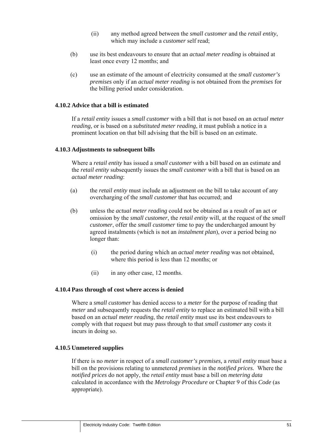- (ii) any method agreed between the *small customer* and the *retail entity*, which may include a *customer* self read;
- (b) use its best endeavours to ensure that an *actual meter reading* is obtained at least once every 12 months; and
- (c) use an estimate of the amount of electricity consumed at the *small customer's premises* only if an *actual meter reading* is not obtained from the *premises* for the billing period under consideration.

#### **4.10.2 Advice that a bill is estimated**

If a *retail entity* issues a *small customer* with a bill that is not based on an *actual meter reading,* or is based on a *substituted meter reading*, it must publish a notice in a prominent location on that bill advising that the bill is based on an estimate.

#### **4.10.3 Adjustments to subsequent bills**

Where a *retail entity* has issued a *small customer* with a bill based on an estimate and the *retail entity* subsequently issues the *small customer* with a bill that is based on an *actual meter reading*:

- (a) the *retail entity* must include an adjustment on the bill to take account of any overcharging of the *small customer* that has occurred; and
- (b) unless the *actual meter reading* could not be obtained as a result of an act or omission by the *small customer*, the *retail entity* will, at the request of the *small customer*, offer the *small customer* time to pay the undercharged amount by agreed instalments (which is not an *instalment plan*), over a period being no longer than:
	- (i) the period during which an *actual meter reading* was not obtained, where this period is less than 12 months; or
	- (ii) in any other case, 12 months.

#### **4.10.4 Pass through of cost where access is denied**

Where a *small customer* has denied access to a *meter* for the purpose of reading that *meter* and subsequently requests the *retail entity* to replace an estimated bill with a bill based on an *actual meter reading*, the *retail entity* must use its best endeavours to comply with that request but may pass through to that *small customer* any costs it incurs in doing so.

#### **4.10.5 Unmetered supplies**

If there is no *meter* in respect of a *small customer's premises,* a *retail entity* must base a bill on the provisions relating to unmetered *premises* in the *notified prices.* Where the *notified prices* do not apply, the *retail entity* must base a bill on *metering data*  calculated in accordance with the *Metrology Procedure* or Chapter 9 of this *Code* (as appropriate).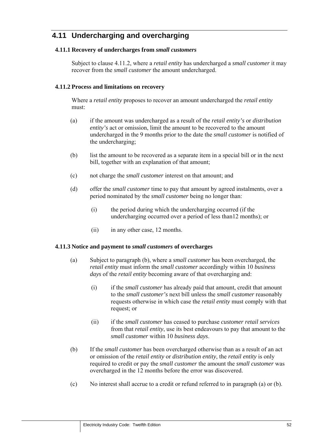# **4.11 Undercharging and overcharging**

## **4.11.1 Recovery of undercharges from** *small customers*

Subject to clause 4.11.2, where a *retail entity* has undercharged a *small customer* it may recover from the *small customer* the amount undercharged.

### **4.11.2 Process and limitations on recovery**

Where a *retail entity* proposes to recover an amount undercharged the *retail entity*  must:

- (a) if the amount was undercharged as a result of the *retail entity's* or *distribution entity's* act or omission, limit the amount to be recovered to the amount undercharged in the 9 months prior to the date the *small customer* is notified of the undercharging;
- (b) list the amount to be recovered as a separate item in a special bill or in the next bill, together with an explanation of that amount;
- (c) not charge the *small customer* interest on that amount; and
- (d) offer the *small customer* time to pay that amount by agreed instalments, over a period nominated by the *small customer* being no longer than:
	- (i) the period during which the undercharging occurred (if the undercharging occurred over a period of less than12 months); or
	- (ii) in any other case, 12 months.

#### **4.11.3 Notice and payment to** *small customers* **of overcharges**

- (a) Subject to paragraph (b), where a *small customer* has been overcharged, the *retail entity* must inform the *small customer* accordingly within 10 *business days* of the *retail entity* becoming aware of that overcharging and:
	- (i) if the *small customer* has already paid that amount, credit that amount to the *small customer's* next bill unless the *small customer* reasonably requests otherwise in which case the *retail entity* must comply with that request; or
	- (ii) if the *small customer* has ceased to purchase *customer retail services*  from that *retail entity*, use its best endeavours to pay that amount to the *small customer* within 10 *business days*.
- (b) If the *small customer* has been overcharged otherwise than as a result of an act or omission of the *retail entity* or *distribution entity*, the *retail entity* is only required to credit or pay the *small customer* the amount the *small customer* was overcharged in the 12 months before the error was discovered.
- (c) No interest shall accrue to a credit or refund referred to in paragraph (a) or (b).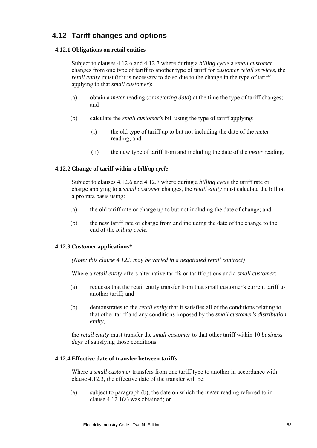# **4.12 Tariff changes and options**

## **4.12.1 Obligations on retail entities**

Subject to clauses 4.12.6 and 4.12.7 where during a *billing cycle* a *small customer* changes from one type of tariff to another type of tariff for *customer retail services*, the *retail entity* must (if it is necessary to do so due to the change in the type of tariff applying to that *small customer*):

- (a) obtain a *meter* reading (or *metering data*) at the time the type of tariff changes; and
- (b) calculate the *small customer's* bill using the type of tariff applying:
	- (i) the old type of tariff up to but not including the date of the *meter* reading; and
	- (ii) the new type of tariff from and including the date of the *meter* reading.

## **4.12.2 Change of tariff within a** *billing cycle*

Subject to clauses 4.12.6 and 4.12.7 where during a *billing cycle* the tariff rate or charge applying to a *small customer* changes, the *retail entity* must calculate the bill on a pro rata basis using:

- (a) the old tariff rate or charge up to but not including the date of change; and
- (b) the new tariff rate or charge from and including the date of the change to the end of the *billing cycle*.

#### **4.12.3** *Customer* **applications\***

*(Note: this clause 4.12.3 may be varied in a negotiated retail contract)*

Where a *retail entity* offers alternative tariffs or tariff options and a *small customer:*

- (a) requests that the retail entity transfer from that small customer's current tariff to another tariff; and
- (b) demonstrates to the *retail entity* that it satisfies all of the conditions relating to that other tariff and any conditions imposed by the *small customer's distribution entity*,

the *retail entity* must transfer the *small customer* to that other tariff within 10 *business days* of satisfying those conditions.

#### **4.12.4 Effective date of transfer between tariffs**

Where a *small customer* transfers from one tariff type to another in accordance with clause 4.12.3, the effective date of the transfer will be:

(a) subject to paragraph (b), the date on which the *meter* reading referred to in clause 4.12.1(a) was obtained; or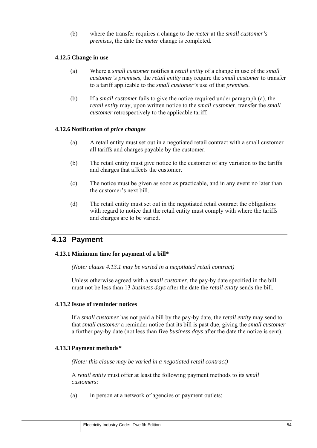(b) where the transfer requires a change to the *meter* at the *small customer's premises*, the date the *meter* change is completed.

#### **4.12.5 Change in use**

- (a) Where a *small customer* notifies a *retail entity* of a change in use of the *small customer's premises*, the *retail entity* may require the *small customer* to transfer to a tariff applicable to the *small customer's* use of that *premises*.
- (b) If a *small customer* fails to give the notice required under paragraph (a), the *retail entity* may, upon written notice to the *small customer*, transfer the *small customer* retrospectively to the applicable tariff.

#### **4.12.6 Notification of** *price changes*

- (a) A retail entity must set out in a negotiated retail contract with a small customer all tariffs and charges payable by the customer.
- (b) The retail entity must give notice to the customer of any variation to the tariffs and charges that affects the customer.
- (c) The notice must be given as soon as practicable, and in any event no later than the customer's next bill.
- (d) The retail entity must set out in the negotiated retail contract the obligations with regard to notice that the retail entity must comply with where the tariffs and charges are to be varied.

## **4.13 Payment**

#### **4.13.1 Minimum time for payment of a bill\***

*(Note: clause 4.13.1 may be varied in a negotiated retail contract)* 

Unless otherwise agreed with a *small customer*, the pay-by date specified in the bill must not be less than 13 *business days* after the date the *retail entity* sends the bill.

#### **4.13.2 Issue of reminder notices**

If a *small customer* has not paid a bill by the pay-by date, the *retail entity* may send to that *small customer* a reminder notice that its bill is past due, giving the *small customer*  a further pay-by date (not less than five *business days* after the date the notice is sent).

#### **4.13.3 Payment methods***\**

*(Note: this clause may be varied in a negotiated retail contract)* 

A *retail entity* must offer at least the following payment methods to its *small customers*:

(a) in person at a network of agencies or payment outlets;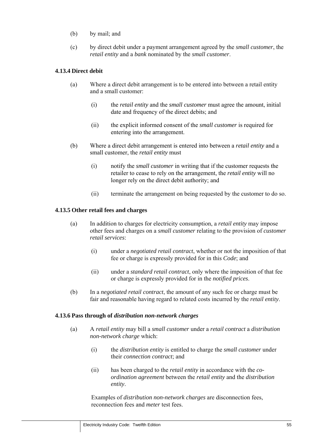- (b) by mail; and
- (c) by direct debit under a payment arrangement agreed by the *small customer*, the *retail entity* and a *bank* nominated by the *small customer*.

## **4.13.4 Direct debit**

- (a) Where a direct debit arrangement is to be entered into between a retail entity and a small customer:
	- (i) the *retail entity* and the *small customer* must agree the amount, initial date and frequency of the direct debits; and
	- (ii) the explicit informed consent of the *small customer* is required for entering into the arrangement.
- (b) Where a direct debit arrangement is entered into between a *retail entity* and a small customer, the *retail entity* must
	- (i) notify the *small customer* in writing that if the customer requests the retailer to cease to rely on the arrangement, the *retail entity* will no longer rely on the direct debit authority; and
	- (ii) terminate the arrangement on being requested by the customer to do so.

#### **4.13.5 Other retail fees and charges**

- (a) In addition to charges for electricity consumption, a *retail entity* may impose other fees and charges on a *small customer* relating to the provision of *customer retail services*:
	- (i) under a *negotiated retail contract*, whether or not the imposition of that fee or charge is expressly provided for in this *Code*; and
	- (ii) under a *standard retail contract*, only where the imposition of that fee or charge is expressly provided for in the *notified prices*.
- (b) In a *negotiated retail contract*, the amount of any such fee or charge must be fair and reasonable having regard to related costs incurred by the *retail entity*.

#### **4.13.6 Pass through of** *distribution non-network charges*

- (a) A *retail entity* may bill a *small customer* under a *retail contract* a *distribution non-network charge* which:
	- (i) the *distribution entity* is entitled to charge the *small customer* under their *connection contract*; and
	- (ii) has been charged to the *retail entity* in accordance with the *coordination agreement* between the *retail entity* and the *distribution entity*.

Examples of *distribution non-network charges* are disconnection fees, reconnection fees and *meter* test fees.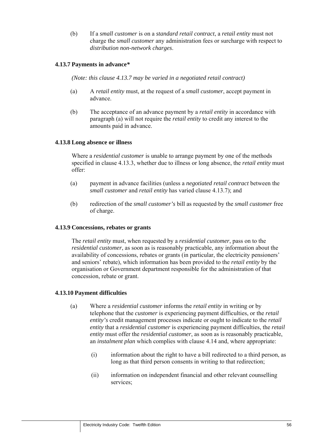(b) If a *small customer* is on a *standard retail contract*, a *retail entity* must not charge the *small customer* any administration fees or surcharge with respect to *distribution non-network charges*.

#### **4.13.7 Payments in advance***\**

*(Note: this clause 4.13.7 may be varied in a negotiated retail contract)* 

- (a) A *retail entity* must, at the request of a *small customer*, accept payment in advance.
- (b) The acceptance of an advance payment by a *retail entity* in accordance with paragraph (a) will not require the *retail entity* to credit any interest to the amounts paid in advance.

#### **4.13.8 Long absence or illness**

Where a *residential customer* is unable to arrange payment by one of the methods specified in clause 4.13.3, whether due to illness or long absence, the *retail entity* must offer:

- (a) payment in advance facilities (unless a *negotiated retail contract* between the *small customer* and *retail entity* has varied clause 4.13.7); and
- (b) redirection of the *small customer's* bill as requested by the *small customer* free of charge.

#### **4.13.9 Concessions, rebates or grants**

The *retail entity* must, when requested by a *residential customer*, pass on to the *residential customer*, as soon as is reasonably practicable, any information about the availability of concessions, rebates or grants (in particular, the electricity pensioners' and seniors' rebate), which information has been provided to the *retail entity* by the organisation or Government department responsible for the administration of that concession, rebate or grant.

#### **4.13.10 Payment difficulties**

- (a) Where a *residential customer* informs the *retail entity* in writing or by telephone that the *customer* is experiencing payment difficulties, or the *retail entity's* credit management processes indicate or ought to indicate to the *retail entity* that a *residential customer* is experiencing payment difficulties, the *retail entity* must offer the *residential customer*, as soon as is reasonably practicable, an *instalment plan* which complies with clause 4.14 and, where appropriate:
	- (i) information about the right to have a bill redirected to a third person, as long as that third person consents in writing to that redirection;
	- (ii) information on independent financial and other relevant counselling services;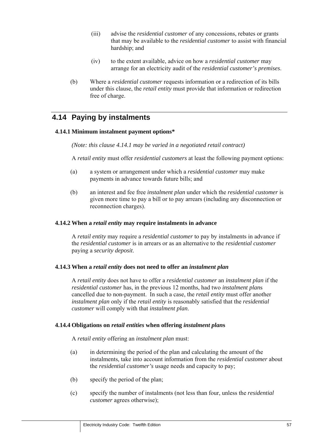- (iii) advise the *residential customer* of any concessions, rebates or grants that may be available to the *residential customer* to assist with financial hardship; and
- (iv) to the extent available, advice on how a *residential customer* may arrange for an electricity audit of the *residential customer's premises*.
- (b) Where a *residential customer* requests information or a redirection of its bills under this clause, the *retail entity* must provide that information or redirection free of charge.

# **4.14 Paying by instalments**

#### **4.14.1 Minimum instalment payment options\***

*(Note: this clause 4.14.1 may be varied in a negotiated retail contract)* 

A *retail entity* must offer *residential customers* at least the following payment options:

- (a) a system or arrangement under which a *residential customer* may make payments in advance towards future bills; and
- (b) an interest and fee free *instalment plan* under which the *residential customer* is given more time to pay a bill or to pay arrears (including any disconnection or reconnection charges).

#### **4.14.2 When a** *retail entity* **may require instalments in advance**

A *retail entity* may require a *residential customer* to pay by instalments in advance if the *residential customer* is in arrears or as an alternative to the *residential customer*  paying a *security deposit*.

#### **4.14.3 When a** *retail entity* **does not need to offer an** *instalment plan*

A *retail entity* does not have to offer a *residential customer* an *instalment plan* if the *residential customer* has, in the previous 12 months, had two *instalment plan*s cancelled due to non-payment. In such a case, the *retail entity* must offer another *instalment plan* only if the *retail entity* is reasonably satisfied that the *residential customer* will comply with that *instalment plan*.

#### **4.14.4 Obligations on** *retail entities* **when offering** *instalment plan***s**

A *retail entity* offering an *instalment plan* must:

- (a) in determining the period of the plan and calculating the amount of the instalments, take into account information from the *residential customer* about the *residential customer's* usage needs and capacity to pay;
- (b) specify the period of the plan;
- (c) specify the number of instalments (not less than four, unless the *residential customer* agrees otherwise);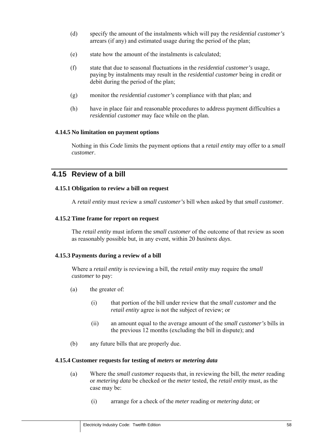- (d) specify the amount of the instalments which will pay the *residential customer's*  arrears (if any) and estimated usage during the period of the plan;
- (e) state how the amount of the instalments is calculated;
- (f) state that due to seasonal fluctuations in the *residential customer's* usage, paying by instalments may result in the *residential customer* being in credit or debit during the period of the plan;
- (g) monitor the *residential customer's* compliance with that plan; and
- (h) have in place fair and reasonable procedures to address payment difficulties a *residential customer* may face while on the plan.

## **4.14.5 No limitation on payment options**

Nothing in this *Code* limits the payment options that a *retail entity* may offer to a *small customer*.

## **4.15 Review of a bill**

#### **4.15.1 Obligation to review a bill on request**

A *retail entity* must review a *small customer's* bill when asked by that *small customer*.

### **4.15.2 Time frame for report on request**

The *retail entity* must inform the *small customer* of the outcome of that review as soon as reasonably possible but, in any event, within 20 *business days*.

#### **4.15.3 Payments during a review of a bill**

Where a *retail entity* is reviewing a bill, the *retail entity* may require the *small customer* to pay:

- (a) the greater of:
	- (i) that portion of the bill under review that the *small customer* and the *retail entity* agree is not the subject of review; or
	- (ii) an amount equal to the average amount of the *small customer's* bills in the previous 12 months (excluding the bill in dispute); and
- (b) any future bills that are properly due.

#### **4.15.4 Customer requests for testing of** *meters* **or** *metering data*

- (a) Where the *small customer* requests that, in reviewing the bill, the *meter* reading or *metering data* be checked or the *meter* tested, the *retail entity* must, as the case may be:
	- (i) arrange for a check of the *meter* reading or *metering data*; or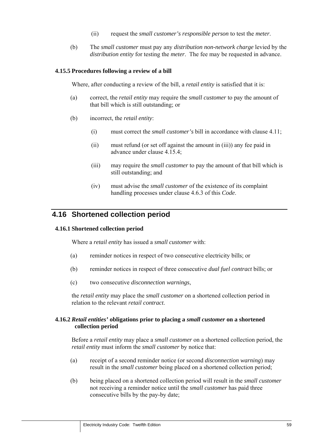- (ii) request the *small customer's responsible person* to test the *meter*.
- (b) The *small customer* must pay any *distribution non-network charge* levied by the *distribution entity* for testing the *meter*. The fee may be requested in advance.

#### **4.15.5 Procedures following a review of a bill**

Where, after conducting a review of the bill, a *retail entity* is satisfied that it is:

- (a) correct, the *retail entity* may require the *small customer* to pay the amount of that bill which is still outstanding; or
- (b) incorrect, the *retail entity*:
	- (i) must correct the *small customer's* bill in accordance with clause 4.11;
	- (ii) must refund (or set off against the amount in (iii)) any fee paid in advance under clause 4.15.4;
	- (iii) may require the *small customer* to pay the amount of that bill which is still outstanding; and
	- (iv) must advise the *small customer* of the existence of its complaint handling processes under clause 4.6.3 of this *Code*.

## **4.16 Shortened collection period**

#### **4.16.1 Shortened collection period**

Where a *retail entity* has issued a *small customer* with:

- (a) reminder notices in respect of two consecutive electricity bills; or
- (b) reminder notices in respect of three consecutive *dual fuel contract* bills; or
- (c) two consecutive *disconnection warnings*,

the *retail entity* may place the *small customer* on a shortened collection period in relation to the relevant *retail contract*.

#### **4.16.2** *Retail entities'* **obligations prior to placing a** *small customer* **on a shortened collection period**

Before a *retail entity* may place a *small customer* on a shortened collection period, the *retail entity* must inform the *small customer* by notice that:

- (a) receipt of a second reminder notice (or second *disconnection warning*) may result in the *small customer* being placed on a shortened collection period;
- (b) being placed on a shortened collection period will result in the *small customer*  not receiving a reminder notice until the *small customer* has paid three consecutive bills by the pay-by date;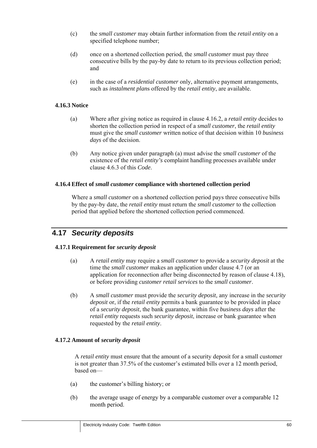- (c) the *small customer* may obtain further information from the *retail entity* on a specified telephone number;
- (d) once on a shortened collection period, the *small customer* must pay three consecutive bills by the pay-by date to return to its previous collection period; and
- (e) in the case of a *residential customer* only, alternative payment arrangements, such as *instalment plan*s offered by the *retail entity*, are available.

### **4.16.3 Notice**

- (a) Where after giving notice as required in clause 4.16.2, a *retail entity* decides to shorten the collection period in respect of a *small customer*, the *retail entity*  must give the *small customer* written notice of that decision within 10 *business days* of the decision.
- (b) Any notice given under paragraph (a) must advise the *small customer* of the existence of the *retail entity's* complaint handling processes available under clause 4.6.3 of this *Code*.

#### **4.16.4 Effect of** *small customer* **compliance with shortened collection period**

Where a *small customer* on a shortened collection period pays three consecutive bills by the pay-by date, the *retail entity* must return the *small customer* to the collection period that applied before the shortened collection period commenced.

# **4.17** *Security deposits*

#### **4.17.1 Requirement for** *security deposit*

- (a) A *retail entity* may require a *small customer* to provide a *security deposit* at the time the *small customer* makes an application under clause 4.7 (or an application for reconnection after being disconnected by reason of clause 4.18), or before providing *customer retail services* to the *small customer*.
- (b) A *small customer* must provide the *security deposit,* any increase in the *security deposit* or, if the *retail entity* permits a bank guarantee to be provided in place of a *security deposit*, the bank guarantee, within five *business days* after the *retail entity* requests such *security deposit*, increase or bank guarantee when requested by the *retail entity*.

#### **4.17.2 Amount of** *security deposit*

A *retail entity* must ensure that the amount of a security deposit for a small customer is not greater than 37.5% of the customer's estimated bills over a 12 month period, based on—

- (a) the customer's billing history; or
- (b) the average usage of energy by a comparable customer over a comparable 12 month period.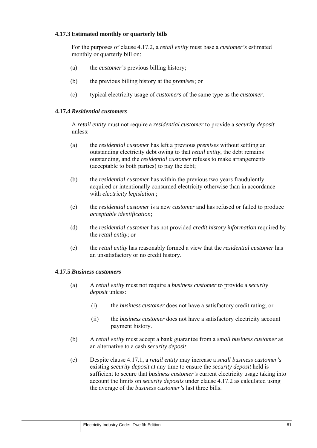## **4.17.3 Estimated monthly or quarterly bills**

For the purposes of clause 4.17.2, a *retail entity* must base a *customer's* estimated monthly or quarterly bill on:

- (a) the *customer's* previous billing history;
- (b) the previous billing history at the *premises*; or
- (c) typical electricity usage of *customers* of the same type as the *customer*.

## **4.17.4** *Residential customers*

A *retail entity* must not require a *residential customer* to provide a *security deposit* unless:

- (a) the *residential customer* has left a previous *premises* without settling an outstanding electricity debt owing to that *retail entity*, the debt remains outstanding, and the *residential customer* refuses to make arrangements (acceptable to both parties) to pay the debt;
- (b) the *residential customer* has within the previous two years fraudulently acquired or intentionally consumed electricity otherwise than in accordance with *electricity legislation* ;
- (c) the *residential customer* is a new *customer* and has refused or failed to produce *acceptable identification*;
- (d) the *residential customer* has not provided *credit history information* required by the *retail entity*; or
- (e) the *retail entity* has reasonably formed a view that the *residential customer* has an unsatisfactory or no credit history.

#### **4.17.5** *Business customers*

- (a) A *retail entity* must not require a *business customer* to provide a *security deposit* unless:
	- (i) the *business customer* does not have a satisfactory credit rating; or
	- (ii) the *business customer* does not have a satisfactory electricity account payment history.
- (b) A *retail entity* must accept a bank guarantee from a *small business customer* as an alternative to a cash *security deposit*.
- (c) Despite clause 4.17.1, a *retail entity* may increase a *small business customer's*  existing *security deposit* at any time to ensure the *security deposit* held is sufficient to secure that *business customer's* current electricity usage taking into account the limits on *security deposits* under clause 4.17.2 as calculated using the average of the *business customer's* last three bills.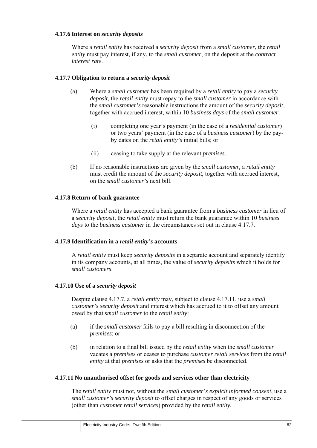### **4.17.6 Interest on** *security deposits*

Where a *retail entity* has received a *security deposit* from a *small customer*, the *retail entity* must pay interest, if any, to the *small customer*, on the deposit at the *contract interest rate*.

### **4.17.7 Obligation to return a** *security deposit*

- (a) Where a *small customer* has been required by a *retail entity* to pay a *security deposit*, the *retail entity* must repay to the *small customer* in accordance with the *small customer's* reasonable instructions the amount of the *security deposit*, together with accrued interest, within 10 *business days* of the *small customer*:
	- (i) completing one year's payment (in the case of a *residential customer*) or two years' payment (in the case of a *business customer*) by the payby dates on the *retail entity's* initial bills; or
	- (ii) ceasing to take supply at the relevant *premises*.
- (b) If no reasonable instructions are given by the *small customer,* a *retail entity*  must credit the amount of the *security deposit*, together with accrued interest, on the *small customer's* next bill.

## **4.17.8 Return of bank guarantee**

Where a *retail entity* has accepted a bank guarantee from a *business customer* in lieu of a *security deposit*, the *retail entity* must return the bank guarantee within 10 *business days* to the *business customer* in the circumstances set out in clause 4.17.7.

#### **4.17.9 Identification in a** *retail entity's* **accounts**

A *retail entity* must keep *security deposits* in a separate account and separately identify in its company accounts, at all times, the value of *security deposits* which it holds for *small customers*.

#### **4.17.10 Use of a** *security deposit*

Despite clause 4.17.7, a *retail entity* may, subject to clause 4.17.11, use a *small customer's security deposit* and interest which has accrued to it to offset any amount owed by that *small customer* to the *retail entity*:

- (a) if the *small customer* fails to pay a bill resulting in disconnection of the *premises*; or
- (b) in relation to a final bill issued by the *retail entity* when the *small customer*  vacates a *premises* or ceases to purchase *customer retail services* from the *retail entity* at that *premises* or asks that the *premises* be disconnected.

#### **4.17.11 No unauthorised offset for goods and services other than electricity**

The *retail entity* must not, without the *small customer*'*s explicit informed consent*, use a *small customer's security deposit* to offset charges in respect of any goods or services (other than *customer retail services*) provided by the *retail entity.*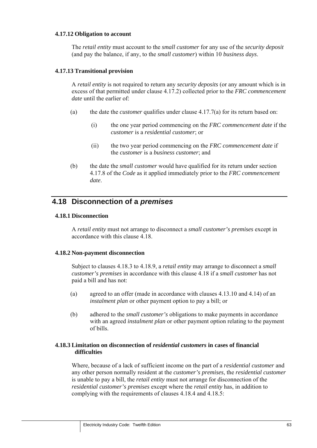#### **4.17.12 Obligation to account**

The *retail entity* must account to the *small customer* for any use of the *security deposit*  (and pay the balance, if any, to the *small customer*) within 10 *business days*.

#### **4.17.13 Transitional provision**

A *retail entity* is not required to return any *security deposits* (or any amount which is in excess of that permitted under clause 4.17.2) collected prior to the *FRC commencement date* until the earlier of:

- (a) the date the *customer* qualifies under clause 4.17.7(a) for its return based on:
	- (i) the one year period commencing on the *FRC commencement date* if the *customer* is a *residential customer*; or
	- (ii) the two year period commencing on the *FRC commencement date* if the *customer* is a *business customer*; and
- (b) the date the *small customer* would have qualified for its return under section 4.17.8 of the *Code* as it applied immediately prior to the *FRC commencement date*.

## **4.18 Disconnection of a** *premises*

#### **4.18.1 Disconnection**

A *retail entity* must not arrange to disconnect a *small customer's premises* except in accordance with this clause 4.18.

#### **4.18.2 Non-payment disconnection**

Subject to clauses 4.18.3 to 4.18.9, a *retail entity* may arrange to disconnect a *small customer's premises* in accordance with this clause 4.18 if a *small customer* has not paid a bill and has not:

- (a) agreed to an offer (made in accordance with clauses 4.13.10 and 4.14) of an *instalment plan* or other payment option to pay a bill; or
- (b) adhered to the *small customer's* obligations to make payments in accordance with an agreed *instalment plan* or other payment option relating to the payment of bills.

#### **4.18.3 Limitation on disconnection of** *residential customers* **in cases of financial difficulties**

Where, because of a lack of sufficient income on the part of a *residential customer* and any other person normally resident at the *customer's premises*, the *residential customer*  is unable to pay a bill, the *retail entity* must not arrange for disconnection of the *residential customer's premises* except where the *retail entity* has, in addition to complying with the requirements of clauses 4.18.4 and 4.18.5: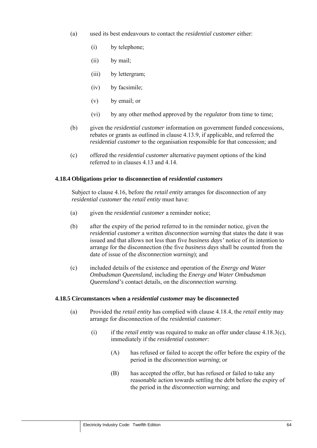- (a) used its best endeavours to contact the *residential customer* either:
	- (i) by telephone;
	- (ii) by mail;
	- (iii) by lettergram;
	- (iv) by facsimile;
	- (v) by email; or
	- (vi) by any other method approved by the *regulator* from time to time;
- (b) given the *residential customer* information on government funded concessions, rebates or grants as outlined in clause 4.13.9, if applicable, and referred the *residential customer* to the organisation responsible for that concession; and
- (c) offered the *residential customer* alternative payment options of the kind referred to in clauses 4.13 and 4.14.

#### **4.18.4 Obligations prior to disconnection of** *residential customers*

Subject to clause 4.16, before the *retail entity* arranges for disconnection of any *residential customer* the *retail entity* must have:

- (a) given the *residential customer* a reminder notice;
- (b) after the expiry of the period referred to in the reminder notice, given the *residential customer* a written *disconnection warning* that states the date it was issued and that allows not less than five *business days'* notice of its intention to arrange for the disconnection (the five *business days* shall be counted from the date of issue of the *disconnection warning*); and
- (c) included details of the existence and operation of the *Energy and Water Ombudsman Queensland*, including the *Energy and Water Ombudsman Queensland's* contact details, on the *disconnection warning*.

#### **4.18.5 Circumstances when a** *residential customer* **may be disconnected**

- (a) Provided the *retail entity* has complied with clause 4.18.4, the *retail entity* may arrange for disconnection of the *residential customer*:
	- (i) if the *retail entity* was required to make an offer under clause 4.18.3(c), immediately if the *residential customer*:
		- (A) has refused or failed to accept the offer before the expiry of the period in the *disconnection warning*; or
		- (B) has accepted the offer, but has refused or failed to take any reasonable action towards settling the debt before the expiry of the period in the *disconnection warning*; and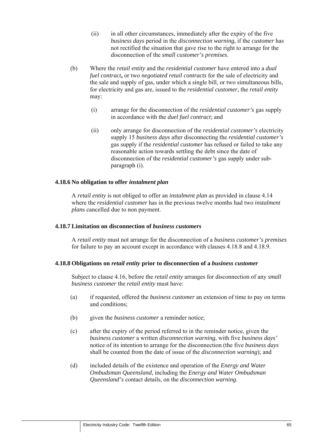- (ii) in all other circumstances, immediately after the expiry of the five *business days* period in the *disconnection warning*, if the *customer* has not rectified the situation that gave rise to the right to arrange for the disconnection of the *small customer's premises*.
- (b) Where the *retail entity* and the *residential customer* have entered into a *dual fuel contract***,** or two *negotiated retail contracts* for the sale of electricity and the sale and supply of gas, under which a single bill, or two simultaneous bills, for electricity and gas are, issued to the *residential customer,* the *retail entity*  may:
	- (i) arrange for the disconnection of the *residential customer's* gas supply in accordance with the *duel fuel contract*; and
	- (ii) only arrange for disconnection of the *residential customer's* electricity supply 15 *business days* after disconnecting the *residential customer's*  gas supply if the *residential customer* has refused or failed to take any reasonable action towards settling the debt since the date of disconnection of the *residential customer's* gas supply under subparagraph (i).

#### **4.18.6 No obligation to offer** *instalment plan*

A *retail entity* is not obliged to offer an *instalment plan* as provided in clause 4.14 where the *residential customer* has in the previous twelve months had two *instalment plan*s cancelled due to non payment.

#### **4.18.7 Limitation on disconnection of** *business customers*

A *retail entity* must not arrange for the disconnection of a *business customer's premises*  for failure to pay an account except in accordance with clauses 4.18.8 and 4.18.9.

#### **4.18.8 Obligations on** *retail entity* **prior to disconnection of a** *business customer*

Subject to clause 4.16, before the *retail entity* arranges for disconnection of any *small business customer* the *retail entity* must have:

- (a) if requested, offered the *business customer* an extension of time to pay on terms and conditions;
- (b) given the *business customer* a reminder notice;
- (c) after the expiry of the period referred to in the reminder notice, given the *business customer* a written *disconnection warning*, with five *business days'*  notice of its intention to arrange for the disconnection (the five *business days*  shall be counted from the date of issue of the *disconnection warning*); and
- (d) included details of the existence and operation of the *Energy and Water Ombudsman Queensland*, including the *Energy and Water Ombudsman Queensland's* contact details, on the *disconnection warning*.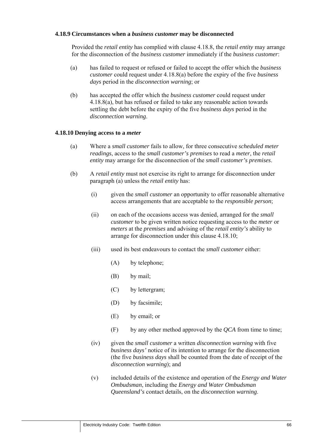#### **4.18.9 Circumstances when a** *business customer* **may be disconnected**

Provided the *retail entity* has complied with clause 4.18.8, the *retail entity* may arrange for the disconnection of the *business customer* immediately if the *business customer*:

- (a) has failed to request or refused or failed to accept the offer which the *business customer* could request under 4.18.8(a) before the expiry of the five *business days* period in the *disconnection warning*; or
- (b) has accepted the offer which the *business customer* could request under 4.18.8(a), but has refused or failed to take any reasonable action towards settling the debt before the expiry of the five *business days* period in the *disconnection warning*.

#### **4.18.10 Denying access to a** *meter*

- (a) Where a *small customer* fails to allow, for three consecutive *scheduled meter readings*, access to the *small customer's premises* to read a *meter*, the *retail entity* may arrange for the disconnection of the *small customer's premises*.
- (b) A *retail entity* must not exercise its right to arrange for disconnection under paragraph (a) unless the *retail entity* has:
	- (i) given the *small customer* an opportunity to offer reasonable alternative access arrangements that are acceptable to the *responsible person*;
	- (ii) on each of the occasions access was denied, arranged for the *small customer* to be given written notice requesting access to the *meter* or *meters* at the *premises* and advising of the *retail entity's* ability to arrange for disconnection under this clause 4.18.10;
	- (iii) used its best endeavours to contact the *small customer* either:
		- (A) by telephone;
		- (B) by mail;
		- (C) by lettergram;
		- (D) by facsimile;
		- (E) by email; or
		- (F) by any other method approved by the *QCA* from time to time;
	- (iv) given the *small customer* a written *disconnection warning* with five *business days'* notice of its intention to arrange for the disconnection (the five *business days* shall be counted from the date of receipt of the *disconnection warning*); and
	- (v) included details of the existence and operation of the *Energy and Water Ombudsman*, including the *Energy and Water Ombudsman Queensland's* contact details, on the *disconnection warning*.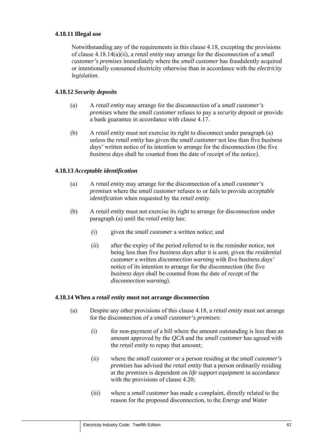### **4.18.11 Illegal use**

Notwithstanding any of the requirements in this clause 4.18, excepting the provisions of clause 4.18.14(a)(ii), a *retail entity* may arrange for the disconnection of a *small customer's premises* immediately where the *small customer* has fraudulently acquired or intentionally consumed electricity otherwise than in accordance with the *electricity legislation*.

## **4.18.12** *Security deposits*

- (a) A *retail entity* may arrange for the disconnection of a *small customer's premises* where the *small customer* refuses to pay a *security deposit* or provide a bank guarantee in accordance with clause 4.17.
- (b) A *retail entity* must not exercise its right to disconnect under paragraph (a) unless the *retail entity* has given the *small customer* not less than five *business days'* written notice of its intention to arrange for the disconnection (the five *business days* shall be counted from the date of receipt of the notice).

## **4.18.13** *Acceptable identification*

- (a) A *retail entity* may arrange for the disconnection of a *small customer's premises* where the *small customer* refuses to or fails to provide *acceptable identification* when requested by the *retail entity*.
- (b) A *retail entity* must not exercise its right to arrange for disconnection under paragraph (a) until the *retail entity* has:
	- (i) given the *small customer* a written notice; and
	- (ii) after the expiry of the period referred to in the reminder notice, not being less than five *business days* after it is sent*,* given the *residential customer* a written *disconnection warning* with five *business days'*  notice of its intention to arrange for the disconnection (the five *business days* shall be counted from the date of recept of the *disconnection warning*).

#### **4.18.14 When a** *retail entity* **must not arrange disconnection**

- (a) Despite any other provisions of this clause 4.18, a *retail entity* must not arrange for the disconnection of a *small customer's premises*:
	- (i) for non-payment of a bill where the amount outstanding is less than an amount approved by the *QCA* and the *small customer* has agreed with the *retail entity* to repay that amount;
	- (ii) where the *small customer* or a person residing at the *small customer's premises* has advised the *retail entity* that a person ordinarily residing at the *premises* is dependent on *life support equipment* in accordance with the provisions of clause 4.20;
	- (iii) where a *small customer* has made a complaint, directly related to the reason for the proposed disconnection, to the *Energy and Water*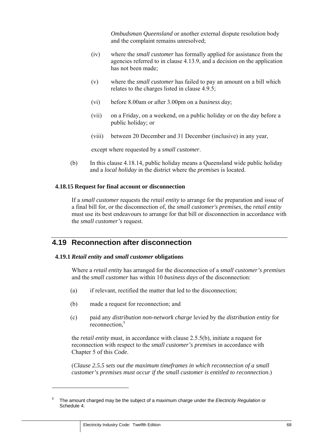*Ombudsman Queensland* or another external dispute resolution body and the complaint remains unresolved;

- (iv) where the *small customer* has formally applied for assistance from the agencies referred to in clause 4.13.9, and a decision on the application has not been made;
- (v) where the *small customer* has failed to pay an amount on a bill which relates to the charges listed in clause 4.9.5;
- (vi) before 8.00am or after 3.00pm on a *business day*;
- (vii) on a Friday, on a weekend, on a public holiday or on the day before a public holiday; or
- (viii) between 20 December and 31 December (inclusive) in any year,

except where requested by a *small customer*.

(b) In this clause 4.18.14, public holiday means a Queensland wide public holiday and a *local holiday* in the district where the *premises* is located.

#### **4.18.15 Request for final account or disconnection**

If a *small customer* requests the *retail entity* to arrange for the preparation and issue of a final bill for, or the disconnection of, the *small customer's premises*, the *retail entity*  must use its best endeavours to arrange for that bill or disconnection in accordance with the *small customer's* request.

# **4.19 Reconnection after disconnection**

#### **4.19.1** *Retail entity* **and** *small customer* **obligations**

Where a *retail entity* has arranged for the disconnection of a *small customer's premises* and the *small customer* has within 10 *business days* of the disconnection:

- (a) if relevant, rectified the matter that led to the disconnection;
- (b) made a request for reconnection; and
- (c) paid any *distribution non-network charge* levied by the *distribution entity* for reconnection.<sup>5</sup>

the *retail entity* must, in accordance with clause 2.5.5(b), initiate a request for reconnection with respect to the *small customer's premises* in accordance with Chapter 5 of this *Code*.

(*Clause 2.5.5 sets out the maximum timeframes in which reconnection of a small customer's premises must occur if the small customer is entitled to reconnection*.)

<sup>5</sup> The amount charged may be the subject of a maximum charge under the *Electricity Regulation* or Schedule 4.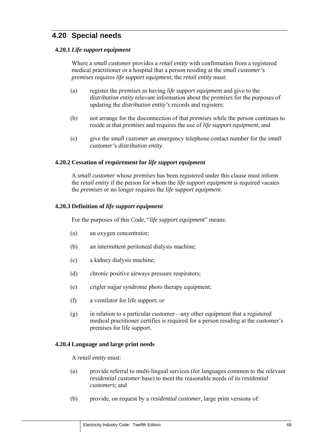# **4.20 Special needs**

### **4.20.1** *Life support equipment*

Where a *small customer* provides a *retail entity* with confirmation from a registered medical practitioner or a hospital that a person residing at the *small customer's premises* requires *life support equipment*, the *retail entity* must:

- (a) register the *premises* as having *life support equipment* and give to the *distribution entity* relevant information about the *premises* for the purposes of updating the *distribution entity's* records and registers;
- (b) not arrange for the disconnection of that *premises* while the person continues to reside at that *premises* and requires the use of *life support equipment*; and
- (c) give the *small customer* an emergency telephone contact number for the *small customer'*s *distribution entity*.

#### **4.20.2 Cessation of requirement for** *life support equipment*

A *small customer* whose *premises* has been registered under this clause must inform the *retail entity* if the person for whom the *life support equipment* is required vacates the *premises* or no longer requires the *life support equipment*.

#### **4.20.3 Definition of** *life support equipment*

For the purposes of this *Code*, "*life support equipment*" means:

- (a) an oxygen concentrator;
- (b) an intermittent peritoneal dialysis machine;
- (c) a kidney dialysis machine;
- (d) chronic positive airways pressure respirators;
- (e) crigler najjar syndrome photo therapy equipment;
- (f) a ventilator for life support; or
- (g) in relation to a particular customer—any other equipment that a registered medical practitioner certifies is required for a person residing at the customer's premises for life support.

#### **4.20.4 Language and large print needs**

A *retail entity* must:

- (a) provide referral to multi-lingual services (for languages common to the relevant *residential customer* base) to meet the reasonable needs of its *residential customers*; and
- (b) provide, on request by a *residential customer*, large print versions of: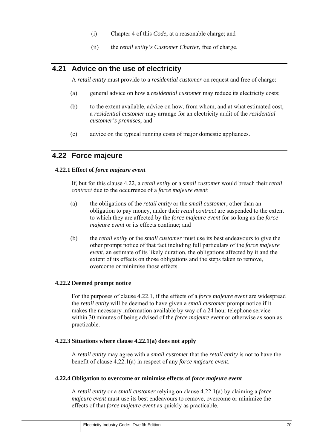- (i) Chapter 4 of this *Code*, at a reasonable charge; and
- (ii) the *retail entity's Customer Charter*, free of charge.

# **4.21 Advice on the use of electricity**

A *retail entity* must provide to a *residential customer* on request and free of charge:

- (a) general advice on how a *residential customer* may reduce its electricity costs;
- (b) to the extent available, advice on how, from whom, and at what estimated cost, a *residential customer* may arrange for an electricity audit of the *residential customer's premises*; and
- (c) advice on the typical running costs of major domestic appliances.

## **4.22 Force majeure**

#### **4.22.1 Effect of** *force majeure event*

If, but for this clause 4.22, a *retail entity* or a *small customer* would breach their *retail contract* due to the occurrence of a *force majeure event*:

- (a) the obligations of the *retail entity* or the *small customer*, other than an obligation to pay money, under their *retail contract* are suspended to the extent to which they are affected by the *force majeure event* for so long as the *force majeure event* or its effects continue; and
- (b) the *retail entity* or the *small customer* must use its best endeavours to give the other prompt notice of that fact including full particulars of the *force majeure event*, an estimate of its likely duration, the obligations affected by it and the extent of its effects on those obligations and the steps taken to remove, overcome or minimise those effects.

### **4.22.2 Deemed prompt notice**

For the purposes of clause 4.22.1, if the effects of a *force majeure event* are widespread the *retail entity* will be deemed to have given a *small customer* prompt notice if it makes the necessary information available by way of a 24 hour telephone service within 30 minutes of being advised of the *force majeure event* or otherwise as soon as practicable.

#### **4.22.3 Situations where clause 4.22.1(a) does not apply**

A *retail entity* may agree with a *small customer* that the *retail entity* is not to have the benefit of clause 4.22.1(a) in respect of any *force majeure event*.

#### **4.22.4 Obligation to overcome or minimise effects of** *force majeure event*

A *retail entity* or a *small customer* relying on clause 4.22.1(a) by claiming a *force majeure event* must use its best endeavours to remove, overcome or minimize the effects of that *force majeure event* as quickly as practicable.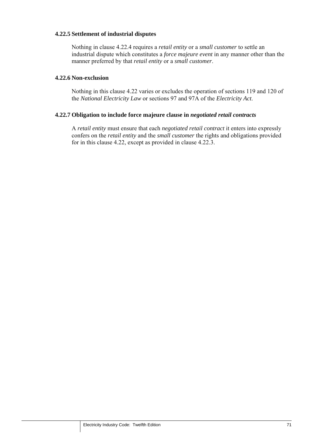#### **4.22.5 Settlement of industrial disputes**

Nothing in clause 4.22.4 requires a *retail entity* or a *small customer* to settle an industrial dispute which constitutes a *force majeure event* in any manner other than the manner preferred by that *retail entity* or a *small customer*.

#### **4.22.6 Non-exclusion**

Nothing in this clause 4.22 varies or excludes the operation of sections 119 and 120 of the *National Electricity Law* or sections 97 and 97A of the *Electricity Act*.

#### **4.22.7 Obligation to include force majeure clause in** *negotiated retail contracts*

A *retail entity* must ensure that each *negotiated retail contract* it enters into expressly confers on the *retail entity* and the *small customer* the rights and obligations provided for in this clause 4.22, except as provided in clause 4.22.3.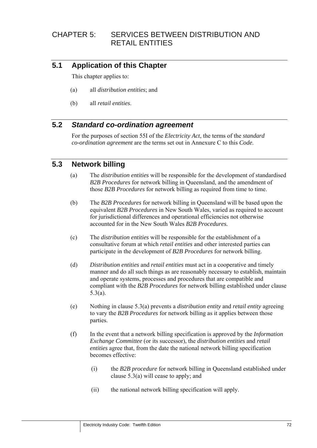# CHAPTER 5: SERVICES BETWEEN DISTRIBUTION AND RETAIL ENTITIES

# **5.1 Application of this Chapter**

This chapter applies to:

- (a) all *distribution entities*; and
- (b) all *retail entities*.

# **5.2** *Standard co-ordination agreement*

For the purposes of section 55I of the *Electricity Act*, the terms of the *standard co-ordination agreement* are the terms set out in Annexure C to this *Code*.

## **5.3 Network billing**

- (a) The *distribution entities* will be responsible for the development of standardised *B2B Procedures* for network billing in Queensland, and the amendment of those *B2B Procedures* for network billing as required from time to time.
- (b) The *B2B Procedures* for network billing in Queensland will be based upon the equivalent *B2B Procedures* in New South Wales, varied as required to account for jurisdictional differences and operational efficiencies not otherwise accounted for in the New South Wales *B2B Procedures.*
- (c) The *distribution entities* will be responsible for the establishment of a consultative forum at which *retail entities* and other interested parties can participate in the development of *B2B Procedures* for network billing.
- (d) *Distribution entities* and *retail entities* must act in a cooperative and timely manner and do all such things as are reasonably necessary to establish, maintain and operate systems, processes and procedures that are compatible and compliant with the *B2B Procedures* for network billing established under clause 5.3(a).
- (e) Nothing in clause 5.3(a) prevents a *distribution entity* and *retail entity* agreeing to vary the *B2B Procedures* for network billing as it applies between those parties.
- (f) In the event that a network billing specification is approved by the *Information Exchange Committee* (or its successor), the *distribution entities* and *retail entities* agree that, from the date the national network billing specification becomes effective:
	- (i) the *B2B procedure* for network billing in Queensland established under clause 5.3(a) will cease to apply; and
	- (ii) the national network billing specification will apply.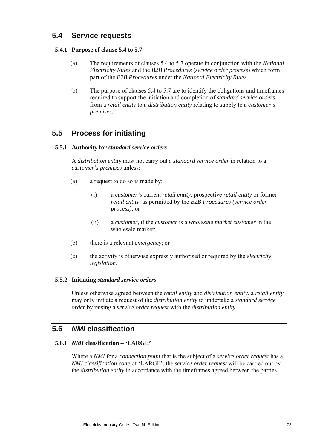# **5.4 Service requests**

#### **5.4.1 Purpose of clause 5.4 to 5.7**

- (a) The requirements of clauses 5.4 to 5.7 operate in conjunction with the *National Electricity Rules* and the *B2B Procedures* (*service order process*) which form part of the *B2B Procedures* under the *National Electricity Rules.*
- (b) The purpose of clauses 5.4 to 5.7 are to identify the obligations and timeframes required to support the initiation and completion of *standard service orders* from a *retail entity* to a *distribution entity* relating to supply to a *customer's premises*.

# **5.5 Process for initiating**

#### **5.5.1 Authority for** *standard service orders*

A *distribution entity* must not carry out a *standard service order* in relation to a *customer's premises* unless:

- (a) a request to do so is made by:
	- (i) a *customer's* current *retail entity*, prospective *retail entity* or former *retail entity*, as permitted by the *B2B Procedures (service order process)*; or
	- (ii) a *customer*, if the *customer* is a *wholesale market customer* in the wholesale market;
- (b) there is a relevant *emergency*; or
- (c) the activity is otherwise expressly authorised or required by the *electricity legislation*.

#### **5.5.2 Initiating** *standard service orders*

Unless otherwise agreed between the *retail entity* and *distribution entity*, a *retail entity* may only initiate a request of the *distribution entity* to undertake a *standard service order* by raising a *service order request* with the *distribution entity*.

# **5.6** *NMI* **classification**

### **5.6.1** *NMI* **classification – 'LARGE'**

Where a *NMI* for a *connection point* that is the subject of a *service order request* has a *NMI classification code* of 'LARGE', the *service order request* will be carried out by the *distribution entity* in accordance with the timeframes agreed between the parties.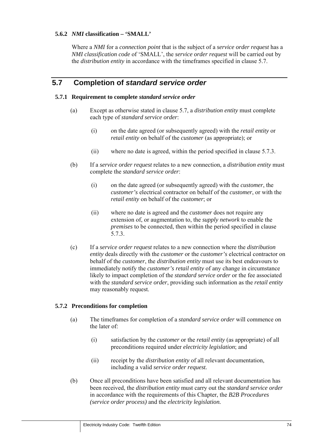## **5.6.2** *NMI* **classification – 'SMALL'**

Where a *NMI* for a *connection point* that is the subject of a *service order request* has a *NMI classification code* of 'SMALL', the *service order request* will be carried out by the *distribution entity* in accordance with the timeframes specified in clause 5.7.

# **5.7 Completion of** *standard service order*

#### **5.7.1 Requirement to complete** *standard service order*

- (a) Except as otherwise stated in clause 5.7, a *distribution entity* must complete each type of *standard service order*:
	- (i) on the date agreed (or subsequently agreed) with the *retail entity* or *retail entity* on behalf of the *customer* (as appropriate); or
	- (ii) where no date is agreed, within the period specified in clause 5.7.3.
- (b) If a *service order request* relates to a new connection, a *distribution entity* must complete the *standard service order*:
	- (i) on the date agreed (or subsequently agreed) with the *customer*, the *customer's* electrical contractor on behalf of the *customer*, or with the *retail entity* on behalf of the *customer*; or
	- (ii) where no date is agreed and the *customer* does not require any extension of, or augmentation to, the *supply network* to enable the *premises* to be connected, then within the period specified in clause 5.7.3.
- (c) If a *service order request* relates to a new connection where the *distribution entity* deals directly with the *customer* or the *customer's* electrical contractor on behalf of the *customer*, the *distribution entity* must use its best endeavours to immediately notify the *customer's retail entity* of any change in circumstance likely to impact completion of the *standard service order* or the fee associated with the *standard service order*, providing such information as the *retail entity* may reasonably request.

#### **5.7.2 Preconditions for completion**

- (a) The timeframes for completion of a *standard service order* will commence on the later of:
	- (i) satisfaction by the *customer* or the *retail entity* (as appropriate) of all preconditions required under *electricity legislation*; and
	- (ii) receipt by the *distribution entity* of all relevant documentation, including a valid *service order request.*
- (b) Once all preconditions have been satisfied and all relevant documentation has been received, the *distribution entity* must carry out the *standard service order* in accordance with the requirements of this Chapter, the *B2B Procedures (service order process)* and the *electricity legislation.*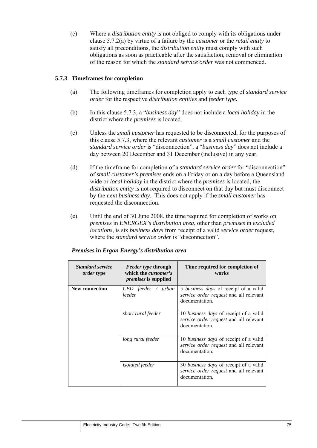(c) Where a *distribution entity* is not obliged to comply with its obligations under clause 5.7.2(a) by virtue of a failure by the *customer* or the *retail entity* to satisfy all preconditions, the *distribution entity* must comply with such obligations as soon as practicable after the satisfaction, removal or elimination of the reason for which the *standard service order* was not commenced.

## **5.7.3 Timeframes for completion**

- (a) The following timeframes for completion apply to each type of *standard service order* for the respective *distribution entities* and *feeder type.*
- (b) In this clause 5.7.3, a "*business day*" does not include a *local holiday* in the district where the *premises* is located.
- (c) Unless the *small customer* has requested to be disconnected, for the purposes of this clause 5.7.3, where the relevant *customer* is a *small customer* and the *standard service order* is "disconnection", a "*business day*" does not include a day between 20 December and 31 December (inclusive) in any year.
- (d) If the timeframe for completion of a *standard service order* for "disconnection" of *small customer's premises* ends on a Friday or on a day before a Queensland wide or *local holiday* in the district where the *premises* is located, the *distribution entity* is not required to disconnect on that day but must disconnect by the next *business day*. This does not apply if the *small customer* has requested the disconnection.
- (e) Until the end of 30 June 2008, the time required for completion of works on *premises* in *ENERGEX's distribution area*, other than *premises* in *excluded locations*, is six *business days* from receipt of a valid *service order* request, where the *standard service order* is "disconnection".

| <b>Standard service</b><br><i>order</i> type | <i>Feeder type through</i><br>which the <i>customer's</i><br><i>premises</i> is supplied | Time required for completion of<br>works                                                           |
|----------------------------------------------|------------------------------------------------------------------------------------------|----------------------------------------------------------------------------------------------------|
| New connection                               | CBD feeder / urban<br>feeder                                                             | 5 business days of receipt of a valid<br>service order request and all relevant<br>documentation.  |
|                                              | short rural feeder                                                                       | 10 business days of receipt of a valid<br>service order request and all relevant<br>documentation. |
|                                              | long rural feeder                                                                        | 10 business days of receipt of a valid<br>service order request and all relevant<br>documentation. |
|                                              | <i>isolated</i> feeder                                                                   | 30 business days of receipt of a valid<br>service order request and all relevant<br>documentation. |

#### *Premises* **in** *Ergon Energy's distribution area*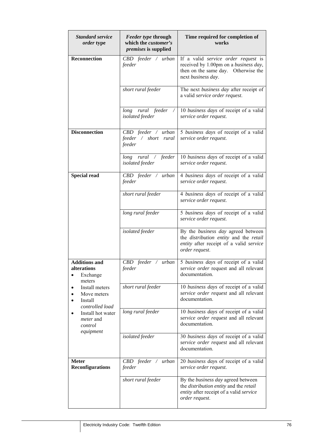| <b>Standard service</b><br>order type                                                                                                                                                                                                         | <b>Feeder type through</b><br>which the customer's<br>premises is supplied | Time required for completion of<br>works                                                                                                         |
|-----------------------------------------------------------------------------------------------------------------------------------------------------------------------------------------------------------------------------------------------|----------------------------------------------------------------------------|--------------------------------------------------------------------------------------------------------------------------------------------------|
| <b>Reconnection</b>                                                                                                                                                                                                                           | CBD feeder / urban<br>feeder                                               | If a valid service order request is<br>received by 1.00pm on a business day,<br>then on the same day. Otherwise the<br>next business day.        |
|                                                                                                                                                                                                                                               | short rural feeder                                                         | The next business day after receipt of<br>a valid service order request.                                                                         |
|                                                                                                                                                                                                                                               | long rural feeder<br>isolated feeder                                       | 10 business days of receipt of a valid<br>service order request.                                                                                 |
| <b>Disconnection</b>                                                                                                                                                                                                                          | CBD feeder / urban<br>feeder / short<br>rural<br>feeder                    | 5 business days of receipt of a valid<br>service order request.                                                                                  |
|                                                                                                                                                                                                                                               | long rural / feeder<br>isolated feeder                                     | 10 business days of receipt of a valid<br>service order request.                                                                                 |
| <b>Special read</b>                                                                                                                                                                                                                           | $CBD$ feeder / urban<br>feeder                                             | 4 business days of receipt of a valid<br>service order request.                                                                                  |
|                                                                                                                                                                                                                                               | short rural feeder                                                         | 4 business days of receipt of a valid<br>service order request.                                                                                  |
|                                                                                                                                                                                                                                               | long rural feeder                                                          | 5 business days of receipt of a valid<br>service order request.                                                                                  |
|                                                                                                                                                                                                                                               | isolated feeder                                                            | By the <i>business day</i> agreed between<br>the distribution entity and the retail<br>entity after receipt of a valid service<br>order request. |
| <b>Additions and</b><br>alterations<br>Exchange<br>$\bullet$<br>meters<br>Install meters<br>$\bullet$<br>Move meters<br>Install<br>$\bullet$<br>controlled load<br>Install hot water<br>$\bullet$<br><i>meter</i> and<br>control<br>equipment | $CBD$ feeder / urban<br>feeder                                             | 5 business days of receipt of a valid<br>service order request and all relevant<br>documentation.                                                |
|                                                                                                                                                                                                                                               | short rural feeder                                                         | 10 business days of receipt of a valid<br>service order request and all relevant<br>documentation.                                               |
|                                                                                                                                                                                                                                               | long rural feeder                                                          | 10 business days of receipt of a valid<br>service order request and all relevant<br>documentation.                                               |
|                                                                                                                                                                                                                                               | isolated feeder                                                            | 30 business days of receipt of a valid<br>service order request and all relevant<br>documentation.                                               |
| <b>Meter</b><br><b>Reconfigurations</b>                                                                                                                                                                                                       | CBD feeder / urban<br>feeder                                               | 20 business days of receipt of a valid<br>service order request.                                                                                 |
|                                                                                                                                                                                                                                               | short rural feeder                                                         | By the business day agreed between<br>the distribution entity and the retail<br>entity after receipt of a valid service<br>order request.        |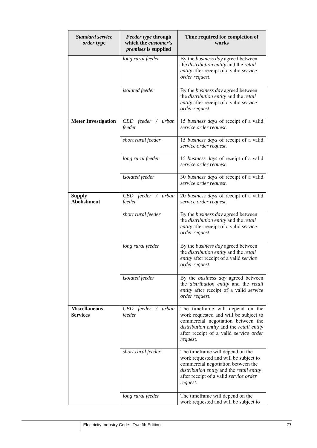| <b>Standard service</b><br>order type   | Feeder type through<br>which the <i>customer's</i><br>premises is supplied | Time required for completion of<br>works                                                                                                                                                                           |
|-----------------------------------------|----------------------------------------------------------------------------|--------------------------------------------------------------------------------------------------------------------------------------------------------------------------------------------------------------------|
|                                         | long rural feeder                                                          | By the business day agreed between<br>the distribution entity and the retail<br>entity after receipt of a valid service<br>order request.                                                                          |
|                                         | isolated feeder                                                            | By the <i>business day</i> agreed between<br>the distribution entity and the retail<br>entity after receipt of a valid service<br>order request.                                                                   |
| <b>Meter Investigation</b>              | CBD feeder / urban<br>feeder                                               | 15 business days of receipt of a valid<br>service order request.                                                                                                                                                   |
|                                         | short rural feeder                                                         | 15 business days of receipt of a valid<br>service order request.                                                                                                                                                   |
|                                         | long rural feeder                                                          | 15 business days of receipt of a valid<br>service order request.                                                                                                                                                   |
|                                         | isolated feeder                                                            | 30 business days of receipt of a valid<br>service order request.                                                                                                                                                   |
| <b>Supply</b><br><b>Abolishment</b>     | $CBD$ feeder / urban<br>feeder                                             | 20 business days of receipt of a valid<br>service order request.                                                                                                                                                   |
|                                         | short rural feeder                                                         | By the business day agreed between<br>the <i>distribution entity</i> and the <i>retail</i><br>entity after receipt of a valid service<br>order request.                                                            |
|                                         | long rural feeder                                                          | By the business day agreed between<br>the <i>distribution entity</i> and the <i>retail</i><br>entity after receipt of a valid service<br>order request.                                                            |
|                                         | isolated feeder                                                            | By the business day agreed between<br>the distribution entity and the retail<br>entity after receipt of a valid service<br>order request.                                                                          |
| <b>Miscellaneous</b><br><b>Services</b> | CBD feeder / urban<br>feeder                                               | The timeframe will depend on the<br>work requested and will be subject to<br>commercial negotiation between the<br>distribution entity and the retail entity<br>after receipt of a valid service order<br>request. |
|                                         | short rural feeder                                                         | The timeframe will depend on the<br>work requested and will be subject to<br>commercial negotiation between the<br>distribution entity and the retail entity<br>after receipt of a valid service order<br>request. |
|                                         | long rural feeder                                                          | The timeframe will depend on the<br>work requested and will be subject to                                                                                                                                          |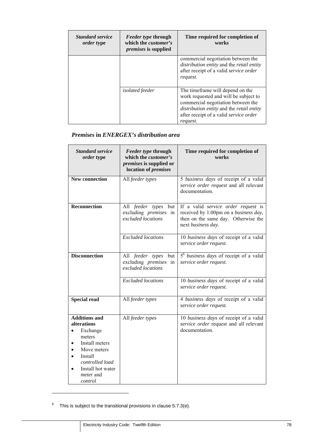| <b>Standard service</b><br><i>order</i> type | <i>Feeder type through</i><br>which the <i>customer's</i><br><i>premises</i> is supplied | Time required for completion of<br>works                                                                                                                                                                            |
|----------------------------------------------|------------------------------------------------------------------------------------------|---------------------------------------------------------------------------------------------------------------------------------------------------------------------------------------------------------------------|
|                                              |                                                                                          | commercial negotiation between the<br>distribution entity and the retail entity<br>after receipt of a valid service order<br>request.                                                                               |
|                                              | <i>isolated</i> feeder                                                                   | The time frame will depend on the<br>work requested and will be subject to<br>commercial negotiation between the<br>distribution entity and the retail entity<br>after receipt of a valid service order<br>request. |

## *Premises* **in** *ENERGEX's distribution area*

| <b>Standard service</b><br>order type                                                                                                                                        | Feeder type through<br>which the <i>customer's</i><br><i>premises</i> is supplied or<br>location of <i>premises</i> | Time required for completion of<br>works                                                                                                  |
|------------------------------------------------------------------------------------------------------------------------------------------------------------------------------|---------------------------------------------------------------------------------------------------------------------|-------------------------------------------------------------------------------------------------------------------------------------------|
| <b>New connection</b>                                                                                                                                                        | All feeder types                                                                                                    | 5 business days of receipt of a valid<br>service order request and all relevant<br>documentation.                                         |
| <b>Reconnection</b>                                                                                                                                                          | All feeder types<br>but<br>excluding <i>premises</i> in<br>excluded locations                                       | If a valid service order request is<br>received by 1.00pm on a business day,<br>then on the same day. Otherwise the<br>next business day. |
|                                                                                                                                                                              | <b>Excluded</b> locations                                                                                           | 10 business days of receipt of a valid<br>service order request.                                                                          |
| <b>Disconnection</b>                                                                                                                                                         | All feeder types but<br>excluding <i>premises</i> in<br>excluded locations                                          | 5 <sup>6</sup> business days of receipt of a valid<br>service order request.                                                              |
|                                                                                                                                                                              | <b>Excluded</b> locations                                                                                           | 10 business days of receipt of a valid<br>service order request.                                                                          |
| <b>Special read</b>                                                                                                                                                          | All feeder types                                                                                                    | 4 business days of receipt of a valid<br>service order request.                                                                           |
| <b>Additions and</b><br>alterations<br>Exchange<br>meters<br>Install meters<br>Move meters<br>Install<br>controlled load<br>Install hot water<br><i>meter</i> and<br>control | All feeder types                                                                                                    | 10 business days of receipt of a valid<br>service order request and all relevant<br>documentation.                                        |

 $6$  This is subject to the transitional provisions in clause 5.7.3(e).

 $\overline{a}$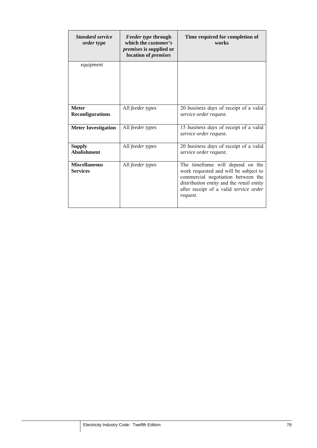| <b>Standard service</b><br><i>order</i> type | <i>Feeder type through</i><br>which the <i>customer's</i><br><i>premises</i> is supplied or<br>location of <i>premises</i> | Time required for completion of<br>works                                                                                                                                                                           |
|----------------------------------------------|----------------------------------------------------------------------------------------------------------------------------|--------------------------------------------------------------------------------------------------------------------------------------------------------------------------------------------------------------------|
| equipment                                    |                                                                                                                            |                                                                                                                                                                                                                    |
| <b>Meter</b><br><b>Reconfigurations</b>      | All feeder types                                                                                                           | 20 business days of receipt of a valid<br>service order request.                                                                                                                                                   |
| <b>Meter Investigation</b>                   | All feeder types                                                                                                           | 15 business days of receipt of a valid<br>service order request.                                                                                                                                                   |
| <b>Supply</b><br><b>Abolishment</b>          | All feeder types                                                                                                           | 20 business days of receipt of a valid<br>service order request.                                                                                                                                                   |
| <b>Miscellaneous</b><br><b>Services</b>      | All feeder types                                                                                                           | The timeframe will depend on the<br>work requested and will be subject to<br>commercial negotiation between the<br>distribution entity and the retail entity<br>after receipt of a valid service order<br>request. |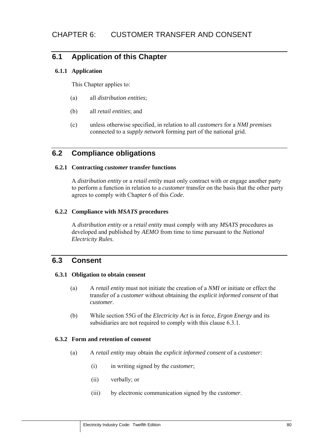# **6.1 Application of this Chapter**

### **6.1.1 Application**

This Chapter applies to:

- (a) all *distribution entities*;
- (b) all *retail entities*; and
- (c) unless otherwise specified, in relation to all *customers* for a *NMI premises*  connected to a *supply network* forming part of the national grid.

# **6.2 Compliance obligations**

### **6.2.1 Contracting** *customer* **transfer functions**

A *distribution entity* or a *retail entity* must only contract with or engage another party to perform a function in relation to a *customer* transfer on the basis that the other party agrees to comply with Chapter 6 of this *Code*.

### **6.2.2 Compliance with** *MSATS* **procedures**

A *distribution entity* or a *retail entity* must comply with any *MSATS* procedures as developed and published by *AEMO* from time to time pursuant to the *National Electricity Rules*.

# **6.3 Consent**

#### **6.3.1 Obligation to obtain consent**

- (a) A *retail entity* must not initiate the creation of a *NMI* or initiate or effect the transfer of a *customer* without obtaining the *explicit informed consent* of that *customer*.
- (b) While section 55G of the *Electricity Act* is in force, *Ergon Energy* and its subsidiaries are not required to comply with this clause 6.3.1.

#### **6.3.2 Form and retention of consent**

- (a) A *retail entity* may obtain the *explicit informed consent* of a *customer*:
	- (i) in writing signed by the *customer*;
	- (ii) verbally; or
	- (iii) by electronic communication signed by the *customer*.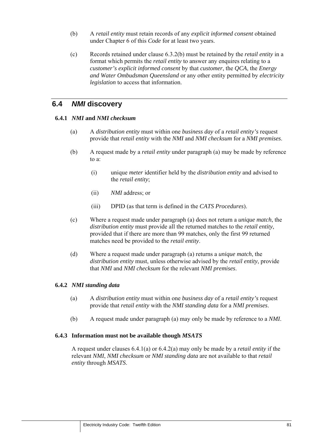- (b) A *retail entity* must retain records of any *explicit informed consent* obtained under Chapter 6 of this *Code* for at least two years.
- (c) Records retained under clause 6.3.2(b) must be retained by the *retail entity* in a format which permits the *retail entity* to answer any enquires relating to a *customer's explicit informed consent* by that *customer*, the *QCA*, the *Energy and Water Ombudsman Queensland* or any other entity permitted by *electricity legislation* to access that information.

## **6.4** *NMI* **discovery**

#### **6.4.1** *NMI* **and** *NMI checksum*

- (a) A *distribution entity* must within one *business day* of a *retail entity's* request provide that *retail entity* with the *NMI* and *NMI checksum* for a *NMI premises*.
- (b) A request made by a *retail entity* under paragraph (a) may be made by reference to a:
	- (i) unique *meter* identifier held by the *distribution entity* and advised to the *retail entity*;
	- (ii) *NMI* address; or
	- (iii) DPID (as that term is defined in the *CATS Procedures*).
- (c) Where a request made under paragraph (a) does not return a *unique match*, the *distribution entity* must provide all the returned matches to the *retail entity*, provided that if there are more than 99 matches, only the first 99 returned matches need be provided to the *retail entity*.
- (d) Where a request made under paragraph (a) returns a *unique match*, the *distribution entity* must, unless otherwise advised by the *retail entity*, provide that *NMI* and *NMI checksum* for the relevant *NMI premises*.

#### **6.4.2** *NMI standing data*

- (a) A *distribution entity* must within one *business day* of a *retail entity's* request provide that *retail entity* with the *NMI standing data* for a *NMI premises*.
- (b) A request made under paragraph (a) may only be made by reference to a *NMI*.

#### **6.4.3 Information must not be available though** *MSATS*

A request under clauses 6.4.1(a) or 6.4.2(a) may only be made by a *retail entity* if the relevant *NMI*, *NMI checksum* or *NMI standing data* are not available to that *retail entity* through *MSATS*.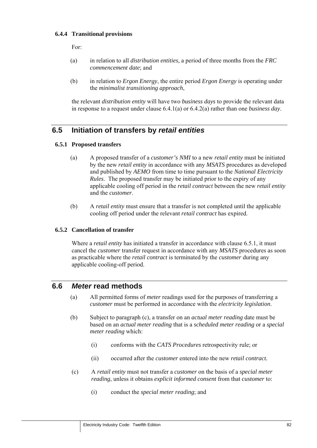### **6.4.4 Transitional provisions**

For:

- (a) in relation to all *distribution entities,* a period of three months from the *FRC commencement date*; and
- (b) in relation to *Ergon Energy*, the entire period *Ergon Energy* is operating under the *minimalist transitioning approach*,

the relevant *distribution entity* will have two *business days* to provide the relevant data in response to a request under clause 6.4.1(a) or 6.4.2(a) rather than one *business day*.

# **6.5 Initiation of transfers by** *retail entities*

### **6.5.1 Proposed transfers**

- (a) A proposed transfer of a *customer's NMI* to a new *retail entity* must be initiated by the new *retail entity* in accordance with any *MSATS* procedures as developed and published by *AEMO* from time to time pursuant to the *National Electricity Rules*. The proposed transfer may be initiated prior to the expiry of any applicable cooling off period in the *retail contract* between the new *retail entity* and the *customer*.
- (b) A *retail entity* must ensure that a transfer is not completed until the applicable cooling off period under the relevant *retail contract* has expired.

#### **6.5.2 Cancellation of transfer**

Where a *retail entity* has initiated a transfer in accordance with clause 6.5.1, it must cancel the *customer* transfer request in accordance with any *MSATS* procedures as soon as practicable where the *retail contract* is terminated by the *customer* during any applicable cooling-off period.

## **6.6** *Meter* **read methods**

- (a) All permitted forms of *meter* readings used for the purposes of transferring a *customer* must be performed in accordance with the *electricity legislation*.
- (b) Subject to paragraph (c), a transfer on an *actual meter reading* date must be based on an *actual meter reading* that is a *scheduled meter reading* or a *special meter reading* which:
	- (i) conforms with the *CATS Procedures* retrospectivity rule; or
	- (ii) occurred after the *customer* entered into the new *retail contract.*
- (c) A *retail entity* must not transfer a *customer* on the basis of a *special meter reading*, unless it obtains *explicit informed consent* from that *customer* to:
	- (i) conduct the *special meter reading*; and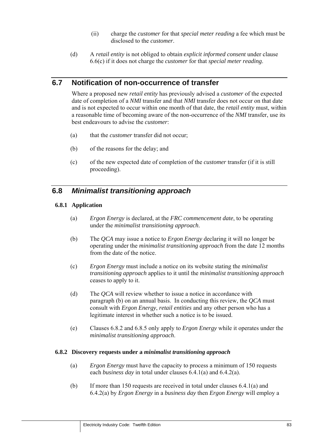- (ii) charge the *customer* for that *special meter reading* a fee which must be disclosed to the *customer*.
- (d) A *retail entity* is not obliged to obtain *explicit informed consent* under clause 6.6(c) if it does not charge the *customer* for that *special meter reading*.

# **6.7 Notification of non-occurrence of transfer**

Where a proposed new *retail entity* has previously advised a *customer* of the expected date of completion of a *NMI* transfer and that *NMI* transfer does not occur on that date and is not expected to occur within one month of that date, the *retail entity* must, within a reasonable time of becoming aware of the non-occurrence of the *NMI* transfer, use its best endeavours to advise the *customer*:

- (a) that the *customer* transfer did not occur;
- (b) of the reasons for the delay; and
- (c) of the new expected date of completion of the *customer* transfer (if it is still proceeding).

## **6.8** *Minimalist transitioning approach*

#### **6.8.1 Application**

- (a) *Ergon Energy* is declared, at the *FRC commencement date*, to be operating under the *minimalist transitioning approach*.
- (b) The *QCA* may issue a notice to *Ergon Energy* declaring it will no longer be operating under the *minimalist transitioning approach* from the date 12 months from the date of the notice.
- (c) *Ergon Energy* must include a notice on its website stating the *minimalist transitioning approach* applies to it until the *minimalist transitioning approach* ceases to apply to it.
- (d) The *QCA* will review whether to issue a notice in accordance with paragraph (b) on an annual basis. In conducting this review, the *QCA* must consult with *Ergon Energy*, *retail entities* and any other person who has a legitimate interest in whether such a notice is to be issued.
- (e) Clauses 6.8.2 and 6.8.5 only apply to *Ergon Energy* while it operates under the *minimalist transitioning approach*.

#### **6.8.2 Discovery requests under a** *minimalist transitioning approach*

- (a) *Ergon Energy* must have the capacity to process a minimum of 150 requests each *business day* in total under clauses 6.4.1(a) and 6.4.2(a).
- (b) If more than 150 requests are received in total under clauses 6.4.1(a) and 6.4.2(a) by *Ergon Energy* in a *business day* then *Ergon Energy* will employ a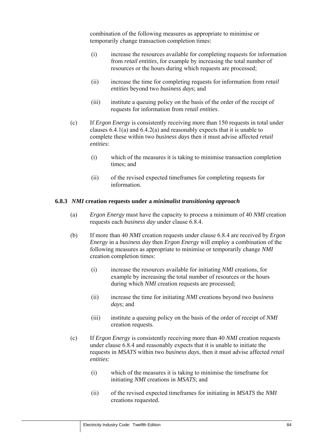combination of the following measures as appropriate to minimise or temporarily change transaction completion times:

- (i) increase the resources available for completing requests for information from *retail entities*, for example by increasing the total number of resources or the hours during which requests are processed;
- (ii) increase the time for completing requests for information from *retail entities* beyond two *business days*; and
- (iii) institute a queuing policy on the basis of the order of the receipt of requests for information from *retail entities*.
- (c) If *Ergon Energy* is consistently receiving more than 150 requests in total under clauses 6.4.1(a) and 6.4.2(a) and reasonably expects that it is unable to complete these within two *business days* then it must advise affected *retail entities*:
	- (i) which of the measures it is taking to minimise transaction completion times; and
	- (ii) of the revised expected timeframes for completing requests for information.

#### **6.8.3** *NMI* **creation requests under a** *minimalist transitioning approach*

- (a) *Ergon Energy* must have the capacity to process a minimum of 40 *NMI* creation requests each *business day* under clause 6.8.4.
- (b) If more than 40 *NMI* creation requests under clause 6.8.4 are received by *Ergon Energy* in a *business day* then *Ergon Energy* will employ a combination of the following measures as appropriate to minimise or temporarily change *NMI* creation completion times:
	- (i) increase the resources available for initiating *NMI* creations, for example by increasing the total number of resources or the hours during which *NMI* creation requests are processed;
	- (ii) increase the time for initiating *NMI* creations beyond two *business days*; and
	- (iii) institute a queuing policy on the basis of the order of receipt of *NMI* creation requests.
- (c) If *Ergon Energy* is consistently receiving more than 40 *NMI* creation requests under clause 6.8.4 and reasonably expects that it is unable to initiate the requests in *MSATS* within two *business days*, then it must advise affected *retail entities*:
	- (i) which of the measures it is taking to minimise the timeframe for initiating *NMI* creations in *MSATS*; and
	- (ii) of the revised expected timeframes for initiating in *MSATS* the *NMI* creations requested.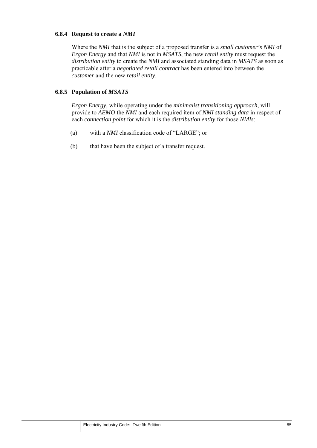#### **6.8.4 Request to create a** *NMI*

Where the *NMI* that is the subject of a proposed transfer is a *small customer's NMI* of *Ergon Energy* and that *NMI* is not in *MSATS*, the new *retail entity* must request the *distribution entity* to create the *NMI* and associated standing data in *MSATS* as soon as practicable after a *negotiated retail contract* has been entered into between the *customer* and the new *retail entity*.

## **6.8.5 Population of** *MSATS*

*Ergon Energy*, while operating under the *minimalist transitioning approach*, will provide to *AEMO* the *NMI* and each required item of *NMI standing data* in respect of each *connection point* for which it is the *distribution entity* for those *NMIs*:

- (a) with a *NMI* classification code of "LARGE"; or
- (b) that have been the subject of a transfer request.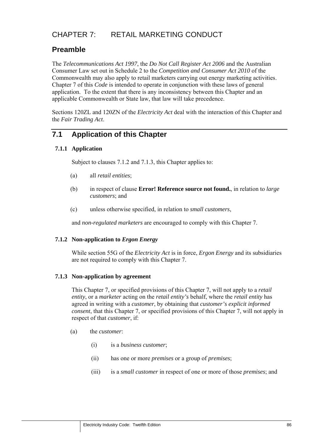# CHAPTER 7: RETAIL MARKETING CONDUCT

# **Preamble**

The *Telecommunications Act 1997*, the *Do Not Call Register Act 2006* and the Australian Consumer Law set out in Schedule 2 to the *Competition and Consumer Act 2010* of the Commonwealth may also apply to retail marketers carrying out energy marketing activities. Chapter 7 of this *Code* is intended to operate in conjunction with these laws of general application. To the extent that there is any inconsistency between this Chapter and an applicable Commonwealth or State law, that law will take precedence.

Sections 120ZL and 120ZN of the *Electricity Act* deal with the interaction of this Chapter and the *Fair Trading Act*.

# **7.1 Application of this Chapter**

## **7.1.1 Application**

Subject to clauses 7.1.2 and 7.1.3, this Chapter applies to:

- (a) all *retail entities*;
- (b) in respect of clause **Error! Reference source not found.**, in relation to *large customers*; and
- (c) unless otherwise specified, in relation to *small customers*,

and *non-regulated marketers* are encouraged to comply with this Chapter 7.

#### **7.1.2 Non-application to** *Ergon Energy*

While section 55G of the *Electricity Act* is in force, *Ergon Energy* and its subsidiaries are not required to comply with this Chapter 7.

#### **7.1.3 Non-application by agreement**

This Chapter 7, or specified provisions of this Chapter 7, will not apply to a *retail entity*, or a *marketer* acting on the *retail entity's* behalf, where the *retail entity* has agreed in writing with a *customer*, by obtaining that *customer's explicit informed consent*, that this Chapter 7, or specified provisions of this Chapter 7, will not apply in respect of that *customer*, if:

- (a) the *customer*:
	- (i) is a *business customer*;
	- (ii) has one or more *premises* or a group of *premises*;
	- (iii) is a *small customer* in respect of one or more of those *premises*; and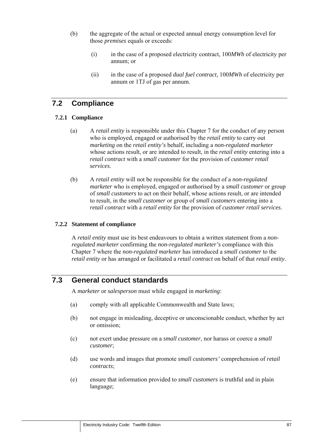- (b) the aggregate of the actual or expected annual energy consumption level for those *premises* equals or exceeds:
	- (i) in the case of a proposed electricity contract, 100*MWh* of electricity per annum; or
	- (ii) in the case of a proposed *dual fuel contract*, 100*MWh* of electricity per annum or 1TJ of gas per annum.

# **7.2 Compliance**

### **7.2.1 Compliance**

- (a) A *retail entity* is responsible under this Chapter 7 for the conduct of any person who is employed, engaged or authorised by the *retail entity* to carry out *marketing* on the *retail entity's* behalf, including a *non-regulated marketer* whose actions result, or are intended to result, in the *retail entity* entering into a *retail contract* with a *small customer* for the provision of *customer retail services*.
- (b) A *retail entity* will not be responsible for the conduct of a *non-regulated marketer* who is employed, engaged or authorised by a *small customer* or group of *small customers* to act on their behalf, whose actions result, or are intended to result, in the *small customer* or group of *small customers* entering into a *retail contract* with a *retail entity* for the provision of *customer retail services*.

### **7.2.2 Statement of compliance**

A *retail entity* must use its best endeavours to obtain a written statement from a *nonregulated marketer* confirming the *non-regulated marketer's* compliance with this Chapter 7 where the *non-regulated marketer* has introduced a *small customer* to the *retail entity* or has arranged or facilitated a *retail contract* on behalf of that *retail entity*.

# **7.3 General conduct standards**

A *marketer* or *salesperson* must while engaged in *marketing*:

- (a) comply with all applicable Commonwealth and State laws;
- (b) not engage in misleading, deceptive or unconscionable conduct, whether by act or omission;
- (c) not exert undue pressure on a *small customer*, nor harass or coerce a *small customer*;
- (d) use words and images that promote *small customers'* comprehension of *retail contracts*;
- (e) ensure that information provided to *small customers* is truthful and in plain language;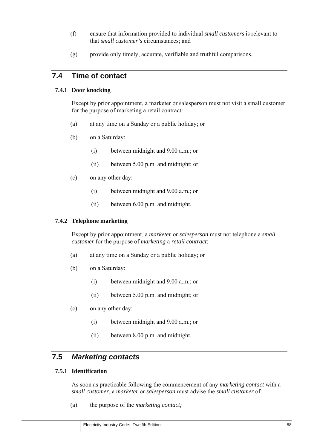- (f) ensure that information provided to individual *small customers* is relevant to that *small customer's* circumstances; and
- (g) provide only timely, accurate, verifiable and truthful comparisons.

# **7.4 Time of contact**

### **7.4.1 Door knocking**

Except by prior appointment, a marketer or salesperson must not visit a small customer for the purpose of marketing a retail contract:

- (a) at any time on a Sunday or a public holiday; or
- (b) on a Saturday:
	- (i) between midnight and 9.00 a.m.; or
	- (ii) between 5.00 p.m. and midnight; or
- (c) on any other day:
	- (i) between midnight and 9.00 a.m.; or
	- (ii) between 6.00 p.m. and midnight.

#### **7.4.2 Telephone marketing**

Except by prior appointment, a *marketer* or *salesperson* must not telephone a *small customer* for the purpose of *marketing* a *retail contract*:

- (a) at any time on a Sunday or a public holiday; or
- (b) on a Saturday:
	- (i) between midnight and 9.00 a.m.; or
	- (ii) between 5.00 p.m. and midnight; or
- (c) on any other day:
	- (i) between midnight and 9.00 a.m.; or
	- (ii) between 8.00 p.m. and midnight.

## **7.5** *Marketing contacts*

## **7.5.1 Identification**

As soon as practicable following the commencement of any *marketing contact* with a *small customer*, a *marketer* or *salesperson* must advise the *small customer* of:

(a) the purpose of the *marketing contact;*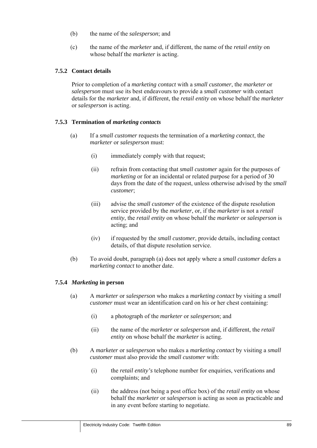- (b) the name of the *salesperson*; and
- (c) the name of the *marketer* and, if different, the name of the *retail entity* on whose behalf the *marketer* is acting.

#### **7.5.2 Contact details**

Prior to completion of a *marketing contact* with a *small customer*, the *marketer* or *salesperson* must use its best endeavours to provide a *small customer* with contact details for the *marketer* and, if different, the *retail entity* on whose behalf the *marketer* or *salesperson* is acting.

#### **7.5.3 Termination of** *marketing contacts*

- (a) If a *small customer* requests the termination of a *marketing contact*, the *marketer* or *salesperson* must:
	- (i) immediately comply with that request;
	- (ii) refrain from contacting that *small customer* again for the purposes of *marketing* or for an incidental or related purpose for a period of 30 days from the date of the request, unless otherwise advised by the *small customer*;
	- (iii) advise the *small customer* of the existence of the dispute resolution service provided by the *marketer*, or, if the *marketer* is not a *retail entity*, the *retail entity* on whose behalf the *marketer* or *salesperson* is acting; and
	- (iv) if requested by the *small customer*, provide details, including contact details, of that dispute resolution service.
- (b) To avoid doubt, paragraph (a) does not apply where a *small customer* defers a *marketing contact* to another date.

#### **7.5.4** *Marketing* **in person**

- (a) A *marketer* or *salesperson* who makes a *marketing contact* by visiting a *small customer* must wear an identification card on his or her chest containing:
	- (i) a photograph of the *marketer* or *salesperson*; and
	- (ii) the name of the *marketer* or *salesperson* and, if different, the *retail entity* on whose behalf the *marketer* is acting.
- (b) A *marketer* or *salesperson* who makes a *marketing contact* by visiting a *small customer* must also provide the *small customer* with:
	- (i) the *retail entity's* telephone number for enquiries, verifications and complaints; and
	- (ii) the address (not being a post office box) of the *retail entity* on whose behalf the *marketer* or *salesperson* is acting as soon as practicable and in any event before starting to negotiate.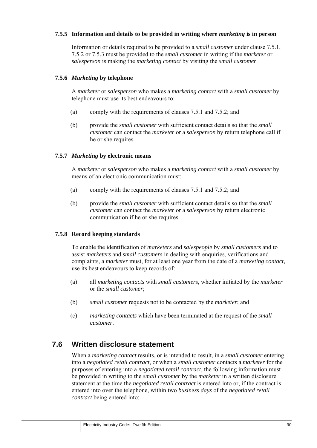### **7.5.5 Information and details to be provided in writing where** *marketing* **is in person**

Information or details required to be provided to a *small customer* under clause 7.5.1, 7.5.2 or 7.5.3 must be provided to the *small customer* in writing if the *marketer* or *salesperson* is making the *marketing contact* by visiting the *small customer*.

#### **7.5.6** *Marketing* **by telephone**

A *marketer* or *salesperson* who makes a *marketing contact* with a *small customer* by telephone must use its best endeavours to:

- (a) comply with the requirements of clauses 7.5.1 and 7.5.2; and
- (b) provide the *small customer* with sufficient contact details so that the *small customer* can contact the *marketer* or a *salesperson* by return telephone call if he or she requires.

### **7.5.7** *Marketing* **by electronic means**

A *marketer* or *salesperson* who makes a *marketing contact* with a *small customer* by means of an electronic communication must:

- (a) comply with the requirements of clauses 7.5.1 and 7.5.2; and
- (b) provide the *small customer* with sufficient contact details so that the *small customer* can contact the *marketer* or a *salesperson* by return electronic communication if he or she requires.

#### **7.5.8 Record keeping standards**

To enable the identification of *marketers* and *salespeople* by *small customers* and to assist *marketers* and *small customers* in dealing with enquiries, verifications and complaints, a *marketer* must, for at least one year from the date of a *marketing contact,* use its best endeavours to keep records of:

- (a) all *marketing contacts* with *small customers*, whether initiated by the *marketer* or the *small customer*;
- (b) *small customer* requests not to be contacted by the *marketer*; and
- (c) *marketing contacts* which have been terminated at the request of the *small customer*.

# **7.6 Written disclosure statement**

When a *marketing contact* results, or is intended to result, in a *small customer* entering into a *negotiated retail contract*, or when a *small customer* contacts a *marketer* for the purposes of entering into a *negotiated retail contract*, the following information must be provided in writing to the *small customer* by the *marketer* in a written disclosure statement at the time the *negotiated retail contract* is entered into or, if the contract is entered into over the telephone, within two *business days* of the *negotiated retail contract* being entered into: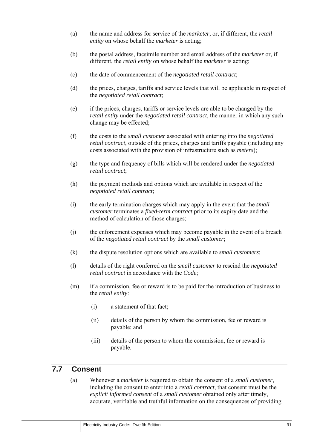- (a) the name and address for service of the *marketer*, or, if different, the *retail entity* on whose behalf the *marketer* is acting;
- (b) the postal address, facsimile number and email address of the *marketer* or, if different, the *retail entity* on whose behalf the *marketer* is acting;
- (c) the date of commencement of the *negotiated retail contract*;
- (d) the prices, charges, tariffs and service levels that will be applicable in respect of the *negotiated retail contract*;
- (e) if the prices, charges, tariffs or service levels are able to be changed by the *retail entity* under the *negotiated retail contract*, the manner in which any such change may be effected;
- (f) the costs to the *small customer* associated with entering into the *negotiated retail contract*, outside of the prices, charges and tariffs payable (including any costs associated with the provision of infrastructure such as *meters*);
- (g) the type and frequency of bills which will be rendered under the *negotiated retail contract*;
- (h) the payment methods and options which are available in respect of the *negotiated retail contract*;
- (i) the early termination charges which may apply in the event that the *small customer* terminates a *fixed-term contract* prior to its expiry date and the method of calculation of those charges;
- (j) the enforcement expenses which may become payable in the event of a breach of the *negotiated retail contract* by the *small customer*;
- (k) the dispute resolution options which are available to *small customers*;
- (l) details of the right conferred on the *small customer* to rescind the *negotiated retail contract* in accordance with the *Code*;
- (m) if a commission, fee or reward is to be paid for the introduction of business to the *retail entity*:
	- (i) a statement of that fact;
	- (ii) details of the person by whom the commission, fee or reward is payable; and
	- (iii) details of the person to whom the commission, fee or reward is payable.

# **7.7 Consent**

(a) Whenever a *marketer* is required to obtain the consent of a *small customer*, including the consent to enter into a *retail contract*, that consent must be the *explicit informed consent* of a *small customer* obtained only after timely, accurate, verifiable and truthful information on the consequences of providing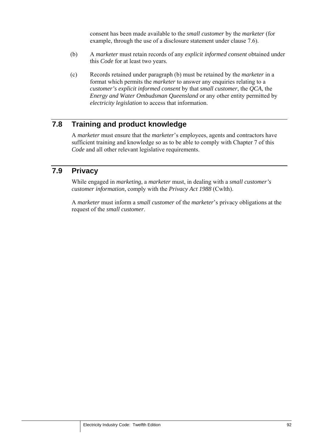consent has been made available to the *small customer* by the *marketer* (for example, through the use of a disclosure statement under clause 7.6).

- (b) A *marketer* must retain records of any *explicit informed consent* obtained under this *Code* for at least two years.
- (c) Records retained under paragraph (b) must be retained by the *marketer* in a format which permits the *marketer* to answer any enquiries relating to a *customer's explicit informed consent* by that *small customer*, the *QCA*, the *Energy and Water Ombudsman Queensland* or any other entity permitted by *electricity legislation* to access that information.

# **7.8 Training and product knowledge**

A *marketer* must ensure that the *marketer*'s employees, agents and contractors have sufficient training and knowledge so as to be able to comply with Chapter 7 of this *Code* and all other relevant legislative requirements.

## **7.9 Privacy**

While engaged in *marketing*, a *marketer* must, in dealing with a *small customer's customer information*, comply with the *Privacy Act 1988* (Cwlth).

A *marketer* must inform a *small customer* of the *marketer*'s privacy obligations at the request of the *small customer*.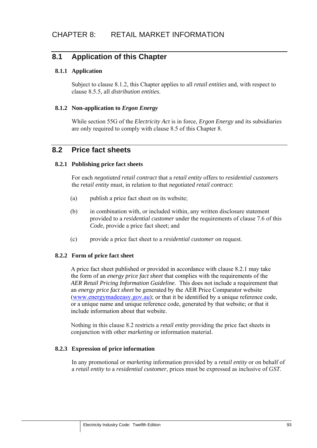# **8.1 Application of this Chapter**

### **8.1.1 Application**

Subject to clause 8.1.2, this Chapter applies to all *retail entities* and, with respect to clause 8.5.5, all *distribution entities*.

### **8.1.2 Non-application to** *Ergon Energy*

While section 55G of the *Electricity Act* is in force, *Ergon Energy* and its subsidiaries are only required to comply with clause 8.5 of this Chapter 8.

## **8.2 Price fact sheets**

#### **8.2.1 Publishing price fact sheets**

For each *negotiated retail contract* that a *retail entity* offers to *residential customers* the *retail entity* must, in relation to that *negotiated retail contract*:

- (a) publish a price fact sheet on its website;
- (b) in combination with, or included within, any written disclosure statement provided to a *residential customer* under the requirements of clause 7.6 of this *Code,* provide a price fact sheet; and
- (c) provide a price fact sheet to a *residential customer* on request.

#### **8.2.2 Form of price fact sheet**

A price fact sheet published or provided in accordance with clause 8.2.1 may take the form of an *energy price fact sheet* that complies with the requirements of the *AER Retail Pricing Information Guideline*. This does not include a requirement that an *energy price fact sheet* be generated by the AER Price Comparator website (www.energymadeeasy.gov.au); or that it be identified by a unique reference code, or a unique name and unique reference code, generated by that website; or that it include information about that website.

Nothing in this clause 8.2 restricts a *retail entity* providing the price fact sheets in conjunction with other *marketing* or information material.

#### **8.2.3 Expression of price information**

In any promotional or *marketing* information provided by a *retail entity* or on behalf of a *retail entity* to a *residential customer*, prices must be expressed as inclusive of *GST*.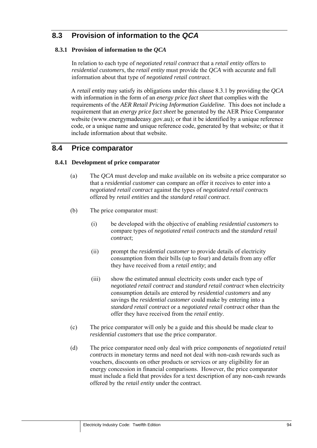# **8.3 Provision of information to the** *QCA*

## **8.3.1 Provision of information to the** *QCA*

In relation to each type of *negotiated retail contract* that a *retail entity* offers to *residential customers*, the *retail entity* must provide the *QCA* with accurate and full information about that type of *negotiated retail contract*.

A *retail entity* may satisfy its obligations under this clause 8.3.1 by providing the *QCA* with information in the form of an *energy price fact sheet* that complies with the requirements of the *AER Retail Pricing Information Guideline*. This does not include a requirement that an *energy price fact sheet* be generated by the AER Price Comparator website (www.energymadeeasy.gov.au); or that it be identified by a unique reference code, or a unique name and unique reference code, generated by that website; or that it include information about that website.

## **8.4 Price comparator**

#### **8.4.1 Development of price comparator**

- (a) The *QCA* must develop and make available on its website a price comparator so that a *residential customer* can compare an offer it receives to enter into a *negotiated retail contract* against the types of *negotiated retail contracts* offered by *retail entities* and the *standard retail contract*.
- (b) The price comparator must:
	- (i) be developed with the objective of enabling *residential customers* to compare types of *negotiated retail contracts* and the *standard retail contract*;
	- (ii) prompt the *residential customer* to provide details of electricity consumption from their bills (up to four) and details from any offer they have received from a *retail entity*; and
	- (iii) show the estimated annual electricity costs under each type of *negotiated retail contract* and *standard retail contract* when electricity consumption details are entered by *residential customers* and any savings the *residential customer* could make by entering into a *standard retail contract* or a *negotiated retail contract* other than the offer they have received from the *retail entity*.
- (c) The price comparator will only be a guide and this should be made clear to *residential customers* that use the price comparator.
- (d) The price comparator need only deal with price components of *negotiated retail contracts* in monetary terms and need not deal with non-cash rewards such as vouchers, discounts on other products or services or any eligibility for an energy concession in financial comparisons. However, the price comparator must include a field that provides for a text description of any non-cash rewards offered by the *retail entity* under the contract.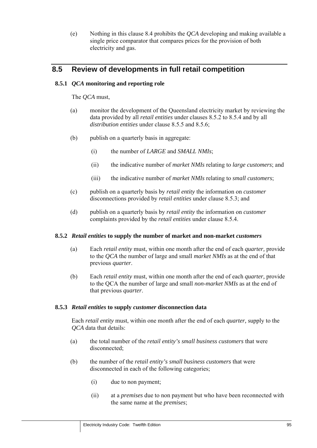(e) Nothing in this clause 8.4 prohibits the *QCA* developing and making available a single price comparator that compares prices for the provision of both electricity and gas.

# **8.5 Review of developments in full retail competition**

### **8.5.1** *QCA* **monitoring and reporting role**

The *QCA* must,

- (a) monitor the development of the Queensland electricity market by reviewing the data provided by all *retail entities* under clauses 8.5.2 to 8.5.4 and by all *distribution entities* under clause 8.5.5 and 8.5.6;
- (b) publish on a quarterly basis in aggregate:
	- (i) the number of *LARGE* and *SMALL NMIs*;
	- (ii) the indicative number of *market NMIs* relating to *large customers*; and
	- (iii) the indicative number of *market NMIs* relating to *small customers*;
- (c) publish on a quarterly basis by *retail entity* the information on *customer* disconnections provided by *retail entities* under clause 8.5.3; and
- (d) publish on a quarterly basis by *retail entity* the information on *customer* complaints provided by the *retail entities* under clause 8.5.4.

#### **8.5.2** *Retail entities* **to supply the number of market and non-market** *customers*

- (a) Each *retail entity* must, within one month after the end of each *quarter,* provide to the *QCA* the number of large and small *market NMIs* as at the end of that previous *quarter*.
- (b) Each *retail entity* must, within one month after the end of each *quarter,* provide to the QCA the number of large and small *non-market NMIs* as at the end of that previous *quarter*.

#### **8.5.3** *Retail entities* **to supply** *customer* **disconnection data**

Each *retail entity* must, within one month after the end of each *quarter,* supply to the *QCA* data that details:

- (a) the total number of the *retail entity's small business customers* that were disconnected;
- (b) the number of the *retail entity's small business customers* that were disconnected in each of the following categories;
	- (i) due to non payment;
	- (ii) at a *premises* due to non payment but who have been reconnected with the same name at the *premises*;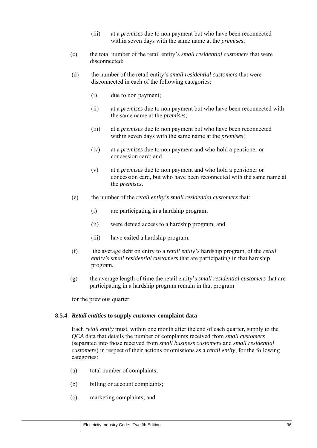- (iii) at a *premises* due to non payment but who have been reconnected within seven days with the same name at the *premises*;
- (c) the total number of the retail entity's *small residential customers* that were disconnected;
- (d) the number of the retail entity's *small residential customers* that were disconnected in each of the following categories:
	- (i) due to non payment;
	- (ii) at a *premises* due to non payment but who have been reconnected with the same name at the *premises*;
	- (iii) at a *premises* due to non payment but who have been reconnected within seven days with the same name at the *premises*;
	- (iv) at a *premises* due to non payment and who hold a pensioner or concession card; and
	- (v) at a *premises* due to non payment and who hold a pensioner or concession card, but who have been reconnected with the same name at the *premises*.
- (e) the number of the *retail entity's small residential customers* that:
	- (i) are participating in a hardship program;
	- (ii) were denied access to a hardship program; and
	- (iii) have exited a hardship program.
- (f) the average debt on entry to a *retail entity's* hardship program, of the *retail entity's small residential customers* that are participating in that hardship program,
- (g) the average length of time the retail entity's *small residential customers* that are participating in a hardship program remain in that program

for the previous quarter.

#### **8.5.4** *Retail entities* **to supply** *customer* **complaint data**

Each *retail entity* must, within one month after the end of each quarter, supply to the *QCA* data that details the number of complaints received from *small customers* (separated into those received from *small business customers* and *small residential customers*) in respect of their actions or omissions as a *retail entity*, for the following categories:

- (a) total number of complaints;
- (b) billing or account complaints;
- (c) marketing complaints; and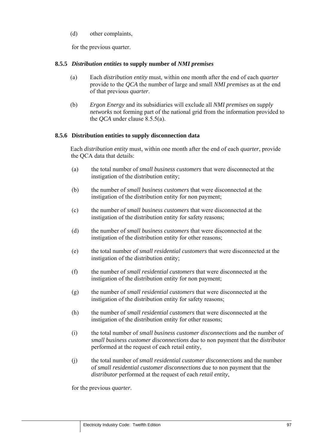(d) other complaints,

for the previous quarter.

### **8.5.5** *Distribution entities* **to supply number of** *NMI premises*

- (a) Each *distribution entity* must, within one month after the end of each *quarter* provide to the *QCA* the number of large and small *NMI premises* as at the end of that previous *quarter*.
- (b) *Ergon Energy* and its subsidiaries will exclude all *NMI premises* on *supply networks* not forming part of the national grid from the information provided to the *QCA* under clause 8.5.5(a).

### **8.5.6 Distribution entities to supply disconnection data**

Each *distribution entity* must, within one month after the end of each *quarter*, provide the QCA data that details:

- (a) the total number of *small business customers* that were disconnected at the instigation of the distribution entity;
- (b) the number of *small business customers* that were disconnected at the instigation of the distribution entity for non payment;
- (c) the number of *small business customers* that were disconnected at the instigation of the distribution entity for safety reasons;
- (d) the number of *small business customers* that were disconnected at the instigation of the distribution entity for other reasons;
- (e) the total number of *small residential customers* that were disconnected at the instigation of the distribution entity;
- (f) the number of *small residential customers* that were disconnected at the instigation of the distribution entity for non payment;
- (g) the number of *small residential customers* that were disconnected at the instigation of the distribution entity for safety reasons;
- (h) the number of *small residential customers* that were disconnected at the instigation of the distribution entity for other reasons;
- (i) the total number of *small business customer disconnections* and the number of *small business customer disconnections* due to non payment that the distributor performed at the request of each retail entity,
- (j) the total number of *small residential customer disconnections* and the number of *small residential customer disconnections* due to non payment that the *distributor* performed at the request of each *retail entity*,

for the previous *quarter*.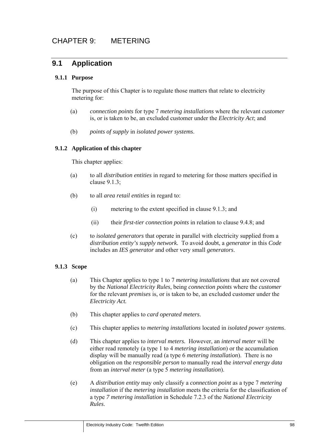# **9.1 Application**

## **9.1.1 Purpose**

The purpose of this Chapter is to regulate those matters that relate to electricity metering for:

- (a) *connection points* for type 7 *metering installations* where the relevant *customer*  is, or is taken to be, an excluded customer under the *Electricity Act*; and
- (b) *points of supply* in *isolated power systems*.

### **9.1.2 Application of this chapter**

This chapter applies:

- (a) to all *distribution entities* in regard to metering for those matters specified in clause 9.1.3;
- (b) to all *area retail entities* in regard to:
	- (i) metering to the extent specified in clause 9.1.3; and
	- (ii) their *first-tier connection points* in relation to clause 9.4.8; and
- (c) to *isolated generators* that operate in parallel with electricity supplied from a *distribution entity's supply network.* To avoid doubt, a *generator* in this *Code* includes an *IES generator* and other very small *generators*.

#### **9.1.3 Scope**

- (a) This Chapter applies to type 1 to 7 *metering installations* that are not covered by the *National Electricity Rules*, being *connection points* where the *customer* for the relevant *premises* is, or is taken to be, an excluded customer under the *Electricity Act.*
- (b) This chapter applies to *card operated meters*.
- (c) This chapter applies to *metering installations* located in *isolated power systems*.
- (d) This chapter applies to *interval meters.* However, an *interval meter* will be either read remotely (a type 1 to 4 *metering installation*) or the accumulation display will be manually read (a type 6 *metering installation*). There is no obligation on the *responsible person* to manually read the *interval energy data* from an *interval meter* (a type 5 *metering installation*).
- (e) A *distribution entity* may only classify a *connection point* as a type 7 *metering installation* if the *metering installation* meets the criteria for the classification of a type *7 metering installation* in Schedule 7.2.3 of the *National Electricity Rules*.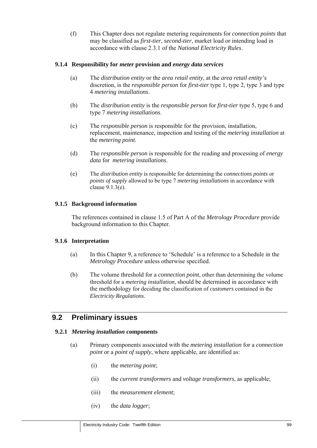(f) This Chapter does not regulate metering requirements for *connection points* that may be classified as *first-tier*, *second-tier*, market load or intending load in accordance with clause 2.3.1 of the *National Electricity Rules*.

### **9.1.4 Responsibility for** *meter* **provision and** *energy data services*

- (a) The *distribution entity* or the *area retail entity*, at the *area retail entity's* discretion, is the *responsible person* for *first-tier* type 1, type 2, type 3 and type 4 *metering installations*.
- (b) The *distribution entity* is the *responsible person* for *first-tier* type 5, type 6 and type 7 *metering installations*.
- (c) The *responsible person* is responsible for the provision, installation, replacement, maintenance, inspection and testing of the *metering installation* at the *metering point*.
- (d) The *responsible person* is responsible for the reading and processing of *energy data* for *metering installations*.
- (e) The *distribution entity* is responsible for determining the *connections points* or *points of supply* allowed to be type 7 *metering installations* in accordance with clause 9.1.3(e).

### **9.1.5 Background information**

The references contained in clause 1.5 of Part A of the *Metrology Procedure* provide background information to this Chapter.

#### **9.1.6 Interpretation**

- (a) In this Chapter 9, a reference to 'Schedule' is a reference to a Schedule in the *Metrology Procedure* unless otherwise specified.
- (b) The volume threshold for a *connection point*, other than determining the volume threshold for a *metering installation*, should be determined in accordance with the methodology for deciding the classification of *customers* contained in the *Electricity Regulations*.

# **9.2 Preliminary issues**

#### **9.2.1** *Metering installation* **components**

- (a) Primary components associated with the *metering installation* for a *connection point* or a *point of supply*, where applicable, are identified as:
	- (i) the *metering point*;
	- (ii) the *current transformers* and *voltage transformers*, as applicable;
	- (iii) the *measurement element*;
	- (iv) the *data logger*;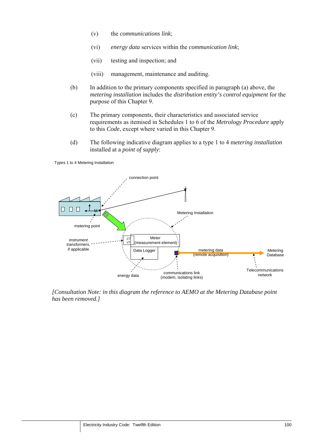- (v) the *communications link*;
- (vi) *energy data* services within the *communication link*;
- (vii) testing and inspection; and
- (viii) management, maintenance and auditing.
- (b) In addition to the primary components specified in paragraph (a) above, the *metering installation* includes the *distribution entity's control equipment* for the purpose of this Chapter 9.
- (c) The primary components, their characteristics and associated service requirements as itemised in Schedules 1 to 6 of the *Metrology Procedure* apply to this *Code*, except where varied in this Chapter 9.
- (d) The following indicative diagram applies to a type 1 to 4 m*etering installation* installed at a *point of supply*:

Types 1 to 4 Metering Installation



*[Consultation Note: in this diagram the reference to AEMO at the Metering Database point has been removed.]*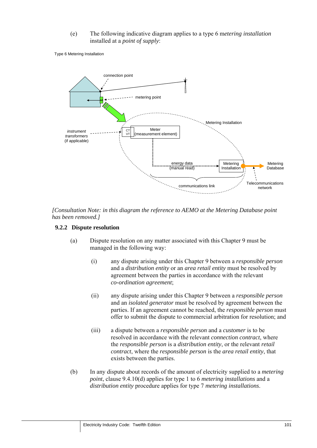(e) The following indicative diagram applies to a type 6 m*etering installation*  installed at a *point of supply*:

Type 6 Metering Installation



*[Consultation Note: in this diagram the reference to AEMO at the Metering Database point has been removed.]* 

### **9.2.2 Dispute resolution**

- (a) Dispute resolution on any matter associated with this Chapter 9 must be managed in the following way:
	- (i) any dispute arising under this Chapter 9 between a *responsible person* and a *distribution entity* or an *area retail entity* must be resolved by agreement between the parties in accordance with the relevant *co-ordination agreement*;
	- (ii) any dispute arising under this Chapter 9 between a *responsible person* and an *isolated generator* must be resolved by agreement between the parties. If an agreement cannot be reached, the *responsible person* must offer to submit the dispute to commercial arbitration for resolution; and
	- (iii) a dispute between a *responsible person* and a *customer* is to be resolved in accordance with the relevant *connection contract*, where the *responsible person* is a *distribution entity*, or the relevant *retail contract*, where the *responsible person* is the *area retail entity*, that exists between the parties.
- (b) In any dispute about records of the amount of electricity supplied to a *metering point*, clause 9.4.10(d) applies for type 1 to 6 *metering installations* and a *distribution entity* procedure applies for type 7 *metering installations*.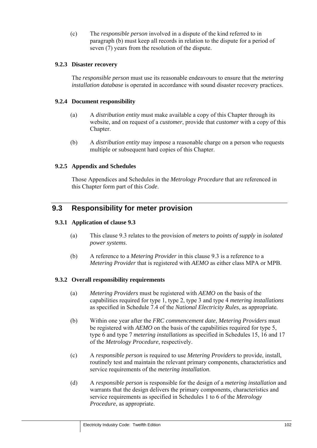(c) The *responsible person* involved in a dispute of the kind referred to in paragraph (b) must keep all records in relation to the dispute for a period of seven (7) years from the resolution of the dispute.

### **9.2.3 Disaster recovery**

The *responsible person* must use its reasonable endeavours to ensure that the *metering installation database* is operated in accordance with sound disaster recovery practices.

### **9.2.4 Document responsibility**

- (a) A *distribution entity* must make available a copy of this Chapter through its website, and on request of a *customer*, provide that *customer* with a copy of this Chapter.
- (b) A *distribution entity* may impose a reasonable charge on a person who requests multiple or subsequent hard copies of this Chapter.

## **9.2.5 Appendix and Schedules**

Those Appendices and Schedules in the *Metrology Procedure* that are referenced in this Chapter form part of this *Code*.

# **9.3 Responsibility for meter provision**

## **9.3.1 Application of clause 9.3**

- (a) This clause 9.3 relates to the provision of *meters* to *points of supply* in *isolated power systems*.
- (b) A reference to a *Metering Provider* in this clause 9.3 is a reference to a *Metering Provider* that is registered with *AEMO* as either class MPA or MPB.

## **9.3.2 Overall responsibility requirements**

- (a) *Metering Providers* must be registered with *AEMO* on the basis of the capabilities required for type 1, type 2, type 3 and type 4 *metering installations* as specified in Schedule 7.4 of the *National Electricity Rules*, as appropriate*.*
- (b) Within one year after the *FRC commencement date*, *Metering Providers* must be registered with *AEMO* on the basis of the capabilities required for type 5, type 6 and type 7 *metering installations* as specified in Schedules 15, 16 and 17 of the *Metrology Procedure*, respectively.
- (c) A *responsible person* is required to use *Metering Providers* to provide, install, routinely test and maintain the relevant primary components, characteristics and service requirements of the *metering installation*.
- (d) A *responsible person* is responsible for the design of a *metering installation* and warrants that the design delivers the primary components, characteristics and service requirements as specified in Schedules 1 to 6 of the *Metrology Procedure*, as appropriate.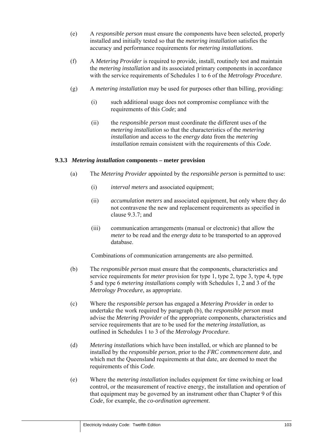- (e) A *responsible person* must ensure the components have been selected, properly installed and initially tested so that the *metering installation* satisfies the accuracy and performance requirements for *metering installations*.
- (f) A *Metering Provider* is required to provide, install, routinely test and maintain the *metering installation* and its associated primary components in accordance with the service requirements of Schedules 1 to 6 of the *Metrology Procedure*.
- (g) A *metering installation* may be used for purposes other than billing, providing:
	- (i) such additional usage does not compromise compliance with the requirements of this *Code*; and
	- (ii) the *responsible person* must coordinate the different uses of the *metering installation* so that the characteristics of the *metering installation* and access to the *energy data* from the *metering installation* remain consistent with the requirements of this *Code*.

### **9.3.3** *Metering installation* **components – meter provision**

- (a) The *Metering Provider* appointed by the *responsible person* is permitted to use:
	- (i) *interval meters* and associated equipment;
	- (ii) *accumulation meters* and associated equipment, but only where they do not contravene the new and replacement requirements as specified in clause 9.3.7; and
	- (iii) communication arrangements (manual or electronic) that allow the *meter* to be read and the *energy data* to be transported to an approved database.

Combinations of communication arrangements are also permitted.

- (b) The *responsible person* must ensure that the components, characteristics and service requirements for *meter* provision for type 1, type 2, type 3, type 4, type 5 and type 6 *metering installations* comply with Schedules 1, 2 and 3 of the *Metrology Procedure*, as appropriate.
- (c) Where the *responsible person* has engaged a *Metering Provider* in order to undertake the work required by paragraph (b), the *responsible person* must advise the *Metering Provider* of the appropriate components, characteristics and service requirements that are to be used for the *metering installation*, as outlined in Schedules 1 to 3 of the *Metrology Procedure*.
- (d) *Metering installation*s which have been installed, or which are planned to be installed by the *responsible person*, prior to the *FRC commencement date*, and which met the Queensland requirements at that date, are deemed to meet the requirements of this *Code*.
- (e) Where the *metering installation* includes equipment for time switching or load control, or the measurement of reactive energy, the installation and operation of that equipment may be governed by an instrument other than Chapter 9 of this *Code*, for example, the *co-ordination agreement*.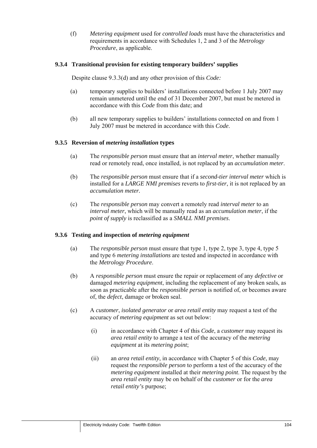(f) *Metering equipment* used for *controlled loads* must have the characteristics and requirements in accordance with Schedules 1, 2 and 3 of the *Metrology Procedure*, as applicable.

### **9.3.4 Transitional provision for existing temporary builders' supplies**

Despite clause 9.3.3(d) and any other provision of this *Code:* 

- (a) temporary supplies to builders' installations connected before 1 July 2007 may remain unmetered until the end of 31 December 2007, but must be metered in accordance with this *Code* from this date; and
- (b) all new temporary supplies to builders' installations connected on and from 1 July 2007 must be metered in accordance with this *Code*.

### **9.3.5 Reversion of** *metering installation* **types**

- (a) The *responsible person* must ensure that an *interval meter*, whether manually read or remotely read, once installed, is not replaced by an *accumulation meter*.
- (b) The *responsible person* must ensure that if a *second-tier interval meter* which is installed for a *LARGE NMI premises* reverts to *first-tier*, it is not replaced by an *accumulation meter.*
- (c) The *responsible person* may convert a remotely read *interval meter* to an *interval meter*, which will be manually read as an *accumulation meter*, if the *point of supply* is reclassified as a *SMALL NMI premises*.

#### **9.3.6 Testing and inspection of** *metering equipment*

- (a) The *responsible person* must ensure that type 1, type 2, type 3, type 4, type 5 and type 6 *metering installations* are tested and inspected in accordance with the *Metrology Procedure*.
- (b) A *responsible person* must ensure the repair or replacement of any *defective* or damaged *metering equipment*, including the replacement of any broken seals, as soon as practicable after the *responsible person* is notified of, or becomes aware of, the *defect*, damage or broken seal.
- (c) A *customer*, *isolated generator* or *area retail entity* may request a test of the accuracy of *metering equipment* as set out below:
	- (i) in accordance with Chapter 4 of this *Code*, a *customer* may request its *area retail entity* to arrange a test of the accuracy of the *metering equipment* at its *metering point*;
	- (ii) an *area retail entity*, in accordance with Chapter 5 of this *Code*, may request the *responsible person* to perform a test of the accuracy of the *metering equipment* installed at their *metering point*. The request by the *area retail entity* may be on behalf of the *customer* or for the *area retail entity's* purpose;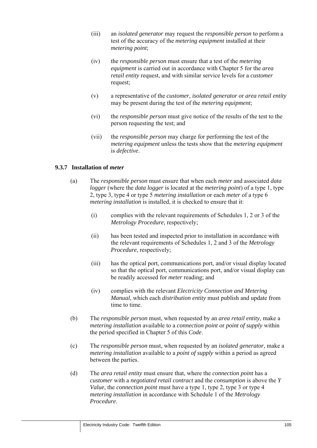- (iii) an *isolated generator* may request the *responsible person* to perform a test of the accuracy of the *metering equipment* installed at their *metering point*;
- (iv) the *responsible person* must ensure that a test of the *metering equipment* is carried out in accordance with Chapter 5 for the *area retail entity* request, and with similar service levels for a *customer* request;
- (v) a representative of the *customer*, *isolated generator* or *area retail entity*  may be present during the test of the *metering equipment*;
- (vi) the *responsible person* must give notice of the results of the test to the person requesting the test; and
- (vii) the *responsible person* may charge for performing the test of the *metering equipment* unless the tests show that the *metering equipment* is *defective*.

#### **9.3.7 Installation of** *meter*

- (a) The *responsible person* must ensure that when each *meter* and associated *data logger* (where the *data logger* is located at the *metering point*) of a type 1, type 2, type 3, type 4 or type 5 *metering installation* or each *meter* of a type 6 *metering installation* is installed, it is checked to ensure that it:
	- (i) complies with the relevant requirements of Schedules 1, 2 or 3 of the *Metrology Procedure*, respectively;
	- (ii) has been tested and inspected prior to installation in accordance with the relevant requirements of Schedules 1, 2 and 3 of the *Metrology Procedure*, respectively;
	- (iii) has the optical port, communications port, and/or visual display located so that the optical port, communications port, and/or visual display can be readily accessed for *meter* reading; and
	- (iv) complies with the relevant *Electricity Connection and Metering Manual*, which each *distribution entity* must publish and update from time to time.
- (b) The *responsible person* must, when requested by an *area retail entity,* make a *metering installation* available to a *connection point* or *point of supply* within the period specified in Chapter 5 of this *Code*.
- (c) The *responsible person* must, when requested by an *isolated generator,* make a *metering installation* available to a *point of supply* within a period as agreed between the parties.
- (d) The *area retail entity* must ensure that, where the *connection point* has a *customer* with a *negotiated retail contract* and the *consumption* is above the *Y Value*, the *connection point* must have a type 1, type 2, type 3 or type 4 *metering installation* in accordance with Schedule 1 of the *Metrology Procedure*.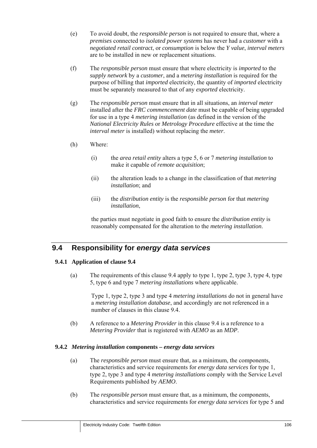- (e) To avoid doubt, the *responsible person* is not required to ensure that, where a *premises* connected to *isolated power systems* has never had a *customer* with a *negotiated retail contract*, or *consumption* is below the *Y value*, *interval meters* are to be installed in new or replacement situations.
- (f) The *responsible person* must ensure that where electricity is *imported* to the *supply network* by a *customer*, and a *metering installation* is required for the purpose of billing that *imported* electricity, the quantity of *imported* electricity must be separately measured to that of any *exported* electricity.
- (g) The *responsible person* must ensure that in all situations, an *interval meter* installed after the *FRC commencement date* must be capable of being upgraded for use in a type 4 *metering installation* (as defined in the version of the *National Electricity Rules* or *Metrology Procedure* effective at the time the *interval meter* is installed) without replacing the *meter*.
- (h) Where:
	- (i) the *area retail entity* alters a type 5, 6 or 7 *metering installation* to make it capable of *remote acquisition*;
	- (ii) the alteration leads to a change in the classification of that *metering installation*; and
	- (iii) the *distribution entity* is the *responsible person* for that *metering installation*,

the parties must negotiate in good faith to ensure the *distribution entity* is reasonably compensated for the alteration to the *metering installation*.

# **9.4 Responsibility for** *energy data services*

#### **9.4.1 Application of clause 9.4**

(a) The requirements of this clause 9.4 apply to type 1, type 2, type 3, type 4, type 5, type 6 and type 7 *metering installations* where applicable.

Type 1, type 2, type 3 and type 4 *metering installations* do not in general have a *metering installation database*, and accordingly are not referenced in a number of clauses in this clause 9.4.

(b) A reference to a *Metering Provider* in this clause 9.4 is a reference to a *Metering Provider* that is registered with *AEMO* as an *MDP*.

#### **9.4.2** *Metering installation* **components –** *energy data services*

- (a) The *responsible person* must ensure that, as a minimum, the components, characteristics and service requirements for *energy data services* for type 1, type 2, type 3 and type 4 *metering installations* comply with the Service Level Requirements published by *AEMO*.
- (b) The *responsible person* must ensure that, as a minimum, the components, characteristics and service requirements for *energy data services* for type 5 and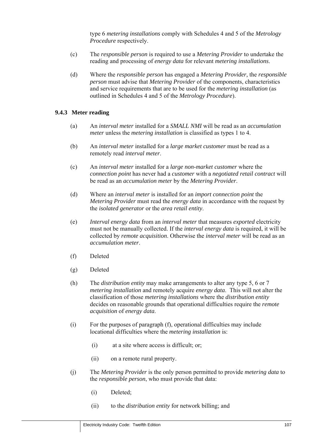type 6 *metering installations* comply with Schedules 4 and 5 of the *Metrology Procedure* respectively.

- (c) The *responsible person* is required to use a *Metering Provider* to undertake the reading and processing of *energy data* for relevant *metering installations*.
- (d) Where the *responsible person* has engaged a *Metering Provider,* the *responsible person* must advise that *Metering Provider* of the components, characteristics and service requirements that are to be used for the *metering installation* (as outlined in Schedules 4 and 5 of the *Metrology Procedure*).

## **9.4.3 Meter reading**

- (a) An *interval meter* installed for a *SMALL NMI* will be read as an *accumulation meter* unless the *metering installation* is classified as types 1 to 4.
- (b) An *interval meter* installed for a *large market customer* must be read as a remotely read *interval meter*.
- (c) An *interval meter* installed for a *large non-market customer* where the *connection point* has never had a *customer* with a *negotiated retail contract* will be read as an *accumulation meter* by the *Metering Provider*.
- (d) Where an *interval meter* is installed for an *import connection point* the *Metering Provider* must read the *energy data* in accordance with the request by the *isolated generator* or the *area retail entity*.
- (e) *Interval energy data* from an *interval meter* that measures *exported* electricity must not be manually collected. If the *interval energy data* is required, it will be collected by *remote acquisition*. Otherwise the *interval meter* will be read as an *accumulation meter*.
- (f) Deleted
- (g) Deleted
- (h) The *distribution entity* may make arrangements to alter any type 5, 6 or 7 *metering installation* and remotely acquire *energy data*. This will not alter the classification of those *metering installations* where the *distribution entity* decides on reasonable grounds that operational difficulties require the *remote acquisition* of *energy data*.
- (i) For the purposes of paragraph (f), operational difficulties may include locational difficulties where the *metering installation* is:
	- (i) at a site where access is difficult; or;
	- (ii) on a remote rural property.
- (j) The *Metering Provider* is the only person permitted to provide *metering data* to the *responsible person*, who must provide that data:
	- (i) Deleted;
	- (ii) to the *distribution entity* for network billing; and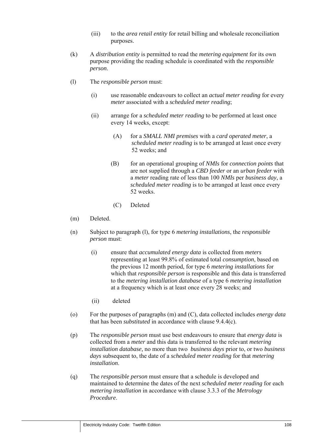- (iii) to the *area retail entity* for retail billing and wholesale reconciliation purposes.
- (k) A *distribution entity* is permitted to read the *metering equipment* for its own purpose providing the reading schedule is coordinated with the *responsible person*.
- (l) The *responsible person* must:
	- (i) use reasonable endeavours to collect an *actual meter reading* for every *meter* associated with a *scheduled meter reading*;
	- (ii) arrange for a *scheduled meter reading* to be performed at least once every 14 weeks, except:
		- (A) for a *SMALL NMI premises* with a *card operated meter*, a *scheduled meter reading* is to be arranged at least once every 52 weeks; and
		- (B) for an operational grouping of *NMIs* for *connection points* that are not supplied through a *CBD feeder* or an *urban feeder* with a *meter* reading rate of less than 100 *NMIs* per *business day*, a *scheduled meter reading* is to be arranged at least once every 52 weeks.
		- (C) Deleted
- (m) Deleted.
- (n) Subject to paragraph (l), for type 6 *metering installations*, the *responsible person* must:
	- (i) ensure that *accumulated energy data* is collected from *meters*  representing at least 99.8% of estimated total *consumption*, based on the previous 12 month period, for type 6 *metering installations* for which that *responsible person* is responsible and this data is transferred to the *metering installation database* of a type 6 *metering installation* at a frequency which is at least once every 28 weeks; and
	- (ii) deleted
- (o) For the purposes of paragraphs (m) and (C), data collected includes *energy data*  that has been *substituted* in accordance with clause 9.4.4(c).
- (p) The *responsible person* must use best endeavours to ensure that *energy data* is collected from a *meter* and this data is transferred to the relevant *metering installation database,* no more than two *business days* prior to, or two *business days* subsequent to, the date of a *scheduled meter reading* for that *metering installation*.
- (q) The *responsible person* must ensure that a schedule is developed and maintained to determine the dates of the next *scheduled meter reading* for each *metering installation* in accordance with clause 3.3.3 of the *Metrology Procedure*.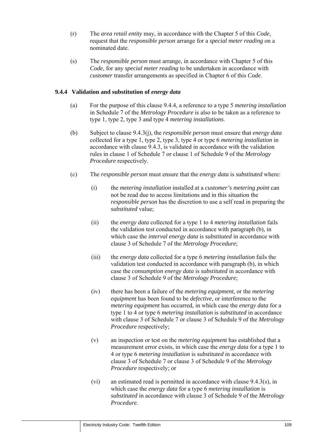- (r) The *area retail entity* may, in accordance with the Chapter 5 of this *Code*, request that the *responsible person* arrange for a *special meter reading* on a nominated date.
- (s) The *responsible person* must arrange, in accordance with Chapter 5 of this *Code*, for any *special meter reading* to be undertaken in accordance with *customer* transfer arrangements as specified in Chapter 6 of this *Code*.

## **9.4.4 Validation and substitution of** *energy data*

- (a) For the purpose of this clause 9.4.4, a reference to a type 5 *metering installation* in Schedule 7 of the *Metrology Procedure* is also to be taken as a reference to type 1, type 2, type 3 and type 4 *metering installations*.
- (b) Subject to clause 9.4.3(j), the *responsible person* must ensure that *energy data* collected for a type 1, type 2, type 3, type 4 or type 6 *metering installation* in accordance with clause 9.4.3, is validated in accordance with the validation rules in clause 1 of Schedule 7 or clause 1 of Schedule 9 of the *Metrology Procedure* respectively.
- (c) The *responsible person* must ensure that the *energy data* is *substituted* where:
	- (i) the *metering installation* installed at a *customer's metering point* can not be read due to access limitations and in this situation the *responsible person* has the discretion to use a self read in preparing the *substituted* value;
	- (ii) the *energy data* collected for a type 1 to 4 *metering installation* fails the validation test conducted in accordance with paragraph (b), in which case the *interval energy data* is *substituted* in accordance with clause 3 of Schedule 7 of the *Metrology Procedure*;
	- (iii) the *energy data* collected for a type 6 *metering installation* fails the validation test conducted in accordance with paragraph (b), in which case the *consumption energy data* is *substituted* in accordance with clause 3 of Schedule 9 of the *Metrology Procedure*;
	- (iv) there has been a failure of the *metering equipment*, or the *metering equipment* has been found to be *defective*, or interference to the *metering equipment* has occurred, in which case the *energy data* for a type 1 to 4 or type 6 *metering installation* is *substituted* in accordance with clause 3 of Schedule 7 or clause 3 of Schedule 9 of the *Metrology Procedure* respectively;
	- (v) an inspection or test on the *metering equipment* has established that a measurement error exists, in which case the *energy data* for a type 1 to 4 or type 6 *metering installation* is *substituted* in accordance with clause 3 of Schedule 7 or clause 3 of Schedule 9 of the *Metrology Procedure* respectively; or
	- (vi) an estimated read is permitted in accordance with clause 9.4.3(s), in which case the *energy data* for a type 6 *metering installation* is *substituted* in accordance with clause 3 of Schedule 9 of the *Metrology Procedure*.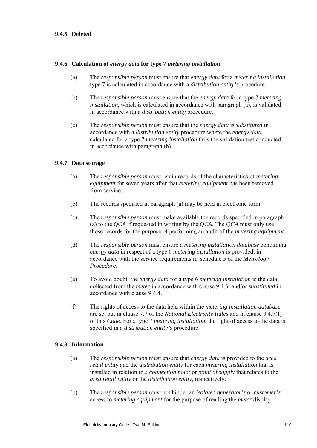## **9.4.5 Deleted**

## **9.4.6 Calculation of** *energy data* **for type 7** *metering installation*

- (a) The *responsible person* must ensure that *energy data* for a *metering installation* type 7 is calculated in accordance with a *distribution entity's* procedure.
- (b) The *responsible person* must ensure that the *energy data* for a type 7 *metering installation*, which is calculated in accordance with paragraph (a), is validated in accordance with a *distribution entity* procedure.
- (c) The *responsible person* must ensure that the *energy data* is *substituted* in accordance with a *distribution entity* procedure where the *energy data* calculated for a type 7 *metering installation* fails the validation test conducted in accordance with paragraph (b).

### **9.4.7 Data storage**

- (a) The *responsible person* must retain records of the characteristics of *metering equipment* for seven years after that *metering equipment* has been removed from service.
- (b) The records specified in paragraph (a) may be held in electronic form.
- (c) The *responsible person* must make available the records specified in paragraph (a) to the *QCA* if requested in writing by the *QCA*. The *QCA* must only use those records for the purpose of performing an audit of the *metering equipment*.
- (d) The *responsible person* must ensure a *metering installation database* containing *energy data* in respect of a type 6 *metering installation* is provided, in accordance with the service requirements in Schedule 5 of the *Metrology Procedure*.
- (e) To avoid doubt, the *energy data* for a type 6 *metering installation* is the data collected from the *meter* in accordance with clause 9.4.3, and/or *substituted* in accordance with clause 9.4.4.
- (f) The rights of access to the data held within the *metering installation database*  are set out in clause 7.7 of the *National Electricity Rules* and in clause 9.4.7(f) of this *Code*. For a type 7 *metering installation*, the right of access to the data is specified in a *distribution entity's* procedure.

#### **9.4.8 Information**

- (a) The *responsible person* must ensure that *energy data* is provided to the *area retail entity* and the *distribution entity* for each *metering installation* that is installed in relation to a *connection point* or *point of supply* that relates to the *area retail entity* or the *distribution entity*, respectively.
- (b) The *responsible person* must not hinder an *isolated generator's* or *customer's* access to *metering equipment* for the purpose of reading the *meter* display.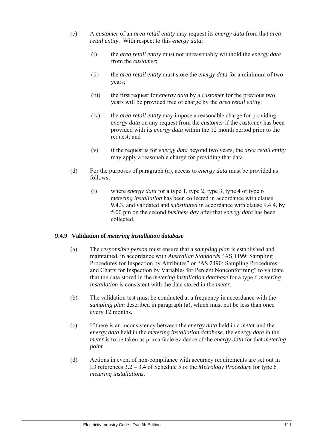- (c) A *customer* of an *area retail entity* may request its *energy data* from that *area retail entity*. With respect to this *energy data*:
	- (i) the *area retail entity* must not unreasonably withhold the *energy data* from the *customer*;
	- (ii) the *area retail entity* must store the *energy data* for a minimum of two years;
	- (iii) the first request for *energy data* by a *customer* for the previous two years will be provided free of charge by the *area retail entity*;
	- (iv) the *area retail entity* may impose a reasonable charge for providing *energy data* on any request from the *customer* if the *customer* has been provided with its *energy data* within the 12 month period prior to the request; and
	- (v) if the request is for *energy data* beyond two years, the *area retail entity* may apply a reasonable charge for providing that data.
- (d) For the purposes of paragraph (a), access to *energy data* must be provided as follows:
	- (i) where *energy data* for a type 1, type 2, type 3, type 4 or type 6 *metering installation* has been collected in accordance with clause 9.4.3, and validated and *substituted* in accordance with clause 9.4.4, by 5.00 pm on the second *business day* after that *energy data* has been collected.

## **9.4.9 Validation of** *metering installation database*

- (a) The *responsible person* must ensure that a *sampling plan* is established and maintained, in accordance with *Australian Standards* "AS 1199: Sampling Procedures for Inspection by Attributes" or "AS 2490: Sampling Procedures and Charts for Inspection by Variables for Percent Nonconforming" to validate that the data stored in the *metering installation database* for a type 6 *metering installation* is consistent with the data stored in the *meter*.
- (b) The validation test must be conducted at a frequency in accordance with the *sampling plan* described in paragraph (a), which must not be less than once every 12 months.
- (c) If there is an inconsistency between the *energy data* held in a *meter* and the *energy data* held in the *metering installation database*, the *energy data* in the *meter* is to be taken as prima facie evidence of the *energy data* for that *metering point*.
- (d) Actions in event of non-compliance with accuracy requirements are set out in ID references 3.2 – 3.4 of Schedule 5 of the *Metrology Procedure* for type 6 *metering installations*.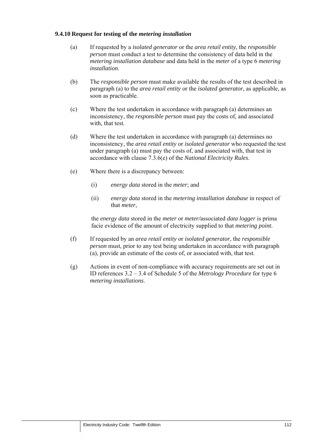## **9.4.10 Request for testing of the** *metering installation*

- (a) If requested by a *isolated generator* or the *area retail entity*, the *responsible person* must conduct a test to determine the consistency of data held in the *metering installation database* and data held in the *meter* of a type 6 *metering installation*.
- (b) The *responsible person* must make available the results of the test described in paragraph (a) to the *area retail entity* or the *isolated generator*, as applicable, as soon as practicable.
- (c) Where the test undertaken in accordance with paragraph (a) determines an inconsistency, the *responsible person* must pay the costs of, and associated with, that test.
- (d) Where the test undertaken in accordance with paragraph (a) determines no inconsistency, the *area retail entity* or *isolated generator* who requested the test under paragraph (a) must pay the costs of, and associated with, that test in accordance with clause 7.3.6(e) of the *National Electricity Rules*.
- (e) Where there is a discrepancy between:
	- (i) *energy data* stored in the *meter*; and
	- (ii) *energy data* stored in the *metering installation database* in respect of that *meter*,

the *energy data* stored in the *meter* or *meter/*associated *data logger* is prima facie evidence of the amount of electricity supplied to that *metering point*.

- (f) If requested by an *area retail entity* or *isolated generator*, the *responsible person* must, prior to any test being undertaken in accordance with paragraph (a), provide an estimate of the costs of, or associated with, that test.
- (g) Actions in event of non-compliance with accuracy requirements are set out in ID references 3.2 – 3.4 of Schedule 5 of the *Metrology Procedure* for type 6 *metering installations*.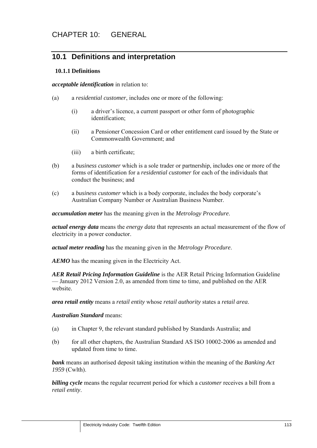## **10.1 Definitions and interpretation**

## **10.1.1 Definitions**

*acceptable identification* in relation to:

- (a) a *residential customer*, includes one or more of the following:
	- (i) a driver's licence, a current passport or other form of photographic identification;
	- (ii) a Pensioner Concession Card or other entitlement card issued by the State or Commonwealth Government; and
	- (iii) a birth certificate;
- (b) a *business customer* which is a sole trader or partnership, includes one or more of the forms of identification for a *residential customer* for each of the individuals that conduct the business; and
- (c) a *business customer* which is a body corporate, includes the body corporate's Australian Company Number or Australian Business Number.

*accumulation meter* has the meaning given in the *Metrology Procedure*.

*actual energy data* means the *energy data* that represents an actual measurement of the flow of electricity in a power conductor.

*actual meter reading* has the meaning given in the *Metrology Procedure*.

*AEMO* has the meaning given in the Electricity Act.

*AER Retail Pricing Information Guideline* is the AER Retail Pricing Information Guideline — January 2012 Version 2.0, as amended from time to time, and published on the AER website.

*area retail entity* means a *retail entity* whose *retail authority* states a *retail area*.

## *Australian Standard* means:

- (a) in Chapter 9, the relevant standard published by Standards Australia; and
- (b) for all other chapters, the Australian Standard AS ISO 10002-2006 as amended and updated from time to time.

*bank* means an authorised deposit taking institution within the meaning of the *Banking Act 1959* (Cwlth).

*billing cycle* means the regular recurrent period for which a *customer* receives a bill from a *retail entity*.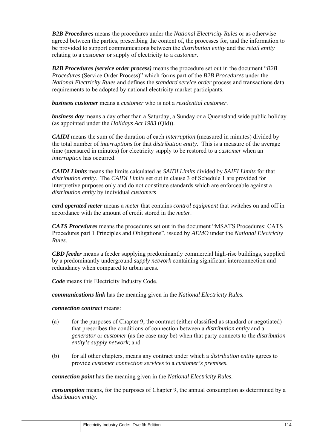*B2B Procedures* means the procedures under the *National Electricity Rules* or as otherwise agreed between the parties, prescribing the content of, the processes for, and the information to be provided to support communications between the *distribution entity* and the *retail entity* relating to a *customer* or supply of electricity to a *customer*.

*B2B Procedures (service order process)* means the procedure set out in the document "*B2B Procedures* (Service Order Process)" which forms part of the *B2B Procedures* under the *National Electricity Rules* and defines the *standard service order* process and transactions data requirements to be adopted by national electricity market participants.

*business customer* means a *customer* who is not a *residential customer*.

*business day* means a day other than a Saturday, a Sunday or a Queensland wide public holiday (as appointed under the *Holidays Act 1983* (Qld)).

*CAIDI* means the sum of the duration of each *interruption* (measured in minutes) divided by the total number of *interruptions* for that *distribution entity*. This is a measure of the average time (measured in minutes) for electricity supply to be restored to a *customer* when an *interruption* has occurred.

*CAIDI Limits* means the limits calculated as *SAIDI Limits* divided by *SAIFI Limits* for that *distribution entity*. The *CAIDI Limits* set out in clause 3 of Schedule 1 are provided for interpretive purposes only and do not constitute standards which are enforceable against a *distribution entity* by individual *customers*

*card operated meter* means a *meter* that contains *control equipment* that switches on and off in accordance with the amount of credit stored in the *meter*.

*CATS Procedures* means the procedures set out in the document "MSATS Procedures: CATS Procedures part 1 Principles and Obligations", issued by *AEMO* under the *National Electricity Rules*.

*CBD feeder* means a feeder supplying predominantly commercial high-rise buildings, supplied by a predominantly underground *supply network* containing significant interconnection and redundancy when compared to urban areas.

*Code* means this Electricity Industry Code.

*communications link* has the meaning given in the *National Electricity Rules.*

## *connection contract* means:

- (a) for the purposes of Chapter 9, the contract (either classified as standard or negotiated) that prescribes the conditions of connection between a *distribution entity* and a *generator* or *customer* (as the case may be) when that party connects to the *distribution entity's supply network*; and
- (b) for all other chapters, means any contract under which a *distribution entity* agrees to provide *customer connection services* to a *customer's premises*.

*connection point* has the meaning given in the *National Electricity Rules*.

*consumption* means, for the purposes of Chapter 9, the annual consumption as determined by a *distribution entity*.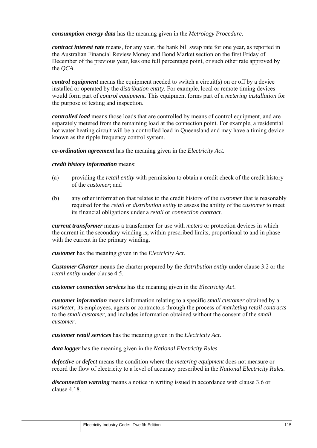*consumption energy data* has the meaning given in the *Metrology Procedure*.

*contract interest rate* means, for any year, the bank bill swap rate for one year, as reported in the Australian Financial Review Money and Bond Market section on the first Friday of December of the previous year, less one full percentage point, or such other rate approved by the *QCA*.

*control equipment* means the equipment needed to switch a circuit(s) on or off by a device installed or operated by the *distribution entity*. For example, local or remote timing devices would form part of *control equipment*. This equipment forms part of a *metering installation* for the purpose of testing and inspection.

*controlled load* means those loads that are controlled by means of control equipment, and are separately metered from the remaining load at the connection point. For example, a residential hot water heating circuit will be a controlled load in Queensland and may have a timing device known as the ripple frequency control system.

*co-ordination agreement* has the meaning given in the *Electricity Act*.

### *credit history information* means:

- (a) providing the *retail entity* with permission to obtain a credit check of the credit history of the *customer*; and
- (b) any other information that relates to the credit history of the *customer* that is reasonably required for the *retail* or *distribution entity* to assess the ability of the *customer* to meet its financial obligations under a *retail* or *connection contract.*

*current transformer* means a transformer for use with *meters* or protection devices in which the current in the secondary winding is, within prescribed limits, proportional to and in phase with the current in the primary winding.

*customer* has the meaning given in the *Electricity Act*.

*Customer Charter* means the charter prepared by the *distribution entity* under clause 3.2 or the *retail entity* under clause 4.5.

*customer connection services* has the meaning given in the *Electricity Act*.

*customer information* means information relating to a specific *small customer* obtained by a *marketer*, its employees, agents or contractors through the process of *marketing retail contracts* to the *small customer*, and includes information obtained without the consent of the *small customer*.

*customer retail services* has the meaning given in the *Electricity Act*.

*data logger* has the meaning given in the *National Electricity Rules*

*defective* or *defect* means the condition where the *metering equipment* does not measure or record the flow of electricity to a level of accuracy prescribed in the *National Electricity Rules*.

*disconnection warning* means a notice in writing issued in accordance with clause 3.6 or clause 4.18.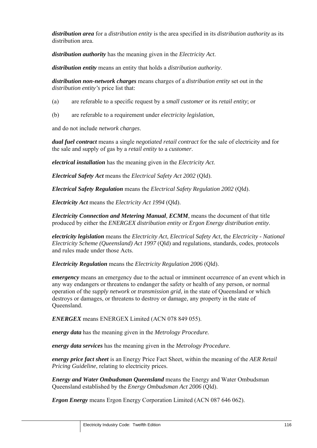*distribution area* for a *distribution entity* is the area specified in its *distribution authority* as its distribution area.

*distribution authority* has the meaning given in the *Electricity Act*.

*distribution entity* means an entity that holds a *distribution authority*.

*distribution non-network charges* means charges of a *distribution entity* set out in the *distribution entity's* price list that:

- (a) are referable to a specific request by a *small customer* or its *retail entity*; or
- (b) are referable to a requirement under *electricity legislation*,

and do not include *network charges*.

*dual fuel contract* means a single *negotiated retail contract* for the sale of electricity and for the sale and supply of gas by a *retail entity* to a *customer*.

*electrical installation* has the meaning given in the *Electricity Act*.

*Electrical Safety Act* means the *Electrical Safety Act 2002* (Qld).

*Electrical Safety Regulation* means the *Electrical Safety Regulation 2002* (Qld).

*Electricity Act* means the *Electricity Act 1994* (Qld).

*Electricity Connection and Metering Manual, ECMM*, means the document of that title produced by either the *ENERGEX distribution entity* or *Ergon Energy distribution entity*.

*electricity legislation* means the *Electricity Act*, *Electrical Safety Act*, the *Electricity - National Electricity Scheme (Queensland) Act 1997* (Qld) and regulations, standards, codes, protocols and rules made under those Acts.

*Electricity Regulation* means the *Electricity Regulation 2006* (Qld).

*emergency* means an emergency due to the actual or imminent occurrence of an event which in any way endangers or threatens to endanger the safety or health of any person, or normal operation of the *supply network* or *transmission grid*, in the state of Queensland or which destroys or damages, or threatens to destroy or damage, any property in the state of Queensland.

*ENERGEX* means ENERGEX Limited (ACN 078 849 055).

*energy data* has the meaning given in the *Metrology Procedure.*

*energy data services* has the meaning given in the *Metrology Procedure*.

*energy price fact sheet* is an Energy Price Fact Sheet, within the meaning of the *AER Retail Pricing Guideline*, relating to electricity prices.

*Energy and Water Ombudsman Queensland* means the Energy and Water Ombudsman Queensland established by the *Energy Ombudsman Act 2006* (Qld).

*Ergon Energy* means Ergon Energy Corporation Limited (ACN 087 646 062).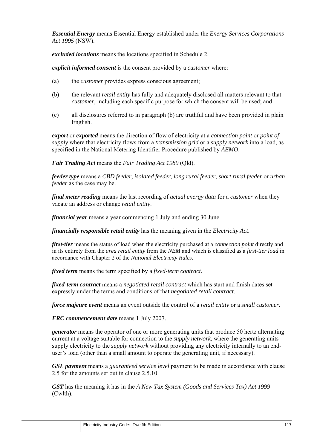*Essential Energy* means Essential Energy established under the *Energy Services Corporations Act 1995* (NSW).

*excluded locations* means the locations specified in Schedule 2.

*explicit informed consent* is the consent provided by a *customer* where:

- (a) the *customer* provides express conscious agreement;
- (b) the relevant *retail entity* has fully and adequately disclosed all matters relevant to that *customer*, including each specific purpose for which the consent will be used; and
- (c) all disclosures referred to in paragraph (b) are truthful and have been provided in plain English.

*export* or *exported* means the direction of flow of electricity at a *connection point* or *point of supply* where that electricity flows from a *transmission grid* or a *supply network* into a load, as specified in the National Metering Identifier Procedure published by *AEMO*.

*Fair Trading Act* means the *Fair Trading Act 1989* (Qld).

*feeder type* means a *CBD feeder*, *isolated feeder*, *long rural feeder*, *short rural feeder* or *urban feeder* as the case may be.

*final meter reading* means the last recording of *actual energy data* for a *customer* when they vacate an address or change *retail entity*.

*financial year* means a year commencing 1 July and ending 30 June.

*financially responsible retail entity* has the meaning given in the *Electricity Act*.

*first-tier* means the status of load when the electricity purchased at a *connection point* directly and in its entirety from the *area retail entity* from the *NEM* and which is classified as a *first-tier load* in accordance with Chapter 2 of the *National Electricity Rules*.

*fixed term* means the term specified by a *fixed-term contract*.

*fixed-term contract* means a *negotiated retail contract* which has start and finish dates set expressly under the terms and conditions of that *negotiated retail contract*.

*force majeure event* means an event outside the control of a *retail entity* or a *small customer*.

*FRC commencement date* means 1 July 2007.

*generator* means the operator of one or more generating units that produce 50 hertz alternating current at a voltage suitable for connection to the *supply network*, where the generating units supply electricity to the *supply network* without providing any electricity internally to an enduser's load (other than a small amount to operate the generating unit, if necessary).

*GSL payment* means a *guaranteed service level* payment to be made in accordance with clause 2.5 for the amounts set out in clause 2.5.10.

*GST* has the meaning it has in the *A New Tax System (Goods and Services Tax) Act 1999*  (Cwlth).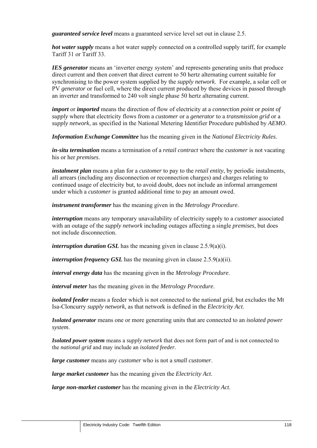*guaranteed service level* means a guaranteed service level set out in clause 2.5.

*hot water supply* means a hot water supply connected on a controlled supply tariff, for example Tariff 31 or Tariff 33.

*IES generator* means an 'inverter energy system' and represents generating units that produce direct current and then convert that direct current to 50 hertz alternating current suitable for synchronising to the power system supplied by the *supply network*. For example, a solar cell or PV *generator* or fuel cell, where the direct current produced by these devices in passed through an inverter and transformed to 240 volt single phase 50 hertz alternating current.

*import* or *imported* means the direction of flow of electricity at a *connection point* or *point of supply* where that electricity flows from a *customer* or a *generator* to a *transmission grid* or a *supply network*, as specified in the National Metering Identifier Procedure published by *AEMO*.

*Information Exchange Committee* has the meaning given in the *National Electricity Rules*.

*in-situ termination* means a termination of a *retail contract* where the *customer* is not vacating his or her *premises*.

*instalment plan* means a plan for a *customer* to pay to the *retail entity*, by periodic instalments, all arrears (including any disconnection or reconnection charges) and charges relating to continued usage of electricity but, to avoid doubt, does not include an informal arrangement under which a *customer* is granted additional time to pay an amount owed.

*instrument transformer* has the meaning given in the *Metrology Procedure*.

*interruption* means any temporary unavailability of electricity supply to a *customer* associated with an outage of the *supply network* including outages affecting a single *premises*, but does not include disconnection.

*interruption duration GSL* has the meaning given in clause 2.5.9(a)(i).

*interruption frequency GSL* has the meaning given in clause 2.5.9(a)(ii).

*interval energy data* has the meaning given in the *Metrology Procedure*.

*interval meter* has the meaning given in the *Metrology Procedure*.

*isolated feeder* means a feeder which is not connected to the national grid, but excludes the Mt Isa-Cloncurry *supply network*, as that network is defined in the *Electricity Act*.

*Isolated generator* means one or more generating units that are connected to an *isolated power system*.

*Isolated power system* means a *supply network* that does not form part of and is not connected to the *national grid* and may include an *isolated feeder.*

*large customer* means any *customer* who is not a *small customer*.

*large market customer* has the meaning given the *Electricity Act*.

*large non-market customer* has the meaning given in the *Electricity Act*.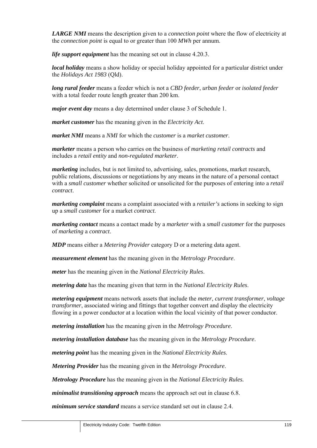*LARGE NMI* means the description given to a *connection point* where the flow of electricity at the *connection point* is equal to or greater than 100 *MWh* per annum.

*life support equipment* has the meaning set out in clause 4.20.3.

*local holiday* means a show holiday or special holiday appointed for a particular district under the *Holidays Act 1983* (Qld).

*long rural feeder* means a feeder which is not a *CBD feeder*, *urban feeder* or *isolated feeder* with a total feeder route length greater than 200 km.

*major event day* means a day determined under clause 3 of Schedule 1.

*market customer* has the meaning given in the *Electricity Act*.

*market NMI* means a *NMI* for which the *customer* is a *market customer*.

*marketer* means a person who carries on the business of *marketing retail contracts* and includes a *retail entity* and *non-regulated marketer*.

*marketing* includes, but is not limited to, advertising, sales, promotions, market research, public relations, discussions or negotiations by any means in the nature of a personal contact with a *small customer* whether solicited or unsolicited for the purposes of entering into a *retail contract*.

*marketing complaint* means a complaint associated with a *retailer's* actions in seeking to sign up a *small customer* for a market *contract*.

*marketing contact* means a contact made by a *marketer* with a *small customer* for the purposes of *marketing* a *contract*.

*MDP* means either a *Metering Provider* category D or a metering data agent.

*measurement element* has the meaning given in the *Metrology Procedure*.

*meter* has the meaning given in the *National Electricity Rules*.

*metering data* has the meaning given that term in the *National Electricity Rules*.

*metering equipment* means network assets that include the *meter*, *current transformer*, *voltage transformer*, associated wiring and fittings that together convert and display the electricity flowing in a power conductor at a location within the local vicinity of that power conductor.

*metering installation* has the meaning given in the *Metrology Procedure*.

*metering installation database* has the meaning given in the *Metrology Procedure*.

*metering point* has the meaning given in the *National Electricity Rules*.

*Metering Provider* has the meaning given in the *Metrology Procedure*.

*Metrology Procedure* has the meaning given in the *National Electricity Rules.*

*minimalist transitioning approach* means the approach set out in clause 6.8.

*minimum service standard* means a service standard set out in clause 2.4.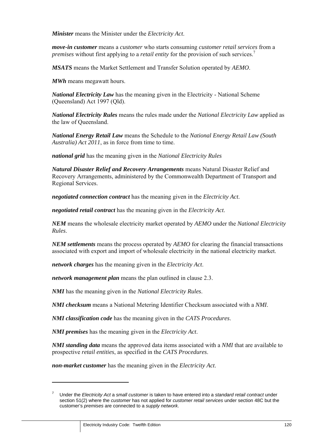*Minister* means the Minister under the *Electricity Act*.

*move-in customer* means a *customer* who starts consuming *customer retail services* from a *premises* without first applying to a *retail entity* for the provision of such services.<sup>7</sup>

*MSATS* means the Market Settlement and Transfer Solution operated by *AEMO*.

*MWh* means megawatt hours.

*National Electricity Law* has the meaning given in the Electricity - National Scheme (Queensland) Act 1997 (Qld).

*National Electricity Rules* means the rules made under the *National Electricity Law* applied as the law of Queensland.

*National Energy Retail Law* means the Schedule to the *National Energy Retail Law (South Australia) Act 2011*, as in force from time to time.

*national grid* has the meaning given in the *National Electricity Rules*

*Natural Disaster Relief and Recovery Arrangements* means Natural Disaster Relief and Recovery Arrangements, administered by the Commonwealth Department of Transport and Regional Services.

*negotiated connection contract* has the meaning given in the *Electricity Act*.

*negotiated retail contract* has the meaning given in the *Electricity Act*.

*NEM* means the wholesale electricity market operated by *AEMO* under the *National Electricity Rules*.

*NEM settlements* means the process operated by *AEMO* for clearing the financial transactions associated with export and import of wholesale electricity in the national electricity market.

*network charges* has the meaning given in the *Electricity Act*.

*network management plan* means the plan outlined in clause 2.3.

*NMI* has the meaning given in the *National Electricity Rules*.

*NMI checksum* means a National Metering Identifier Checksum associated with a *NMI*.

*NMI classification code* has the meaning given in the *CATS Procedures*.

*NMI premises* has the meaning given in the *Electricity Act*.

*NMI standing data* means the approved data items associated with a *NMI* that are available to prospective *retail entities*, as specified in the *CATS Procedures*.

*non-market customer* has the meaning given in the *Electricity Act*.

 $\overline{a}$ 

<sup>7</sup> Under the *Electricity Act* a *small customer* is taken to have entered into a *standard retail contract* under section 51(2) where the *customer* has not applied for *customer retail services* under section 48C but the customer's *premises* are connected to a *supply network*.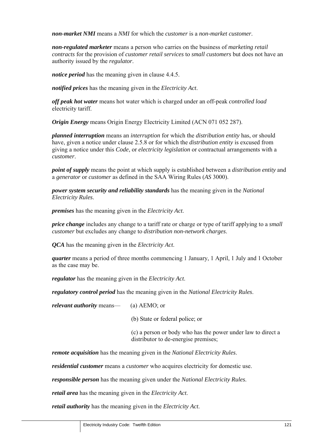*non-market NMI* means a *NMI* for which the *customer* is a *non-market customer*.

*non-regulated marketer* means a person who carries on the business of *marketing retail contracts* for the provision of *customer retail services* to *small customers* but does not have an authority issued by the *regulator*.

*notice period* has the meaning given in clause 4.4.5.

*notified prices* has the meaning given in the *Electricity Act*.

*off peak hot water* means hot water which is charged under an off-peak *controlled load* electricity tariff.

*Origin Energy* means Origin Energy Electricity Limited (ACN 071 052 287).

*planned interruption* means an *interruption* for which the *distribution entity* has, or should have, given a notice under clause 2.5.8 or for which the *distribution entity* is excused from giving a notice under this *Code*, or *electricity legislation* or contractual arrangements with a *customer*.

*point of supply* means the point at which supply is established between a *distribution entity* and a *generator* or *customer* as defined in the SAA Wiring Rules (*AS* 3000).

*power system security and reliability standards* has the meaning given in the *National Electricity Rules*.

*premises* has the meaning given in the *Electricity Act*.

*price change* includes any change to a tariff rate or charge or type of tariff applying to a *small customer* but excludes any change to *distribution non-network charges*.

*QCA* has the meaning given in the *Electricity Act*.

*quarter* means a period of three months commencing 1 January, 1 April, 1 July and 1 October as the case may be.

*regulator* has the meaning given in the *Electricity Act*.

*regulatory control period* has the meaning given in the *National Electricity Rules*.

*relevant authority* means— (a) AEMO; or

(b) State or federal police; or

(c) a person or body who has the power under law to direct a distributor to de-energise premises;

*remote acquisition* has the meaning given in the *National Electricity Rules*.

*residential customer* means a *customer* who acquires electricity for domestic use.

*responsible person* has the meaning given under the *National Electricity Rules*.

*retail area* has the meaning given in the *Electricity Act*.

*retail authority* has the meaning given in the *Electricity Act*.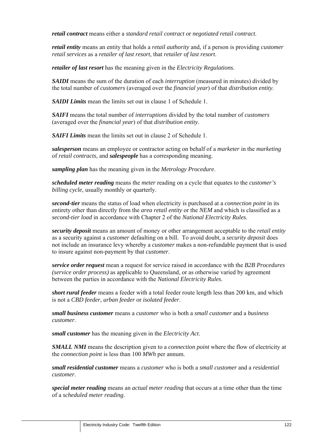*retail contract* means either a *standard retail contract* or *negotiated retail contract*.

*retail entity* means an entity that holds a *retail authority* and, if a person is providing *customer retail services* as a *retailer of last resort*, that *retailer of last resort*.

*retailer of last resort* has the meaning given in the *Electricity Regulations.*

*SAIDI* means the sum of the duration of each *interruption* (measured in minutes) divided by the total number of *customers* (averaged over the *financial year*) of that *distribution entity*.

*SAIDI Limits* mean the limits set out in clause 1 of Schedule 1.

*SAIFI* means the total number of *interruptions* divided by the total number of *customers* (averaged over the *financial year*) of that *distribution entity*.

*SAIFI Limits* mean the limits set out in clause 2 of Schedule 1.

*salesperson* means an employee or contractor acting on behalf of a *marketer* in the *marketing* of *retail contracts*, and *salespeople* has a corresponding meaning.

*sampling plan* has the meaning given in the *Metrology Procedure*.

*scheduled meter reading* means the *meter* reading on a cycle that equates to the *customer's billing cycle*, usually monthly or quarterly.

*second-tier* means the status of load when electricity is purchased at a *connection point* in its entirety other than directly from the *area retail entity* or the *NEM* and which is classified as a *second-tier load* in accordance with Chapter 2 of the *National Electricity Rules*.

*security deposit* means an amount of money or other arrangement acceptable to the *retail entity*  as a security against a *customer* defaulting on a bill. To avoid doubt, a *security deposit* does not include an insurance levy whereby a *customer* makes a non-refundable payment that is used to insure against non-payment by that *customer*.

*service order request* mean a request for service raised in accordance with the *B2B Procedures (service order process)* as applicable to Queensland, or as otherwise varied by agreement between the parties in accordance with the *National Electricity Rules*.

*short rural feeder* means a feeder with a total feeder route length less than 200 km, and which is not a *CBD feeder*, *urban feeder* or *isolated feeder*.

*small business customer* means a *customer* who is both a *small customer* and a *business customer*.

*small customer* has the meaning given in the *Electricity Act*.

*SMALL NMI* means the description given to a *connection point* where the flow of electricity at the *connection point* is less than 100 *MWh* per annum.

*small residential customer* means a *customer* who is both a *small customer* and a *residential customer*.

*special meter reading* means an *actual meter reading* that occurs at a time other than the time of a *scheduled meter reading*.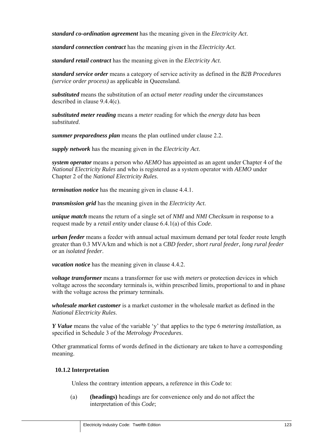*standard co-ordination agreement* has the meaning given in the *Electricity Act*.

*standard connection contract* has the meaning given in the *Electricity Act*.

*standard retail contract* has the meaning given in the *Electricity Act*.

*standard service order* means a category of service activity as defined in the *B2B Procedures (service order process)* as applicable in Queensland.

*substituted* means the substitution of an *actual meter reading* under the circumstances described in clause 9.4.4(c).

*substituted meter reading* means a *meter* reading for which the *energy data* has been *substituted*.

*summer preparedness plan* means the plan outlined under clause 2.2.

*supply network* has the meaning given in the *Electricity Act*.

*system operator* means a person who *AEMO* has appointed as an agent under Chapter 4 of the *National Electricity Rules* and who is registered as a system operator with *AEMO* under Chapter 2 of the *National Electricity Rules*.

*termination notice* has the meaning given in clause 4.4.1.

*transmission grid* has the meaning given in the *Electricity Act*.

*unique match* means the return of a single set of *NMI* and *NMI Checksum* in response to a request made by a *retail entity* under clause 6.4.1(a) of this *Code*.

*urban feeder* means a feeder with annual actual maximum demand per total feeder route length greater than 0.3 MVA/km and which is not a *CBD feeder*, *short rural feeder*, *long rural feeder* or an *isolated feeder*.

*vacation notice* has the meaning given in clause 4.4.2.

*voltage transformer* means a transformer for use with *meters* or protection devices in which voltage across the secondary terminals is, within prescribed limits, proportional to and in phase with the voltage across the primary terminals.

*wholesale market customer* is a market customer in the wholesale market as defined in the *National Electricity Rules*.

*Y Value* means the value of the variable 'y' that applies to the type 6 *metering installation*, as specified in Schedule 3 of the *Metrology Procedures*.

Other grammatical forms of words defined in the dictionary are taken to have a corresponding meaning.

## **10.1.2 Interpretation**

Unless the contrary intention appears, a reference in this *Code* to:

(a) **(headings)** headings are for convenience only and do not affect the interpretation of this *Code*;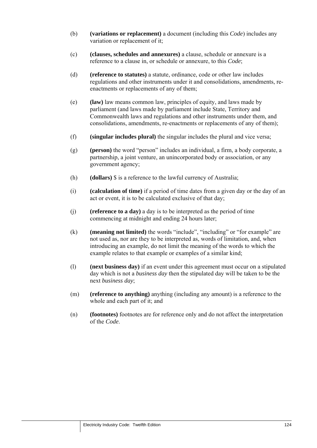- (b) **(variations or replacement)** a document (including this *Code*) includes any variation or replacement of it;
- (c) **(clauses, schedules and annexures)** a clause, schedule or annexure is a reference to a clause in, or schedule or annexure, to this *Code*;
- (d) **(reference to statutes)** a statute, ordinance, code or other law includes regulations and other instruments under it and consolidations, amendments, reenactments or replacements of any of them;
- (e) **(law)** law means common law, principles of equity, and laws made by parliament (and laws made by parliament include State, Territory and Commonwealth laws and regulations and other instruments under them, and consolidations, amendments, re-enactments or replacements of any of them);
- (f) **(singular includes plural)** the singular includes the plural and vice versa;
- (g) **(person)** the word "person" includes an individual, a firm, a body corporate, a partnership, a joint venture, an unincorporated body or association, or any government agency;
- (h) **(dollars)** \$ is a reference to the lawful currency of Australia;
- (i) **(calculation of time)** if a period of time dates from a given day or the day of an act or event, it is to be calculated exclusive of that day;
- (j) **(reference to a day)** a day is to be interpreted as the period of time commencing at midnight and ending 24 hours later;
- (k) **(meaning not limited)** the words "include", "including" or "for example" are not used as, nor are they to be interpreted as, words of limitation, and, when introducing an example, do not limit the meaning of the words to which the example relates to that example or examples of a similar kind;
- (l) **(next business day)** if an event under this agreement must occur on a stipulated day which is not a *business day* then the stipulated day will be taken to be the next *business day*;
- (m) **(reference to anything)** anything (including any amount) is a reference to the whole and each part of it; and
- (n) **(footnotes)** footnotes are for reference only and do not affect the interpretation of the *Code*.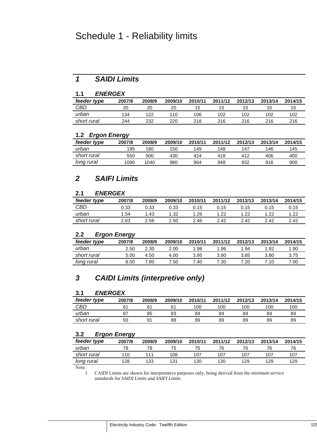## Schedule 1 - Reliability limits

## *1 SAIDI Limits*

### **1.1** *ENERGEX*

| feeder type | 2007/8 | 2008/9 | 2009/10 | 2010/11 | 2011/12 | 2012/13 | 2013/14 | 2014/15 |
|-------------|--------|--------|---------|---------|---------|---------|---------|---------|
| CBD         | 20     | 20     | 20      | 15      | ıь      | כ ו     | כ ו     | כ ו     |
| urban       | 134    | 122    | 110     | 106     | 102     | 102     | 102     | 102     |
| short rural | 244    | 232    | 220     | 218     | 216     | 216     | 216     | 216     |

### **1.2** *Ergon Energy*

| feeder type | ີ<br>2007/8 | 2008/9 | 2009/10 | 2010/11 | 2011/12 | 2012/13 | 2013/14 | 2014/15 |
|-------------|-------------|--------|---------|---------|---------|---------|---------|---------|
| urban       | 195         | 180    | 150     | 149     | 148     | 147     | 146     | 145     |
| short rural | 550         | 500    | 430     | 424     | 418     | 412     | 406     | 400     |
| long rural  | 1090        | 1040   | 980     | 964     | 948     | 932     | 916     | 900     |

## *2 SAIFI Limits*

## **2.1** *ENERGEX*

| feeder type | 2007/8 | 2008/9 | 2009/10 | 2010/11 | 2011/12 | 2012/13 | 2013/14 | 2014/15 |
|-------------|--------|--------|---------|---------|---------|---------|---------|---------|
| CBD         | J.33   | 0.33   | 0.33    | 0.15    | 0.15    | 0.15    | 0.15    | 0.15    |
| urban       | 1.54   | 1.43   | 1.32    | 1.26    | 1.22    | 1.22    | 1.22    | 1.22    |
| short rural | 2.63   | 2.56   | 2.50    | 2.46    | 2.42    | 2.42    | 2.42    | 2.42    |

## **2.2** *Ergon Energy*

|                   | --     |        |         |         |         |         |         |         |
|-------------------|--------|--------|---------|---------|---------|---------|---------|---------|
| feeder type       | 2007/8 | 2008/9 | 2009/10 | 2010/11 | 2011/12 | 2012/13 | 2013/14 | 2014/15 |
| urban             | 2.50   | 2.30   | 2.00    | 1.98    | .96     | 1.94    | 1.92    | 1.90    |
| short rural       | 5.00   | 4.50   | 4.00    | 3.95    | 3.90    | 3.85    | 3.80    | 3.75    |
| <u>long rural</u> | 8.50   | 7.80   | 7.50    | 7.40    | 7.30    | '.20    | 7.10    | .00     |
|                   |        |        |         |         |         |         |         |         |

## *3 CAIDI Limits (interpretive only)*

## **3.1** *ENERGEX*

| feeder type | 2007/8 | 2008/9         | 2009/10 | 2010/11 | 2011/12 | 2012/13 | 2013/14 | 2014/15 |
|-------------|--------|----------------|---------|---------|---------|---------|---------|---------|
| CBD         |        | 6 <sup>4</sup> |         | 100     | 100     | 100     | 100     | 100     |
| urban       | o,     | 85             | 83      | 84      | 84      | 84      | 84      | 84      |
| short rural | 93     | 91             | 88      | 89      | 89      | 89      | 89      | 89      |

## **3.2** *Ergon Energy*

| ີ           | ັ      |        |         |         |         |         |         |         |
|-------------|--------|--------|---------|---------|---------|---------|---------|---------|
| feeder type | 2007/8 | 2008/9 | 2009/10 | 2010/11 | 2011/12 | 2012/13 | 2013/14 | 2014/15 |
| urban       | 78     | 78     | 75      | 75      | 76      | 76      | 76      |         |
| short rural | 110    | 111    | 108     | 107     | 107     | 107     | 107     | 107     |
| long rural  | 128    | 133    | 131     | 130     | 130     | 129     | 129     | 129     |
|             |        |        |         |         |         |         |         |         |

Note:

1 CAIDI Limits are shown for interpretative purposes only, being derived from the *minimum service standards* for *SAIDI Limits* and *SAIFI Limits*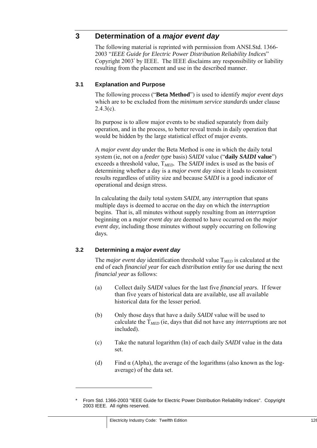## **3 Determination of a** *major event day*

The following material is reprinted with permission from ANSI.Std. 1366- 2003 "*IEEE Guide for Electric Power Distribution Reliability Indices*" Copyright 2003\* by IEEE. The IEEE disclaims any responsibility or liability resulting from the placement and use in the described manner.

## **3.1 Explanation and Purpose**

The following process ("**Beta Method**") is used to identify *major event days*  which are to be excluded from the *minimum service standards* under clause  $2.4.3(c)$ .

Its purpose is to allow major events to be studied separately from daily operation, and in the process, to better reveal trends in daily operation that would be hidden by the large statistical effect of major events.

A *major event day* under the Beta Method is one in which the daily total system (ie, not on a *feeder type* basis) *SAIDI* value ("**daily** *SAIDI* **value**") exceeds a threshold value, T*MED*. The *SAIDI* index is used as the basis of determining whether a day is a *major event day* since it leads to consistent results regardless of utility size and because *SAIDI* is a good indicator of operational and design stress.

In calculating the daily total system *SAIDI*, any *interruption* that spans multiple days is deemed to accrue on the day on which the *interruption* begins. That is, all minutes without supply resulting from an *interruption*  beginning on a *major event day* are deemed to have occurred on the *major event day,* including those minutes without supply occurring on following days*.*

## **3.2 Determining a** *major event day*

The *major event day* identification threshold value T*MED* is calculated at the end of each *financial year* for each *distribution entity* for use during the next *financial year* as follows:

- (a) Collect daily *SAIDI* values for the last five *financial year*s. If fewer than five years of historical data are available, use all available historical data for the lesser period.
- (b) Only those days that have a daily *SAIDI* value will be used to calculate the T*MED* (ie, days that did not have any *interruptions* are not included).
- (c) Take the natural logarithm (In) of each daily *SAIDI* value in the data set.
- (d) Find  $\alpha$  (Alpha), the average of the logarithms (also known as the logaverage) of the data set.

-

<sup>\*</sup> From Std. 1366-2003 "IEEE Guide for Electric Power Distribution Reliability Indices". Copyright 2003 IEEE. All rights reserved.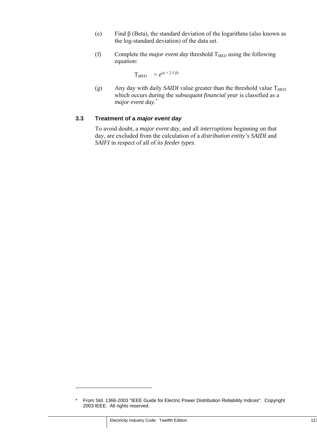- (e) Find  $\beta$  (Beta), the standard deviation of the logarithms (also known as the log-standard deviation) of the data set.
- (f) Complete the *major event day* threshold T*MED* using the following equation:

$$
T_{MED} = e^{(\alpha + 2.5 \beta)}
$$

(g) Any day with daily *SAIDI* value greater than the threshold value T*MED* which occurs during the subsequent *financial year* is classified as a *major event day*. \*

## **3.3 Treatment of a** *major event day*

To avoid doubt, a *major event day*, and all *interruptions* beginning on that day, are excluded from the calculation of a *distribution entity's SAIDI* and *SAIFI* in respect of all of its *feeder types*.

-

<sup>\*</sup> From Std. 1366-2003 "IEEE Guide for Electric Power Distribution Reliability Indices". Copyright 2003 IEEE. All rights reserved.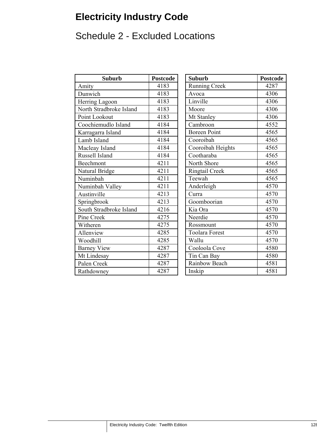# **Electricity Industry Code**

# Schedule 2 - Excluded Locations

| <b>Suburb</b>           | <b>Postcode</b> | <b>Suburb</b>         | Postcod |
|-------------------------|-----------------|-----------------------|---------|
| Amity                   | 4183            | <b>Running Creek</b>  | 4287    |
| Dunwich                 | 4183            | Avoca                 | 4306    |
| Herring Lagoon          | 4183            | Linville              | 4306    |
| North Stradbroke Island | 4183            | Moore                 | 4306    |
| Point Lookout           | 4183            | Mt Stanley            | 4306    |
| Coochiemudlo Island     | 4184            | Cambroon              | 4552    |
| Karragarra Island       | 4184            | <b>Boreen Point</b>   | 4565    |
| Lamb Island             | 4184            | Cooroibah             | 4565    |
| Macleay Island          | 4184            | Cooroibah Heights     | 4565    |
| Russell Island          | 4184            | Cootharaba            | 4565    |
| Beechmont               | 4211            | North Shore           | 4565    |
| Natural Bridge          | 4211            | Ringtail Creek        | 4565    |
| Numinbah                | 4211            | Teewah                | 4565    |
| Numinbah Valley         | 4211            | Anderleigh            | 4570    |
| Austinville             | 4213            | Curra                 | 4570    |
| Springbrook             | 4213            | Goomboorian           | 4570    |
| South Stradbroke Island | 4216            | Kia Ora               | 4570    |
| Pine Creek              | 4275            | Neerdie               | 4570    |
| Witheren                | 4275            | Rossmount             | 4570    |
| Allenview               | 4285            | <b>Toolara Forest</b> | 4570    |
| Woodhill                | 4285            | Wallu                 | 4570    |
| <b>Barney View</b>      | 4287            | Cooloola Cove         | 4580    |
| Mt Lindesay             | 4287            | Tin Can Bay           | 4580    |
| Palen Creek             | 4287            | Rainbow Beach         | 4581    |
| Rathdowney              | 4287            | Inskip                | 4581    |

| <b>Suburb</b>   | <b>Postcode</b> | <b>Suburb</b>         | <b>Postcode</b> |
|-----------------|-----------------|-----------------------|-----------------|
|                 | 4183            | <b>Running Creek</b>  | 4287            |
|                 | 4183            | Avoca                 | 4306            |
| agoon           | 4183            | Linville              | 4306            |
| adbroke Island  | 4183            | Moore                 | 4306            |
| kout            | 4183            | Mt Stanley            | 4306            |
| udlo Island     | 4184            | Cambroon              | 4552            |
| a Island        | 4184            | <b>Boreen Point</b>   | 4565            |
| nd              | 4184            | Cooroibah             | 4565            |
| sland           | 4184            | Cooroibah Heights     | 4565            |
| land            | 4184            | Cootharaba            | 4565            |
| $\mathfrak n$   | 4211            | North Shore           | 4565            |
| ridge           | 4211            | Ringtail Creek        | 4565            |
| $\mathbf{1}$    | 4211            | Teewah                | 4565            |
| n Valley        | 4211            | Anderleigh            | 4570            |
| e               | 4213            | Curra                 | 4570            |
| ok              | 4213            | Goomboorian           | 4570            |
| adbroke Island  | 4216            | Kia Ora               | 4570            |
| k               | 4275            | Neerdie               | 4570            |
|                 | 4275            | Rossmount             | 4570            |
| $\sqrt{2}$      | 4285            | <b>Toolara Forest</b> | 4570            |
|                 | 4285            | Wallu                 | 4570            |
| iew             | 4287            | Cooloola Cove         | 4580            |
| say             | 4287            | Tin Can Bay           | 4580            |
| $\overline{ek}$ | 4287            | Rainbow Beach         | 4581            |
| ey              | 4287            | Inskip                | 4581            |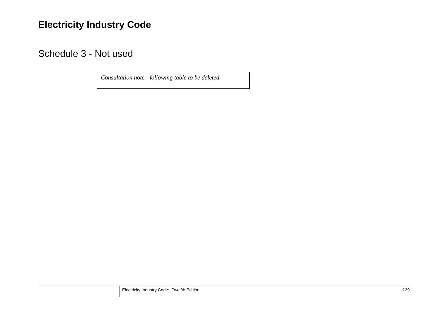## **Electricity Industry Code**

Schedule 3 - Not used

*Consultation note - following table to be deleted.*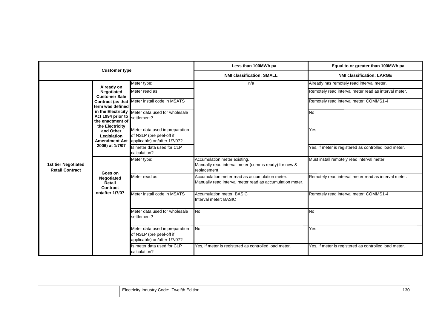|                                               | <b>Customer type</b>                                                                                                                                                                                                          |                                                                                                                                                                                                                                                            | Less than 100MWh pa                                                                                        | Equal to or greater than 100MWh pa                                                                                                                                                                                       |
|-----------------------------------------------|-------------------------------------------------------------------------------------------------------------------------------------------------------------------------------------------------------------------------------|------------------------------------------------------------------------------------------------------------------------------------------------------------------------------------------------------------------------------------------------------------|------------------------------------------------------------------------------------------------------------|--------------------------------------------------------------------------------------------------------------------------------------------------------------------------------------------------------------------------|
|                                               |                                                                                                                                                                                                                               |                                                                                                                                                                                                                                                            | <b>NMI classification: SMALL</b>                                                                           | <b>NMI classification: LARGE</b>                                                                                                                                                                                         |
|                                               | Already on<br>Negotiated<br><b>Customer Sale</b><br>term was defined<br>in the Electricity<br>Act 1994 prior to<br>the enactment of<br>the Electricity<br>and Other<br>Legislation<br><b>Amendment Act</b><br>2006) at 1/7/07 | Meter type:<br>Meter read as:<br>Contract (as that Meter install code in MSATS<br>Meter data used for wholesale<br>settlement?<br>Meter data used in preparation<br>of NSLP (pre peel-off if<br>applicable) on/after 1/7/07?<br>Is meter data used for CLP | n/a                                                                                                        | Already has remotely read interval meter.<br>Remotely read interval meter read as interval meter.<br>Remotely read interval meter: COMMS1-4<br><b>No</b><br>Yes<br>Yes, if meter is registered as controlled load meter. |
| 1st tier Negotiated<br><b>Retail Contract</b> |                                                                                                                                                                                                                               | calculation?<br>Meter type:                                                                                                                                                                                                                                | Accumulation meter existing.<br>Manually read interval meter (comms ready) for new &<br>replacement.       | Must install remotely read interval meter.                                                                                                                                                                               |
|                                               | Goes on<br>Negotiated<br>Retail<br>Contract                                                                                                                                                                                   | Meter read as:                                                                                                                                                                                                                                             | Accumulation meter read as accumulation meter.<br>Manually read interval meter read as accumulation meter. | Remotely read interval meter read as interval meter.                                                                                                                                                                     |
|                                               | on/after 1/7/07                                                                                                                                                                                                               | Meter install code in MSATS                                                                                                                                                                                                                                | <b>Accumulation meter: BASIC</b><br>Interval meter: BASIC                                                  | Remotely read interval meter: COMMS1-4                                                                                                                                                                                   |
|                                               |                                                                                                                                                                                                                               | Meter data used for wholesale<br>settlement?                                                                                                                                                                                                               | <b>No</b>                                                                                                  | <b>No</b>                                                                                                                                                                                                                |
|                                               |                                                                                                                                                                                                                               | Meter data used in preparation<br>of NSLP (pre peel-off if<br>applicable) on/after 1/7/07?                                                                                                                                                                 | <b>No</b>                                                                                                  | Yes                                                                                                                                                                                                                      |
|                                               |                                                                                                                                                                                                                               | Is meter data used for CLP<br>calculation?                                                                                                                                                                                                                 | Yes, if meter is registered as controlled load meter.                                                      | Yes, if meter is registered as controlled load meter.                                                                                                                                                                    |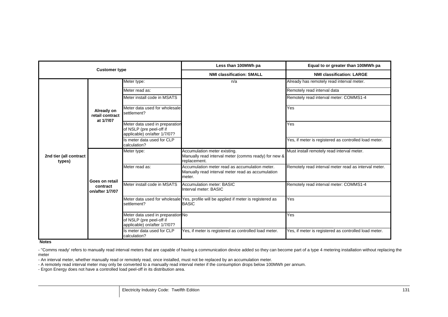|                                  | <b>Customer type</b>                       |                                                                                               | Less than 100MWh pa                                                                                           | Equal to or greater than 100MWh pa                    |
|----------------------------------|--------------------------------------------|-----------------------------------------------------------------------------------------------|---------------------------------------------------------------------------------------------------------------|-------------------------------------------------------|
|                                  |                                            |                                                                                               | <b>NMI classification: SMALL</b>                                                                              | <b>NMI classification: LARGE</b>                      |
|                                  |                                            | Meter type:                                                                                   | n/a                                                                                                           | Already has remotely read interval meter.             |
|                                  |                                            | Meter read as:                                                                                |                                                                                                               | Remotely read interval data                           |
|                                  |                                            | Meter install code in MSATS                                                                   |                                                                                                               | Remotely read interval meter: COMMS1-4                |
|                                  | Already on<br>retail contract<br>at 1/7/07 | Meter data used for wholesale<br>settlement?                                                  |                                                                                                               | Yes                                                   |
|                                  |                                            | Meter data used in preparation<br>of NSLP (pre peel-off if<br>applicable) on/after 1/7/07?    |                                                                                                               | Yes                                                   |
|                                  |                                            | Is meter data used for CLP<br>calculation?                                                    |                                                                                                               | Yes, if meter is registered as controlled load meter. |
| 2nd tier (all contract<br>types) |                                            | Meter type:                                                                                   | Accumulation meter existing.<br>Manually read interval meter (comms ready) for new &<br>replacement.          | Must install remotely read interval meter.            |
|                                  | Goes on retail                             | Meter read as:                                                                                | Accumulation meter read as accumulation meter.<br>Manually read interval meter read as accumulation<br>meter. | Remotely read interval meter read as interval meter.  |
|                                  | contract<br>on/after 1/7/07                | Meter install code in MSATS                                                                   | Accumulation meter: BASIC<br>Interval meter: BASIC                                                            | Remotely read interval meter: COMMS1-4                |
|                                  |                                            | settlement?                                                                                   | Meter data used for wholesale Yes, profile will be applied if meter is registered as<br><b>BASIC</b>          | Yes                                                   |
|                                  |                                            | Meter data used in preparation No<br>of NSLP (pre peel-off if<br>applicable) on/after 1/7/07? |                                                                                                               | Yes                                                   |
|                                  |                                            | Is meter data used for CLP<br>calculation?                                                    | Yes, if meter is registered as controlled load meter.                                                         | Yes, if meter is registered as controlled load meter. |

#### **Notes**

- "Comms ready' refers to manually read interval meters that are capable of having a communication device added so they can become part of a type 4 metering installation without replacing the meter

- An interval meter, whether manually read or remotely read, once installed, must not be replaced by an accumulation meter.

- A remotely read interval meter may only be converted to a manually read interval meter if the consumption drops below 100MWh per annum.

- Ergon Energy does not have a controlled load peel-off in its distribution area.